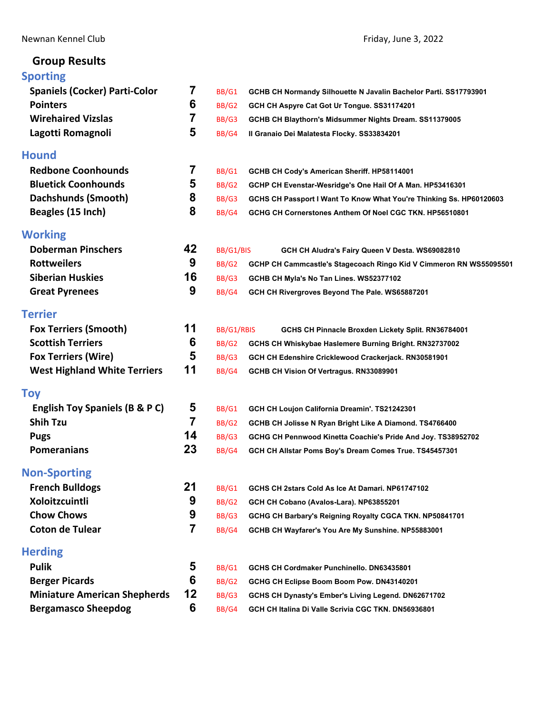# **Group Results**

| <b>Sporting</b>                      |    |            |                                                                     |
|--------------------------------------|----|------------|---------------------------------------------------------------------|
| <b>Spaniels (Cocker) Parti-Color</b> | 7  | BB/G1      | GCHB CH Normandy Silhouette N Javalin Bachelor Parti. SS17793901    |
| <b>Pointers</b>                      | 6  | BB/G2      | GCH CH Aspyre Cat Got Ur Tongue. SS31174201                         |
| <b>Wirehaired Vizslas</b>            | 7  | BB/G3      | GCHB CH Blaythorn's Midsummer Nights Dream. SS11379005              |
| Lagotti Romagnoli                    | 5  | BB/G4      | Il Granaio Dei Malatesta Flocky. SS33834201                         |
| <b>Hound</b>                         |    |            |                                                                     |
| <b>Redbone Coonhounds</b>            | 7  | BB/G1      | GCHB CH Cody's American Sheriff. HP58114001                         |
| <b>Bluetick Coonhounds</b>           | 5  | BB/G2      | GCHP CH Evenstar-Wesridge's One Hail Of A Man. HP53416301           |
| Dachshunds (Smooth)                  | 8  | BB/G3      | GCHS CH Passport I Want To Know What You're Thinking Ss. HP60120603 |
| Beagles (15 Inch)                    | 8  | BB/G4      | GCHG CH Cornerstones Anthem Of Noel CGC TKN. HP56510801             |
| <b>Working</b>                       |    |            |                                                                     |
| <b>Doberman Pinschers</b>            | 42 | BB/G1/BIS  | GCH CH Aludra's Fairy Queen V Desta. WS69082810                     |
| <b>Rottweilers</b>                   | 9  | BB/G2      | GCHP CH Cammcastle's Stagecoach Ringo Kid V Cimmeron RN WS55095501  |
| <b>Siberian Huskies</b>              | 16 | BB/G3      | GCHB CH Myla's No Tan Lines. WS52377102                             |
| <b>Great Pyrenees</b>                | 9  | BB/G4      | GCH CH Rivergroves Beyond The Pale. WS65887201                      |
| <b>Terrier</b>                       |    |            |                                                                     |
| <b>Fox Terriers (Smooth)</b>         | 11 | BB/G1/RBIS | GCHS CH Pinnacle Broxden Lickety Split. RN36784001                  |
| <b>Scottish Terriers</b>             | 6  | BB/G2      | GCHS CH Whiskybae Haslemere Burning Bright. RN32737002              |
| <b>Fox Terriers (Wire)</b>           | 5  | BB/G3      | GCH CH Edenshire Cricklewood Crackerjack. RN30581901                |
| <b>West Highland White Terriers</b>  | 11 | BB/G4      | GCHB CH Vision Of Vertragus. RN33089901                             |
| <b>Toy</b>                           |    |            |                                                                     |
| English Toy Spaniels (B & P C)       | 5  | BB/G1      | GCH CH Loujon California Dreamin'. TS21242301                       |
| <b>Shih Tzu</b>                      | 7  | BB/G2      | GCHB CH Jolisse N Ryan Bright Like A Diamond. TS4766400             |
| <b>Pugs</b>                          | 14 | BB/G3      | GCHG CH Pennwood Kinetta Coachie's Pride And Joy. TS38952702        |
| <b>Pomeranians</b>                   | 23 | BB/G4      | GCH CH Allstar Poms Boy's Dream Comes True. TS45457301              |
| <b>Non-Sporting</b>                  |    |            |                                                                     |
| <b>French Bulldogs</b>               | 21 | BB/G1      | GCHS CH 2stars Cold As Ice At Damari. NP61747102                    |
| Xoloitzcuintli                       | 9  | BB/G2      | GCH CH Cobano (Avalos-Lara). NP63855201                             |
| <b>Chow Chows</b>                    | 9  | BB/G3      | GCHG CH Barbary's Reigning Royalty CGCA TKN. NP50841701             |
| <b>Coton de Tulear</b>               | 7  | BB/G4      | GCHB CH Wayfarer's You Are My Sunshine. NP55883001                  |
| <b>Herding</b>                       |    |            |                                                                     |
| <b>Pulik</b>                         | 5  | BB/G1      | GCHS CH Cordmaker Punchinello, DN63435801                           |
| <b>Berger Picards</b>                | 6  | BB/G2      | GCHG CH Eclipse Boom Boom Pow. DN43140201                           |
| <b>Miniature American Shepherds</b>  | 12 | BB/G3      | GCHS CH Dynasty's Ember's Living Legend. DN62671702                 |
| <b>Bergamasco Sheepdog</b>           | 6  | BB/G4      | GCH CH Italina Di Valle Scrivia CGC TKN. DN56936801                 |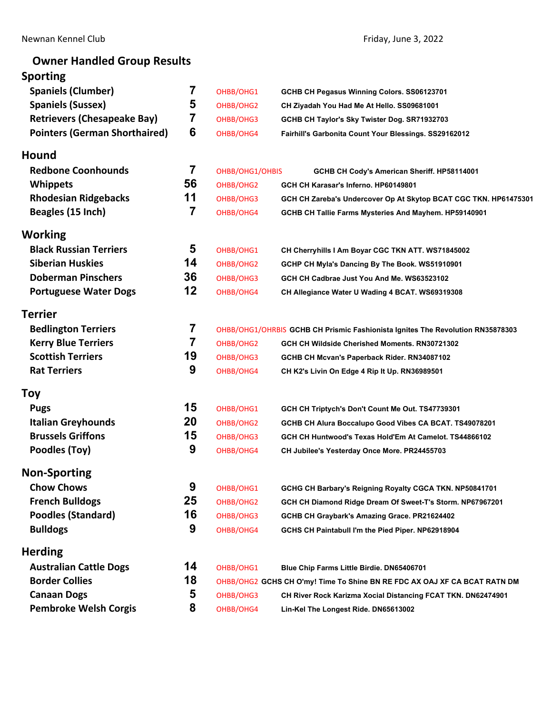# **Owner Handled Group Results**

# **Sporting**

| <b>Spaniels (Clumber)</b>            | 7  | OHBB/OHG1       | GCHB CH Pegasus Winning Colors. SS06123701                                     |
|--------------------------------------|----|-----------------|--------------------------------------------------------------------------------|
| <b>Spaniels (Sussex)</b>             | 5  | OHBB/OHG2       | CH Ziyadah You Had Me At Hello. SS09681001                                     |
| <b>Retrievers (Chesapeake Bay)</b>   | 7  | OHBB/OHG3       | GCHB CH Taylor's Sky Twister Dog. SR71932703                                   |
| <b>Pointers (German Shorthaired)</b> | 6  | OHBB/OHG4       | Fairhill's Garbonita Count Your Blessings. SS29162012                          |
| Hound                                |    |                 |                                                                                |
| <b>Redbone Coonhounds</b>            | 7  | OHBB/OHG1/OHBIS | GCHB CH Cody's American Sheriff. HP58114001                                    |
| <b>Whippets</b>                      | 56 | OHBB/OHG2       | GCH CH Karasar's Inferno. HP60149801                                           |
| <b>Rhodesian Ridgebacks</b>          | 11 | OHBB/OHG3       | GCH CH Zareba's Undercover Op At Skytop BCAT CGC TKN. HP61475301               |
| Beagles (15 Inch)                    | 7  | OHBB/OHG4       | GCHB CH Tallie Farms Mysteries And Mayhem. HP59140901                          |
| Working                              |    |                 |                                                                                |
| <b>Black Russian Terriers</b>        | 5  | OHBB/OHG1       | CH Cherryhills I Am Boyar CGC TKN ATT. WS71845002                              |
| <b>Siberian Huskies</b>              | 14 | OHBB/OHG2       | GCHP CH Myla's Dancing By The Book. WS51910901                                 |
| <b>Doberman Pinschers</b>            | 36 | OHBB/OHG3       | GCH CH Cadbrae Just You And Me. WS63523102                                     |
| <b>Portuguese Water Dogs</b>         | 12 | OHBB/OHG4       | CH Allegiance Water U Wading 4 BCAT. WS69319308                                |
| Terrier                              |    |                 |                                                                                |
| <b>Bedlington Terriers</b>           | 7  |                 | OHBB/OHG1/OHRBIS GCHB CH Prismic Fashionista Ignites The Revolution RN35878303 |
| <b>Kerry Blue Terriers</b>           | 7  | OHBB/OHG2       | GCH CH Wildside Cherished Moments. RN30721302                                  |
| <b>Scottish Terriers</b>             | 19 | OHBB/OHG3       | GCHB CH Mcvan's Paperback Rider. RN34087102                                    |
| <b>Rat Terriers</b>                  | 9  | OHBB/OHG4       | CH K2's Livin On Edge 4 Rip It Up. RN36989501                                  |
| Toy                                  |    |                 |                                                                                |
| <b>Pugs</b>                          | 15 | OHBB/OHG1       | GCH CH Triptych's Don't Count Me Out. TS47739301                               |
| <b>Italian Greyhounds</b>            | 20 | OHBB/OHG2       | GCHB CH Alura Boccalupo Good Vibes CA BCAT. TS49078201                         |
| <b>Brussels Griffons</b>             | 15 | OHBB/OHG3       | GCH CH Huntwood's Texas Hold'Em At Camelot. TS44866102                         |
| Poodles (Toy)                        | 9  | OHBB/OHG4       | CH Jubilee's Yesterday Once More. PR24455703                                   |
| <b>Non-Sporting</b>                  |    |                 |                                                                                |
| <b>Chow Chows</b>                    | 9  | OHBB/OHG1       | GCHG CH Barbary's Reigning Royalty CGCA TKN. NP50841701                        |
| <b>French Bulldogs</b>               | 25 | OHBB/OHG2       | GCH CH Diamond Ridge Dream Of Sweet-T's Storm. NP67967201                      |
| <b>Poodles (Standard)</b>            | 16 | OHBB/OHG3       | GCHB CH Graybark's Amazing Grace. PR21624402                                   |
| <b>Bulldogs</b>                      | 9  | OHBB/OHG4       | GCHS CH Paintabull I'm the Pied Piper. NP62918904                              |
| <b>Herding</b>                       |    |                 |                                                                                |
| <b>Australian Cattle Dogs</b>        | 14 | OHBB/OHG1       | Blue Chip Farms Little Birdie. DN65406701                                      |
| <b>Border Collies</b>                | 18 |                 | OHBB/OHG2 GCHS CH O'my! Time To Shine BN RE FDC AX OAJ XF CA BCAT RATN DM      |
| <b>Canaan Dogs</b>                   | 5  | OHBB/OHG3       | CH River Rock Karizma Xocial Distancing FCAT TKN. DN62474901                   |
| <b>Pembroke Welsh Corgis</b>         | 8  | OHBB/OHG4       | Lin-Kel The Longest Ride. DN65613002                                           |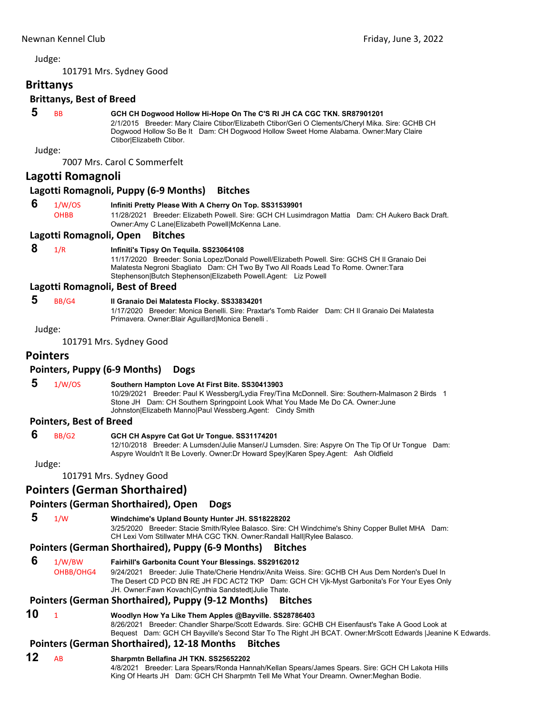101791 Mrs. Sydney Good

# <span id="page-2-0"></span>**Brittanys**

## **Brittanys, Best of Breed**

# **5** BB **GCH CH Dogwood Hollow Hi-Hope On The C'S RI JH CA CGC TKN. SR87901201**

2/1/2015 Breeder: Mary Claire Ctibor/Elizabeth Ctibor/Geri O Clements/Cheryl Mika. Sire: GCHB CH Dogwood Hollow So Be It Dam: CH Dogwood Hollow Sweet Home Alabama. Owner:Mary Claire Ctibor|Elizabeth Ctibor.

Judge:

7007 Mrs. Carol C Sommerfelt

### **Lagotti Romagnoli**

### **Lagotti Romagnoli, Puppy (6‐9 Months) Bitches**

### **6** 1/W/OS **Infiniti Pretty Please With A Cherry On Top. SS31539901**

OHBB 11/28/2021 Breeder: Elizabeth Powell. Sire: GCH CH Lusimdragon Mattia Dam: CH Aukero Back Draft. Owner:Amy C Lane|Elizabeth Powell|McKenna Lane.

### **Lagotti Romagnoli, Open Bitches**

# **8** 1/R **Infiniti's Tipsy On Tequila. SS23064108**

11/17/2020 Breeder: Sonia Lopez/Donald Powell/Elizabeth Powell. Sire: GCHS CH Il Granaio Dei Malatesta Negroni Sbagliato Dam: CH Two By Two All Roads Lead To Rome. Owner: Tara Stephenson|Butch Stephenson|Elizabeth Powell.Agent: Liz Powell

### **Lagotti Romagnoli, Best of Breed**

### **5** BB/G4 **Il Granaio Dei Malatesta Flocky. SS33834201**

1/17/2020 Breeder: Monica Benelli. Sire: Praxtar's Tomb Raider Dam: CH Il Granaio Dei Malatesta Primavera. Owner:Blair Aguillard|Monica Benelli .

Judge:

101791 Mrs. Sydney Good

# **Pointers**

### **Pointers, Puppy (6‐9 Months) Dogs**

# **5** 1/W/OS **Southern Hampton Love At First Bite. SS30413903**

10/29/2021 Breeder: Paul K Wessberg/Lydia Frey/Tina McDonnell. Sire: Southern-Malmason 2 Birds 1 Stone JH Dam: CH Southern Springpoint Look What You Made Me Do CA. Owner:June Johnston|Elizabeth Manno|Paul Wessberg.Agent: Cindy Smith

### **Pointers, Best of Breed**

### **6** BB/G2 **GCH CH Aspyre Cat Got Ur Tongue. SS31174201**

12/10/2018 Breeder: A Lumsden/Julie Manser/J Lumsden. Sire: Aspyre On The Tip Of Ur Tongue Dam: Aspyre Wouldn't It Be Loverly. Owner:Dr Howard Spey|Karen Spey.Agent: Ash Oldfield

Judge:

101791 Mrs. Sydney Good

# **Pointers (German Shorthaired)**

### **Pointers (German Shorthaired), Open Dogs**

 **5** 1/W **Windchime's Upland Bounty Hunter JH. SS18228202**

3/25/2020 Breeder: Stacie Smith/Rylee Balasco. Sire: CH Windchime's Shiny Copper Bullet MHA Dam: CH Lexi Vom Stillwater MHA CGC TKN. Owner:Randall Hall|Rylee Balasco.

### **Pointers (German Shorthaired), Puppy (6‐9 Months) Bitches**

 **6** 1/W/BW **Fairhill's Garbonita Count Your Blessings. SS29162012** OHBB/OHG4 9/24/2021 Breeder: Julie Thate/Cherie Hendrix/Anita Weiss. Sire: GCHB CH Aus Dem Norden's Duel In The Desert CD PCD BN RE JH FDC ACT2 TKP Dam: GCH CH Vjk-Myst Garbonita's For Your Eyes Only JH. Owner:Fawn Kovach|Cynthia Sandstedt|Julie Thate.

## **Pointers (German Shorthaired), Puppy (9‐12 Months) Bitches**

**10** <sup>1</sup> **Woodlyn How Ya Like Them Apples @Bayville. SS28786403** 8/26/2021 Breeder: Chandler Sharpe/Scott Edwards. Sire: GCHB CH Eisenfaust's Take A Good Look at Bequest Dam: GCH CH Bayville's Second Star To The Right JH BCAT. Owner:MrScott Edwards |Jeanine K Edwards.

# **Pointers (German Shorthaired), 12‐18 Months Bitches**

### **12** AB **Sharpmtn Bellafina JH TKN. SS25652202**

4/8/2021 Breeder: Lara Spears/Ronda Hannah/Kellan Spears/James Spears. Sire: GCH CH Lakota Hills King Of Hearts JH Dam: GCH CH Sharpmtn Tell Me What Your Dreamn. Owner:Meghan Bodie.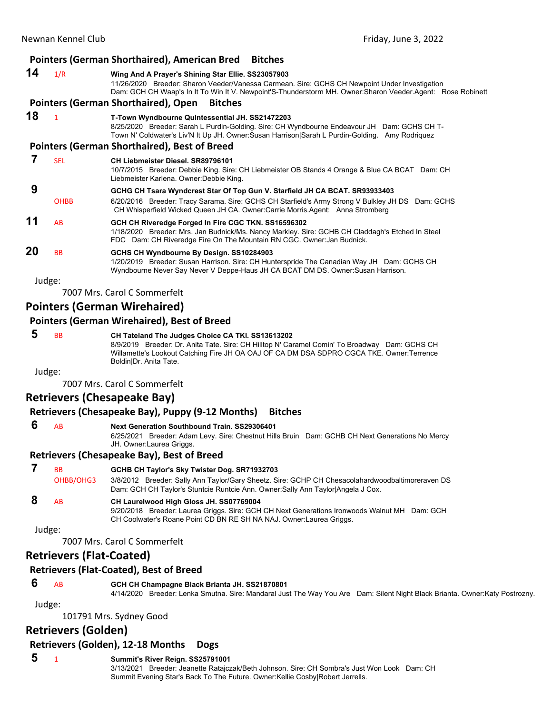### **Pointers (German Shorthaired), American Bred Bitches 14** 1/R **Wing And A Prayer's Shining Star Ellie. SS23057903** 11/26/2020 Breeder: Sharon Veeder/Vanessa Carmean. Sire: GCHS CH Newpoint Under Investigation Dam: GCH CH Waap's In It To Win It V. Newpoint'S-Thunderstorm MH. Owner:Sharon Veeder.Agent: Rose Robinett **Pointers (German Shorthaired), Open Bitches 18** <sup>1</sup> **T-Town Wyndbourne Quintessential JH. SS21472203** 8/25/2020 Breeder: Sarah L Purdin-Golding. Sire: CH Wyndbourne Endeavour JH Dam: GCHS CH T-Town N' Coldwater's Liv'N It Up JH. Owner:Susan Harrison|Sarah L Purdin-Golding. Amy Rodriquez **Pointers (German Shorthaired), Best of Breed 7** SEL **CH Liebmeister Diesel. SR89796101** 10/7/2015 Breeder: Debbie King. Sire: CH Liebmeister OB Stands 4 Orange & Blue CA BCAT Dam: CH Liebmeister Karlena. Owner:Debbie King.  **9 GCHG CH Tsara Wyndcrest Star Of Top Gun V. Starfield JH CA BCAT. SR93933403** OHBB 6/20/2016 Breeder: Tracy Sarama. Sire: GCHS CH Starfield's Army Strong V Bulkley JH DS Dam: GCHS CH Whisperfield Wicked Queen JH CA. Owner:Carrie Morris.Agent: Anna Stromberg **11** AB **GCH CH Riveredge Forged In Fire CGC TKN. SS16596302** 1/18/2020 Breeder: Mrs. Jan Budnick/Ms. Nancy Markley. Sire: GCHB CH Claddagh's Etched In Steel FDC Dam: CH Riveredge Fire On The Mountain RN CGC. Owner:Jan Budnick. **20** BB **GCHS CH Wyndbourne By Design. SS10284903** 1/20/2019 Breeder: Susan Harrison. Sire: CH Hunterspride The Canadian Way JH Dam: GCHS CH Wyndbourne Never Say Never V Deppe-Haus JH CA BCAT DM DS. Owner:Susan Harrison.

Judge:

7007 Mrs. Carol C Sommerfelt

# **Pointers (German Wirehaired)**

### **Pointers (German Wirehaired), Best of Breed**

| <b>BB</b> | CH Tateland The Judges Choice CA TKI. SS13613202                                              |
|-----------|-----------------------------------------------------------------------------------------------|
|           | 8/9/2019 Breeder: Dr. Anita Tate. Sire: CH Hilltop N' Caramel Comin' To Broadway Dam: GCHS CH |
|           | Willamette's Lookout Catching Fire JH OA OAJ OF CA DM DSA SDPRO CGCA TKE. Owner:Terrence      |
|           | BoldinIDr. Anita Tate.                                                                        |
| ۱٬۱۰۰٬۵۰۰ |                                                                                               |

Judge:

7007 Mrs. Carol C Sommerfelt

# **Retrievers (Chesapeake Bay)**

## **Retrievers (Chesapeake Bay), Puppy (9‐12 Months) Bitches**

### **6** AB **Next Generation Southbound Train. SS29306401**

6/25/2021 Breeder: Adam Levy. Sire: Chestnut Hills Bruin Dam: GCHB CH Next Generations No Mercy JH. Owner:Laurea Griggs.

### **Retrievers (Chesapeake Bay), Best of Breed**

 **7** BB **GCHB CH Taylor's Sky Twister Dog. SR71932703** OHBB/OHG3 3/8/2012 Breeder: Sally Ann Taylor/Gary Sheetz. Sire: GCHP CH Chesacolahardwoodbaltimoreraven DS Dam: GCH CH Taylor's Stuntcie Runtcie Ann. Owner:Sally Ann Taylor|Angela J Cox.  **8** AB **CH Laurelwood High Gloss JH. SS07769004**

9/20/2018 Breeder: Laurea Griggs. Sire: GCH CH Next Generations Ironwoods Walnut MH Dam: GCH CH Coolwater's Roane Point CD BN RE SH NA NAJ. Owner:Laurea Griggs.

Judge:

7007 Mrs. Carol C Sommerfelt

# **Retrievers (Flat‐Coated)**

## **Retrievers (Flat‐Coated), Best of Breed**

 **6** AB **GCH CH Champagne Black Brianta JH. SS21870801**

4/14/2020 Breeder: Lenka Smutna. Sire: Mandaral Just The Way You Are Dam: Silent Night Black Brianta. Owner:Katy Postrozny.

Judge:

101791 Mrs. Sydney Good

# **Retrievers (Golden)**

# **Retrievers (Golden), 12‐18 Months Dogs**

 **5** <sup>1</sup> **Summit's River Reign. SS25791001**

3/13/2021 Breeder: Jeanette Ratajczak/Beth Johnson. Sire: CH Sombra's Just Won Look Dam: CH Summit Evening Star's Back To The Future. Owner:Kellie Cosby|Robert Jerrells.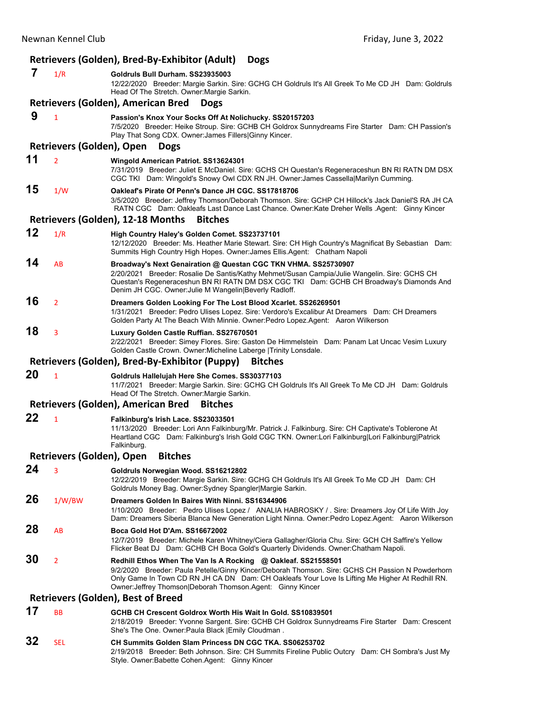|    |                           | Retrievers (Golden), Bred-By-Exhibitor (Adult)<br><b>Dogs</b>                                                                                                                                                                                                                                                                         |
|----|---------------------------|---------------------------------------------------------------------------------------------------------------------------------------------------------------------------------------------------------------------------------------------------------------------------------------------------------------------------------------|
| 7  | 1/R                       | Goldruls Bull Durham. SS23935003<br>12/22/2020 Breeder: Margie Sarkin. Sire: GCHG CH Goldruls It's All Greek To Me CD JH Dam: Goldruls<br>Head Of The Stretch. Owner: Margie Sarkin.                                                                                                                                                  |
|    |                           | Retrievers (Golden), American Bred<br><b>Dogs</b>                                                                                                                                                                                                                                                                                     |
| 9  | $\mathbf{1}$              | Passion's Knox Your Socks Off At Nolichucky. SS20157203<br>7/5/2020 Breeder: Heike Stroup. Sire: GCHB CH Goldrox Sunnydreams Fire Starter Dam: CH Passion's<br>Play That Song CDX. Owner: James Fillers Ginny Kincer.                                                                                                                 |
|    | Retrievers (Golden), Open | <b>Dogs</b>                                                                                                                                                                                                                                                                                                                           |
| 11 | $\overline{2}$            | Wingold American Patriot. SS13624301<br>7/31/2019 Breeder: Juliet E McDaniel. Sire: GCHS CH Questan's Regeneraceshun BN RI RATN DM DSX<br>CGC TKI Dam: Wingold's Snowy Owl CDX RN JH. Owner: James Cassella Marilyn Cumming.                                                                                                          |
| 15 | 1/W                       | Oakleaf's Pirate Of Penn's Dance JH CGC. SS17818706<br>3/5/2020 Breeder: Jeffrey Thomson/Deborah Thomson. Sire: GCHP CH Hillock's Jack Daniel'S RA JH CA<br>RATN CGC Dam: Oakleafs Last Dance Last Chance. Owner:Kate Dreher Wells .Agent: Ginny Kincer                                                                               |
|    |                           | Retrievers (Golden), 12-18 Months<br><b>Bitches</b>                                                                                                                                                                                                                                                                                   |
| 12 | 1/R                       | High Country Haley's Golden Comet. SS23737101<br>12/12/2020 Breeder: Ms. Heather Marie Stewart. Sire: CH High Country's Magnificat By Sebastian Dam:<br>Summits High Country High Hopes. Owner: James Ellis. Agent: Chatham Napoli                                                                                                    |
| 14 | AB                        | Broadway's Next Genairation @ Questan CGC TKN VHMA. SS25730907<br>2/20/2021 Breeder: Rosalie De Santis/Kathy Mehmet/Susan Campia/Julie Wangelin, Sire: GCHS CH<br>Questan's Regeneraceshun BN RI RATN DM DSX CGC TKI Dam: GCHB CH Broadway's Diamonds And<br>Denim JH CGC. Owner: Julie M Wangelin Beverly Radloff.                   |
| 16 | $\overline{2}$            | Dreamers Golden Looking For The Lost Blood Xcarlet. SS26269501<br>1/31/2021 Breeder: Pedro Ulises Lopez. Sire: Verdoro's Excalibur At Dreamers Dam: CH Dreamers<br>Golden Party At The Beach With Minnie. Owner:Pedro Lopez.Agent: Aaron Wilkerson                                                                                    |
| 18 | 3                         | Luxury Golden Castle Ruffian. SS27670501<br>2/22/2021 Breeder: Simey Flores. Sire: Gaston De Himmelstein Dam: Panam Lat Uncac Vesim Luxury<br>Golden Castle Crown. Owner: Micheline Laberge   Trinity Lonsdale.                                                                                                                       |
|    |                           | Retrievers (Golden), Bred-By-Exhibitor (Puppy)<br><b>Bitches</b>                                                                                                                                                                                                                                                                      |
| 20 | $\mathbf{1}$              | Goldruls Hallelujah Here She Comes. SS30377103<br>11/7/2021 Breeder: Margie Sarkin. Sire: GCHG CH Goldruls It's All Greek To Me CD JH Dam: Goldruls<br>Head Of The Stretch. Owner: Margie Sarkin.                                                                                                                                     |
|    |                           | Retrievers (Golden), American Bred<br><b>Bitches</b>                                                                                                                                                                                                                                                                                  |
| 22 | $\mathbf{1}$              | Falkinburg's Irish Lace. SS23033501<br>11/13/2020 Breeder: Lori Ann Falkinburg/Mr. Patrick J. Falkinburg. Sire: CH Captivate's Toblerone At<br>Heartland CGC Dam: Falkinburg's Irish Gold CGC TKN. Owner:Lori Falkinburg Lori Falkinburg Patrick<br>Falkinburg.                                                                       |
|    | Retrievers (Golden), Open | <b>Bitches</b>                                                                                                                                                                                                                                                                                                                        |
| 24 | 3                         | Goldruls Norwegian Wood. SS16212802<br>12/22/2019 Breeder: Margie Sarkin. Sire: GCHG CH Goldruls It's All Greek To Me CD JH Dam: CH<br>Goldruls Money Bag. Owner: Sydney Spangler Margie Sarkin.                                                                                                                                      |
| 26 | 1/W/BW                    | Dreamers Golden In Baires With Ninni. SS16344906<br>1/10/2020 Breeder: Pedro Ulises Lopez / ANALIA HABROSKY / Sire: Dreamers Joy Of Life With Joy<br>Dam: Dreamers Siberia Blanca New Generation Light Ninna. Owner: Pedro Lopez. Agent: Aaron Wilkerson                                                                              |
| 28 | AB                        | Boca Gold Hot D'Am. SS16672002<br>12/7/2019 Breeder: Michele Karen Whitney/Ciera Gallagher/Gloria Chu. Sire: GCH CH Saffire's Yellow<br>Flicker Beat DJ Dam: GCHB CH Boca Gold's Quarterly Dividends. Owner: Chatham Napoli.                                                                                                          |
| 30 | $\overline{2}$            | Redhill Ethos When The Van Is A Rocking @ Oakleaf. SS21558501<br>9/2/2020 Breeder: Paula Petelle/Ginny Kincer/Deborah Thomson. Sire: GCHS CH Passion N Powderhorn<br>Only Game In Town CD RN JH CA DN Dam: CH Oakleafs Your Love Is Lifting Me Higher At Redhill RN.<br>Owner: Jeffrey Thomson   Deborah Thomson. Agent: Ginny Kincer |
|    |                           | <b>Retrievers (Golden), Best of Breed</b>                                                                                                                                                                                                                                                                                             |
| 17 | <b>BB</b>                 | GCHB CH Crescent Goldrox Worth His Wait In Gold. SS10839501<br>2/18/2019 Breeder: Yvonne Sargent. Sire: GCHB CH Goldrox Sunnydreams Fire Starter Dam: Crescent<br>She's The One. Owner: Paula Black   Emily Cloudman.                                                                                                                 |
| 32 | <b>SEL</b>                | CH Summits Golden Slam Princess DN CGC TKA. SS06253702                                                                                                                                                                                                                                                                                |

2/19/2018 Breeder: Beth Johnson. Sire: CH Summits Fireline Public Outcry Dam: CH Sombra's Just My Style. Owner:Babette Cohen.Agent: Ginny Kincer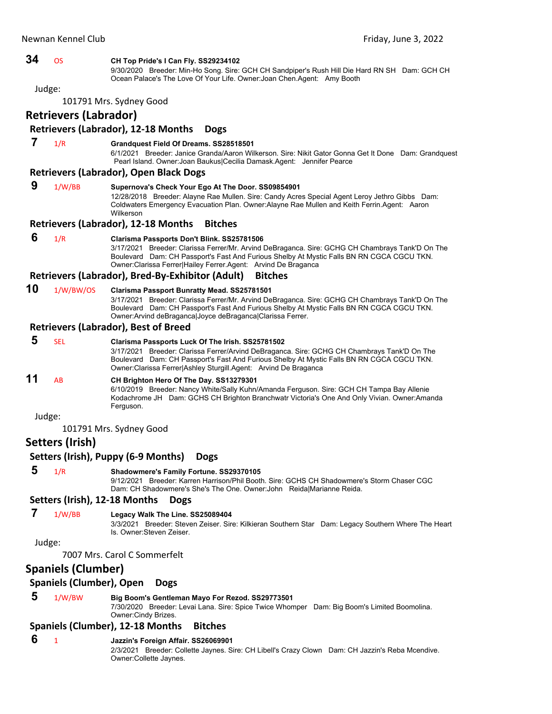# **34** OS **CH Top Pride's I Can Fly. SS29234102** 9/30/2020 Breeder: Min-Ho Song. Sire: GCH CH Sandpiper's Rush Hill Die Hard RN SH Dam: GCH CH Ocean Palace's The Love Of Your Life. Owner:Joan Chen.Agent: Amy Booth Judge: 101791 Mrs. Sydney Good **Retrievers (Labrador) Retrievers (Labrador), 12‐18 Months Dogs**

### **7** 1/R **Grandquest Field Of Dreams. SS28518501**

6/1/2021 Breeder: Janice Granda/Aaron Wilkerson. Sire: Nikit Gator Gonna Get It Done Dam: Grandquest Pearl Island. Owner:Joan Baukus|Cecilia Damask.Agent: Jennifer Pearce

### **Retrievers (Labrador), Open Black Dogs**

- **9** 1/W/BB **Supernova's Check Your Ego At The Door. SS09854901** 12/28/2018 Breeder: Alayne Rae Mullen. Sire: Candy Acres Special Agent Leroy Jethro Gibbs Dam: Coldwaters Emergency Evacuation Plan. Owner:Alayne Rae Mullen and Keith Ferrin.Agent: Aaron
	- Wilkerson

### **Retrievers (Labrador), 12‐18 Months Bitches**

### **6** 1/R **Clarisma Passports Don't Blink. SS25781506**

3/17/2021 Breeder: Clarissa Ferrer/Mr. Arvind DeBraganca. Sire: GCHG CH Chambrays Tank'D On The Boulevard Dam: CH Passport's Fast And Furious Shelby At Mystic Falls BN RN CGCA CGCU TKN. Owner:Clarissa Ferrer|Hailey Ferrer.Agent: Arvind De Braganca

### **Retrievers (Labrador), Bred‐By‐Exhibitor (Adult) Bitches**

### **10** 1/W/BW/OS **Clarisma Passport Bunratty Mead. SS25781501**

3/17/2021 Breeder: Clarissa Ferrer/Mr. Arvind DeBraganca. Sire: GCHG CH Chambrays Tank'D On The Boulevard Dam: CH Passport's Fast And Furious Shelby At Mystic Falls BN RN CGCA CGCU TKN. Owner:Arvind deBraganca|Joyce deBraganca|Clarissa Ferrer.

### **Retrievers (Labrador), Best of Breed**

### **5** SEL **Clarisma Passports Luck Of The Irish. SS25781502** 3/17/2021 Breeder: Clarissa Ferrer/Arvind DeBraganca. Sire: GCHG CH Chambrays Tank'D On The Boulevard Dam: CH Passport's Fast And Furious Shelby At Mystic Falls BN RN CGCA CGCU TKN. Owner:Clarissa Ferrer|Ashley Sturgill.Agent: Arvind De Braganca **11** AB **CH Brighton Hero Of The Day. SS13279301** 6/10/2019 Breeder: Nancy White/Sally Kuhn/Amanda Ferguson. Sire: GCH CH Tampa Bay Allenie Kodachrome JH Dam: GCHS CH Brighton Branchwatr Victoria's One And Only Vivian. Owner:Amanda Ferguson.

Judge:

101791 Mrs. Sydney Good

### **Setters (Irish)**

# **Setters (Irish), Puppy (6‐9 Months) Dogs**

### **5** 1/R **Shadowmere's Family Fortune. SS29370105**

9/12/2021 Breeder: Karren Harrison/Phil Booth. Sire: GCHS CH Shadowmere's Storm Chaser CGC Dam: CH Shadowmere's She's The One. Owner:John Reida|Marianne Reida.

### **Setters (Irish), 12‐18 Months Dogs**

# **7** 1/W/BB **Legacy Walk The Line. SS25089404**

3/3/2021 Breeder: Steven Zeiser. Sire: Kilkieran Southern Star Dam: Legacy Southern Where The Heart Is. Owner:Steven Zeiser.

### Judge:

7007 Mrs. Carol C Sommerfelt

## **Spaniels (Clumber)**

### **Spaniels (Clumber), Open Dogs**

### **5** 1/W/BW **Big Boom's Gentleman Mayo For Rezod. SS29773501**

7/30/2020 Breeder: Levai Lana. Sire: Spice Twice Whomper Dam: Big Boom's Limited Boomolina. Owner:Cindy Brizes.

### **Spaniels (Clumber), 12‐18 Months Bitches**

### **6** <sup>1</sup> **Jazzin's Foreign Affair. SS26069901**

2/3/2021 Breeder: Collette Jaynes. Sire: CH Libell's Crazy Clown Dam: CH Jazzin's Reba Mcendive. Owner:Collette Jaynes.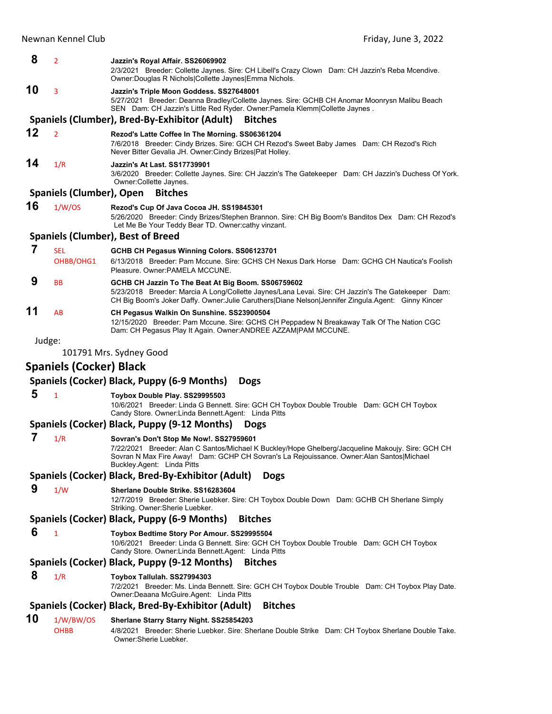### **8** <sup>2</sup> **Jazzin's Royal Affair. SS26069902**

2/3/2021 Breeder: Collette Jaynes. Sire: CH Libell's Crazy Clown Dam: CH Jazzin's Reba Mcendive. Owner:Douglas R Nichols|Collette Jaynes|Emma Nichols.

# **10** <sup>3</sup> **Jazzin's Triple Moon Goddess. SS27648001**

5/27/2021 Breeder: Deanna Bradley/Collette Jaynes. Sire: GCHB CH Anomar Moonrysn Malibu Beach SEN Dam: CH Jazzin's Little Red Ryder. Owner:Pamela Klemm|Collette Jaynes .

# **Spaniels (Clumber), Bred‐By‐Exhibitor (Adult) Bitches**

**12** <sup>2</sup> **Rezod's Latte Coffee In The Morning. SS06361204**

7/6/2018 Breeder: Cindy Brizes. Sire: GCH CH Rezod's Sweet Baby James Dam: CH Rezod's Rich Never Bitter Gevalia JH. Owner:Cindy Brizes|Pat Holley.

# **14** 1/R **Jazzin's At Last. SS17739901**

3/6/2020 Breeder: Collette Jaynes. Sire: CH Jazzin's The Gatekeeper Dam: CH Jazzin's Duchess Of York. Owner:Collette Jaynes.

### **Spaniels (Clumber), Open Bitches**

**16** 1/W/OS **Rezod's Cup Of Java Cocoa JH. SS19845301**

5/26/2020 Breeder: Cindy Brizes/Stephen Brannon. Sire: CH Big Boom's Banditos Dex Dam: CH Rezod's Let Me Be Your Teddy Bear TD. Owner:cathy vinzant.

### **Spaniels (Clumber), Best of Breed**

# **7** SEL **GCHB CH Pegasus Winning Colors. SS06123701** OHBB/OHG1 6/13/2018 Breeder: Pam Mccune. Sire: GCHS CH Nexus Dark Horse Dam: GCHG CH Nautica's Foolish Pleasure. Owner:PAMELA MCCUNE.  **9** BB **GCHB CH Jazzin To The Beat At Big Boom. SS06759602** 5/23/2018 Breeder: Marcia A Long/Collette Jaynes/Lana Levai. Sire: CH Jazzin's The Gatekeeper Dam: CH Big Boom's Joker Daffy. Owner:Julie Caruthers|Diane Nelson|Jennifer Zingula.Agent: Ginny Kincer

# **11** AB **CH Pegasus Walkin On Sunshine. SS23900504**

12/15/2020 Breeder: Pam Mccune. Sire: GCHS CH Peppadew N Breakaway Talk Of The Nation CGC Dam: CH Pegasus Play It Again. Owner:ANDREE AZZAM|PAM MCCUNE.

Judge:

101791 Mrs. Sydney Good

# **Spaniels (Cocker) Black**

### **Spaniels (Cocker) Black, Puppy (6‐9 Months) Dogs**

### **5** <sup>1</sup> **Toybox Double Play. SS29995503**

10/6/2021 Breeder: Linda G Bennett. Sire: GCH CH Toybox Double Trouble Dam: GCH CH Toybox Candy Store. Owner:Linda Bennett.Agent: Linda Pitts

### **Spaniels (Cocker) Black, Puppy (9‐12 Months) Dogs**

### **7** 1/R **Sovran's Don't Stop Me Now!. SS27959601**

7/22/2021 Breeder: Alan C Santos/Michael K Buckley/Hope Ghelberg/Jacqueline Makoujy. Sire: GCH CH Sovran N Max Fire Away! Dam: GCHP CH Sovran's La Rejouissance. Owner:Alan Santos|Michael Buckley.Agent: Linda Pitts

### **Spaniels (Cocker) Black, Bred‐By‐Exhibitor (Adult) Dogs**

### **9** 1/W **Sherlane Double Strike. SS16283604**

12/7/2019 Breeder: Sherie Luebker. Sire: CH Toybox Double Down Dam: GCHB CH Sherlane Simply Striking. Owner:Sherie Luebker.

### **Spaniels (Cocker) Black, Puppy (6‐9 Months) Bitches**

- **6** <sup>1</sup> **Toybox Bedtime Story Por Amour. SS29995504**
	- 10/6/2021 Breeder: Linda G Bennett. Sire: GCH CH Toybox Double Trouble Dam: GCH CH Toybox
	- Candy Store. Owner:Linda Bennett.Agent: Linda Pitts

## **Spaniels (Cocker) Black, Puppy (9‐12 Months) Bitches**

# **8** 1/R **Toybox Tallulah. SS27994303**

7/2/2021 Breeder: Ms. Linda Bennett. Sire: GCH CH Toybox Double Trouble Dam: CH Toybox Play Date. Owner:Deaana McGuire.Agent: Linda Pitts

## **Spaniels (Cocker) Black, Bred‐By‐Exhibitor (Adult) Bitches**

# **10** 1/W/BW/OS **Sherlane Starry Starry Night. SS25854203**

OHBB 4/8/2021 Breeder: Sherie Luebker. Sire: Sherlane Double Strike Dam: CH Toybox Sherlane Double Take. Owner:Sherie Luebker.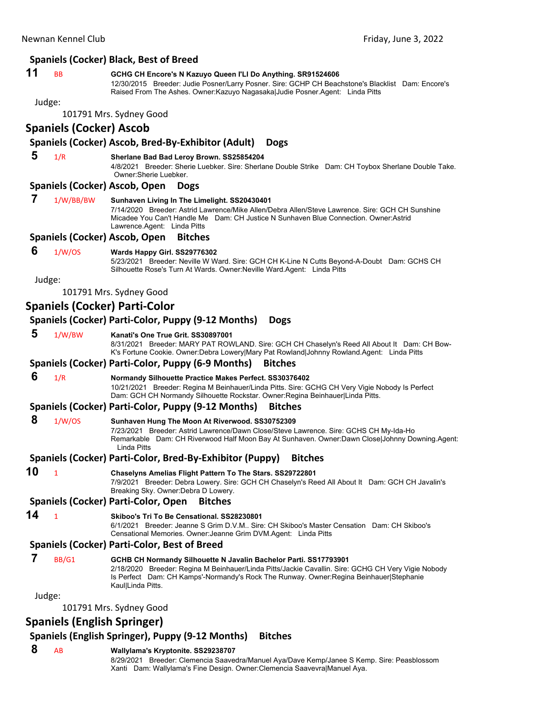# **Spaniels (Cocker) Black, Best of Breed**

# **11** BB **GCHG CH Encore's N Kazuyo Queen I'Ll Do Anything. SR91524606**

12/30/2015 Breeder: Judie Posner/Larry Posner. Sire: GCHP CH Beachstone's Blacklist Dam: Encore's Raised From The Ashes. Owner:Kazuyo Nagasaka|Judie Posner.Agent: Linda Pitts

# Judge:

101791 Mrs. Sydney Good

# **Spaniels (Cocker) Ascob**

# **Spaniels (Cocker) Ascob, Bred‐By‐Exhibitor (Adult) Dogs**

# **5** 1/R **Sherlane Bad Bad Leroy Brown. SS25854204**

4/8/2021 Breeder: Sherie Luebker. Sire: Sherlane Double Strike Dam: CH Toybox Sherlane Double Take. Owner:Sherie Luebker.

# **Spaniels (Cocker) Ascob, Open Dogs**

|    |              | Spaniers (COCKEI) ASCOD, Open DORS                                                                                                                                                                                                                                                     |
|----|--------------|----------------------------------------------------------------------------------------------------------------------------------------------------------------------------------------------------------------------------------------------------------------------------------------|
| 7  | 1/W/BB/BW    | Sunhaven Living In The Limelight. SS20430401<br>7/14/2020 Breeder: Astrid Lawrence/Mike Allen/Debra Allen/Steve Lawrence. Sire: GCH CH Sunshine<br>Micadee You Can't Handle Me Dam: CH Justice N Sunhaven Blue Connection. Owner: Astrid<br>Lawrence.Agent: Linda Pitts                |
|    |              | Spaniels (Cocker) Ascob, Open<br><b>Bitches</b>                                                                                                                                                                                                                                        |
| 6  | 1/W/OS       | Wards Happy Girl. SS29776302<br>5/23/2021 Breeder: Neville W Ward. Sire: GCH CH K-Line N Cutts Beyond-A-Doubt Dam: GCHS CH<br>Silhouette Rose's Turn At Wards. Owner: Neville Ward. Agent: Linda Pitts                                                                                 |
|    | Judge:       |                                                                                                                                                                                                                                                                                        |
|    |              | 101791 Mrs. Sydney Good                                                                                                                                                                                                                                                                |
|    |              | Spaniels (Cocker) Parti-Color                                                                                                                                                                                                                                                          |
|    |              | Spaniels (Cocker) Parti-Color, Puppy (9-12 Months)<br><b>Dogs</b>                                                                                                                                                                                                                      |
| 5  | 1/W/BW       | Kanati's One True Grit, SS30897001<br>8/31/2021 Breeder: MARY PAT ROWLAND. Sire: GCH CH Chaselyn's Reed All About It Dam: CH Bow-<br>K's Fortune Cookie. Owner:Debra Lowery Mary Pat Rowland Johnny Rowland.Agent: Linda Pitts                                                         |
|    |              | Spaniels (Cocker) Parti-Color, Puppy (6-9 Months)<br><b>Bitches</b>                                                                                                                                                                                                                    |
| 6  | 1/R          | Normandy Silhouette Practice Makes Perfect. SS30376402<br>10/21/2021 Breeder: Regina M Beinhauer/Linda Pitts. Sire: GCHG CH Very Vigie Nobody Is Perfect<br>Dam: GCH CH Normandy Silhouette Rockstar. Owner: Regina Beinhauer   Linda Pitts.                                           |
|    |              | Spaniels (Cocker) Parti-Color, Puppy (9-12 Months)<br><b>Bitches</b>                                                                                                                                                                                                                   |
| 8  | 1/W/OS       | Sunhaven Hung The Moon At Riverwood. SS30752309<br>7/23/2021 Breeder: Astrid Lawrence/Dawn Close/Steve Lawrence. Sire: GCHS CH My-Ida-Ho<br>Remarkable Dam: CH Riverwood Half Moon Bay At Sunhaven. Owner:Dawn Close Johnny Downing.Agent:<br><b>Linda Pitts</b>                       |
|    |              | Spaniels (Cocker) Parti-Color, Bred-By-Exhibitor (Puppy)<br><b>Bitches</b>                                                                                                                                                                                                             |
| 10 | $\mathbf{1}$ | Chaselyns Amelias Flight Pattern To The Stars. SS29722801<br>7/9/2021 Breeder: Debra Lowery. Sire: GCH CH Chaselyn's Reed All About It Dam: GCH CH Javalin's<br>Breaking Sky. Owner: Debra D Lowery.                                                                                   |
|    |              | Spaniels (Cocker) Parti-Color, Open<br><b>Bitches</b>                                                                                                                                                                                                                                  |
| 14 | $\mathbf{1}$ | Skiboo's Tri To Be Censational, SS28230801<br>6/1/2021 Breeder: Jeanne S Grim D.V.M., Sire: CH Skiboo's Master Censation Dam: CH Skiboo's<br>Censational Memories. Owner: Jeanne Grim DVM.Agent: Linda Pitts                                                                           |
|    |              | <b>Spaniels (Cocker) Parti-Color, Best of Breed</b>                                                                                                                                                                                                                                    |
| 7  | BB/G1        | GCHB CH Normandy Silhouette N Javalin Bachelor Parti. SS17793901<br>2/18/2020 Breeder: Regina M Beinhauer/Linda Pitts/Jackie Cavallin. Sire: GCHG CH Very Vigie Nobody<br>Is Perfect Dam: CH Kamps'-Normandy's Rock The Runway. Owner: Regina Beinhauer Stephanie<br>Kaul Linda Pitts. |
|    | Judge:       |                                                                                                                                                                                                                                                                                        |
|    |              | 101791 Mrs. Sydney Good                                                                                                                                                                                                                                                                |
|    |              | <b>Spaniels (English Springer)</b>                                                                                                                                                                                                                                                     |
|    |              | Spaniels (English Springer), Puppy (9-12 Months)<br><b>Bitches</b>                                                                                                                                                                                                                     |
| 8  | <b>AB</b>    | Wallylama's Kryptonite. SS29238707<br>8/29/2021 Breeder: Clemencia Saavedra/Manuel Aya/Dave Kemp/Janee S Kemp. Sire: Peasblossom<br>Xanti Dam: Wallylama's Fine Design. Owner: Clemencia Saavevra Manuel Aya.                                                                          |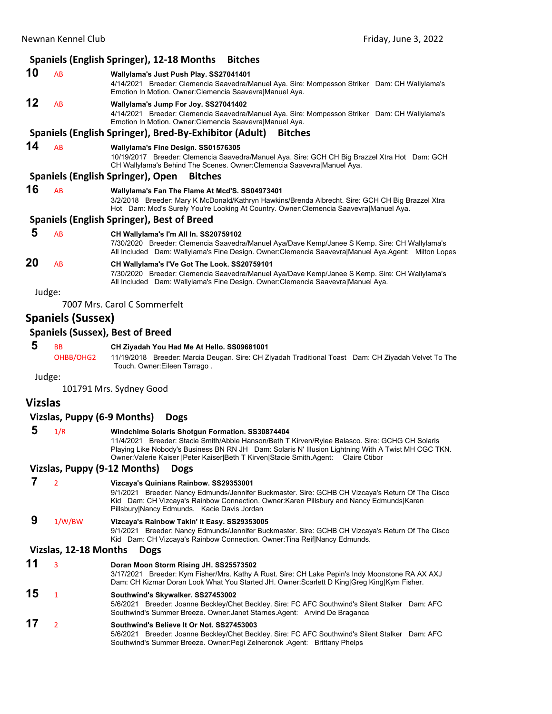|                |                              | Spaniels (English Springer), 12-18 Months<br><b>Bitches</b>                                                                                                                                                                                                                                                                                          |
|----------------|------------------------------|------------------------------------------------------------------------------------------------------------------------------------------------------------------------------------------------------------------------------------------------------------------------------------------------------------------------------------------------------|
| 10             | AB                           | Wallylama's Just Push Play. SS27041401<br>4/14/2021 Breeder: Clemencia Saavedra/Manuel Aya. Sire: Mompesson Striker Dam: CH Wallylama's<br>Emotion In Motion. Owner: Clemencia Saavevra Manuel Aya.                                                                                                                                                  |
| 12             | AB                           | Wallylama's Jump For Joy. SS27041402<br>4/14/2021 Breeder: Clemencia Saavedra/Manuel Aya. Sire: Mompesson Striker Dam: CH Wallylama's<br>Emotion In Motion. Owner: Clemencia Saavevra Manuel Aya.                                                                                                                                                    |
|                |                              | Spaniels (English Springer), Bred-By-Exhibitor (Adult)<br><b>Bitches</b>                                                                                                                                                                                                                                                                             |
| 14             | AB                           | Wallylama's Fine Design. SS01576305<br>10/19/2017 Breeder: Clemencia Saavedra/Manuel Aya. Sire: GCH CH Big Brazzel Xtra Hot Dam: GCH<br>CH Wallylama's Behind The Scenes. Owner: Clemencia Saavevra Manuel Aya.                                                                                                                                      |
|                |                              | Spaniels (English Springer), Open<br><b>Bitches</b>                                                                                                                                                                                                                                                                                                  |
| 16             | AB                           | Wallylama's Fan The Flame At Mcd'S. SS04973401<br>3/2/2018 Breeder: Mary K McDonald/Kathryn Hawkins/Brenda Albrecht. Sire: GCH CH Big Brazzel Xtra<br>Hot Dam: Mcd's Surely You're Looking At Country. Owner: Clemencia Saavevra Manuel Aya.                                                                                                         |
|                |                              | Spaniels (English Springer), Best of Breed                                                                                                                                                                                                                                                                                                           |
| 5              | AB                           | CH Wallylama's I'm All In. SS20759102<br>7/30/2020 Breeder: Clemencia Saavedra/Manuel Aya/Dave Kemp/Janee S Kemp. Sire: CH Wallylama's<br>All Included Dam: Wallylama's Fine Design. Owner: Clemencia Saavevra Manuel Aya. Agent: Milton Lopes                                                                                                       |
| 20             | AB                           | CH Wallylama's I'Ve Got The Look. SS20759101<br>7/30/2020 Breeder: Clemencia Saavedra/Manuel Aya/Dave Kemp/Janee S Kemp. Sire: CH Wallylama's<br>All Included Dam: Wallylama's Fine Design. Owner: Clemencia Saavevra Manuel Aya.                                                                                                                    |
| Judge:         |                              |                                                                                                                                                                                                                                                                                                                                                      |
|                |                              | 7007 Mrs. Carol C Sommerfelt                                                                                                                                                                                                                                                                                                                         |
|                | <b>Spaniels (Sussex)</b>     |                                                                                                                                                                                                                                                                                                                                                      |
|                |                              | <b>Spaniels (Sussex), Best of Breed</b>                                                                                                                                                                                                                                                                                                              |
| 5              | ВB<br>OHBB/OHG2              | CH Ziyadah You Had Me At Hello. SS09681001<br>11/19/2018 Breeder: Marcia Deugan. Sire: CH Ziyadah Traditional Toast Dam: CH Ziyadah Velvet To The<br>Touch. Owner: Eileen Tarrago.                                                                                                                                                                   |
| Judge:         |                              |                                                                                                                                                                                                                                                                                                                                                      |
|                |                              | 101791 Mrs. Sydney Good                                                                                                                                                                                                                                                                                                                              |
| <b>Vizslas</b> |                              |                                                                                                                                                                                                                                                                                                                                                      |
|                | Vizslas, Puppy (6-9 Months)  | <b>Dogs</b>                                                                                                                                                                                                                                                                                                                                          |
| 5              | 1/R                          | Windchime Solaris Shotgun Formation. SS30874404<br>11/4/2021 Breeder: Stacie Smith/Abbie Hanson/Beth T Kirven/Rylee Balasco. Sire: GCHG CH Solaris<br>Playing Like Nobody's Business BN RN JH Dam: Solaris N' Illusion Lightning With A Twist MH CGC TKN.<br>Owner: Valerie Kaiser   Peter Kaiser  Beth T Kirven  Stacie Smith. Agent: Claire Ctibor |
|                | Vizslas, Puppy (9-12 Months) | <b>Dogs</b>                                                                                                                                                                                                                                                                                                                                          |
| 7              | $\overline{2}$               | Vizcaya's Quinians Rainbow. SS29353001<br>9/1/2021 Breeder: Nancy Edmunds/Jennifer Buckmaster. Sire: GCHB CH Vizcaya's Return Of The Cisco<br>Kid Dam: CH Vizcaya's Rainbow Connection. Owner: Karen Pillsbury and Nancy Edmunds  Karen<br>Pillsbury Nancy Edmunds. Kacie Davis Jordan                                                               |
| 9              | 1/W/BW                       | Vizcaya's Rainbow Takin' It Easy. SS29353005<br>9/1/2021 Breeder: Nancy Edmunds/Jennifer Buckmaster. Sire: GCHB CH Vizcaya's Return Of The Cisco<br>Kid Dam: CH Vizcaya's Rainbow Connection. Owner: Tina Reif Nancy Edmunds.                                                                                                                        |
|                | Vizslas, 12-18 Months        | <b>Dogs</b>                                                                                                                                                                                                                                                                                                                                          |
| 11             | 3                            | Doran Moon Storm Rising JH. SS25573502<br>3/17/2021 Breeder: Kym Fisher/Mrs. Kathy A Rust. Sire: CH Lake Pepin's Indy Moonstone RA AX AXJ<br>Dam: CH Kizmar Doran Look What You Started JH. Owner: Scarlett D King Greg King Kym Fisher.                                                                                                             |
| 15             | $\mathbf{1}$                 | Southwind's Skywalker. SS27453002<br>5/6/2021 Breeder: Joanne Beckley/Chet Beckley. Sire: FC AFC Southwind's Silent Stalker Dam: AFC<br>Southwind's Summer Breeze. Owner:Janet Starnes.Agent:   Arvind De Braganca                                                                                                                                   |
| 17             | $\overline{2}$               | Southwind's Believe It Or Not. SS27453003<br>5/6/2021 Breeder: Joanne Beckley/Chet Beckley. Sire: FC AFC Southwind's Silent Stalker Dam: AFC<br>Southwind's Summer Breeze. Owner: Pegi Zelneronok Agent: Brittany Phelps                                                                                                                             |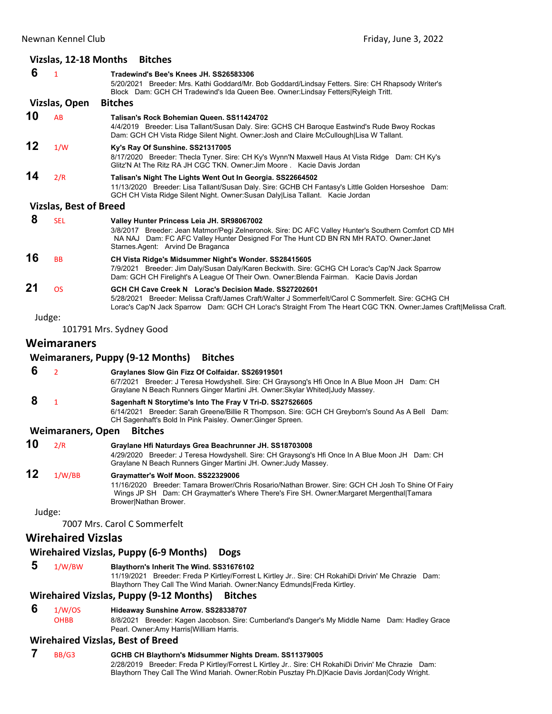|    | Vizslas, 12-18 Months         | <b>Bitches</b>                                                                                                                                                                                                                                                                    |
|----|-------------------------------|-----------------------------------------------------------------------------------------------------------------------------------------------------------------------------------------------------------------------------------------------------------------------------------|
| 6  | $\mathbf{1}$                  | Tradewind's Bee's Knees JH. SS26583306<br>5/20/2021 Breeder: Mrs. Kathi Goddard/Mr. Bob Goddard/Lindsay Fetters. Sire: CH Rhapsody Writer's<br>Block Dam: GCH CH Tradewind's Ida Queen Bee. Owner:Lindsay Fetters Ryleigh Tritt.                                                  |
|    | Vizslas, Open                 | <b>Bitches</b>                                                                                                                                                                                                                                                                    |
| 10 | AB                            | Talisan's Rock Bohemian Queen, SS11424702                                                                                                                                                                                                                                         |
|    |                               | 4/4/2019 Breeder: Lisa Tallant/Susan Daly. Sire: GCHS CH Baroque Eastwind's Rude Bwoy Rockas<br>Dam: GCH CH Vista Ridge Silent Night. Owner: Josh and Claire McCullough Lisa W Tallant.                                                                                           |
| 12 | 1/W                           | Ky's Ray Of Sunshine. SS21317005<br>8/17/2020 Breeder: Thecla Tyner. Sire: CH Ky's Wynn'N Maxwell Haus At Vista Ridge Dam: CH Ky's<br>Glitz'N At The Ritz RA JH CGC TKN. Owner: Jim Moore . Kacie Davis Jordan                                                                    |
| 14 | 2/R                           | Talisan's Night The Lights Went Out In Georgia. SS22664502<br>11/13/2020 Breeder: Lisa Tallant/Susan Daly. Sire: GCHB CH Fantasy's Little Golden Horseshoe Dam:<br>GCH CH Vista Ridge Silent Night. Owner: Susan Daly Lisa Tallant. Kacie Jordan                                  |
|    | <b>Vizslas, Best of Breed</b> |                                                                                                                                                                                                                                                                                   |
| 8  | <b>SEL</b>                    | Valley Hunter Princess Leia JH. SR98067002<br>3/8/2017 Breeder: Jean Matmor/Pegi Zelneronok. Sire: DC AFC Valley Hunter's Southern Comfort CD MH<br>NA NAJ Dam: FC AFC Valley Hunter Designed For The Hunt CD BN RN MH RATO. Owner: Janet<br>Starnes Agent: Arvind De Braganca    |
| 16 | <b>BB</b>                     | CH Vista Ridge's Midsummer Night's Wonder. SS28415605<br>7/9/2021 Breeder: Jim Daly/Susan Daly/Karen Beckwith. Sire: GCHG CH Lorac's Cap'N Jack Sparrow<br>Dam: GCH CH Firelight's A League Of Their Own. Owner: Blenda Fairman. Kacie Davis Jordan                               |
| 21 | <b>OS</b>                     | GCH CH Cave Creek N Lorac's Decision Made. SS27202601<br>5/28/2021 Breeder: Melissa Craft/James Craft/Walter J Sommerfelt/Carol C Sommerfelt. Sire: GCHG CH<br>Lorac's Cap'N Jack Sparrow Dam: GCH CH Lorac's Straight From The Heart CGC TKN. Owner: James Craft [Melissa Craft. |
|    | Judge:                        |                                                                                                                                                                                                                                                                                   |
|    |                               | 101791 Mrs. Sydney Good                                                                                                                                                                                                                                                           |
|    | <b>Weimaraners</b>            |                                                                                                                                                                                                                                                                                   |
|    |                               | <b>Weimaraners, Puppy (9-12 Months)</b><br><b>Bitches</b>                                                                                                                                                                                                                         |
| 6  | $\overline{2}$                | Graylanes Slow Gin Fizz Of Colfaidar. SS26919501<br>6/7/2021 Breeder: J Teresa Howdyshell. Sire: CH Graysong's Hfi Once In A Blue Moon JH Dam: CH<br>Graylane N Beach Runners Ginger Martini JH. Owner: Skylar Whited Judy Massey.                                                |
| 8  | $\mathbf{1}$                  | Sagenhaft N Storytime's Into The Fray V Tri-D. SS27526605<br>6/14/2021 Breeder: Sarah Greene/Billie R Thompson. Sire: GCH CH Greyborn's Sound As A Bell Dam:<br>CH Sagenhaft's Bold In Pink Paisley. Owner: Ginger Spreen.                                                        |
|    | <b>Weimaraners, Open</b>      | <b>Bitches</b>                                                                                                                                                                                                                                                                    |
| 10 | 2/R                           | Graylane Hfi Naturdays Grea Beachrunner JH. SS18703008<br>4/29/2020 Breeder: J Teresa Howdyshell. Sire: CH Graysong's Hfi Once In A Blue Moon JH Dam: CH<br>Graylane N Beach Runners Ginger Martini JH. Owner: Judy Massey.                                                       |
| 12 | 1/W/BB                        | Graymatter's Wolf Moon. SS22329006<br>11/16/2020 Breeder: Tamara Brower/Chris Rosario/Nathan Brower. Sire: GCH CH Josh To Shine Of Fairy<br>Wings JP SH Dam: CH Graymatter's Where There's Fire SH. Owner: Margaret Mergenthal Tamara<br>Brower Nathan Brower.                    |
|    | Judge:                        |                                                                                                                                                                                                                                                                                   |
|    |                               | 7007 Mrs. Carol C Sommerfelt                                                                                                                                                                                                                                                      |
|    | <b>Wirehaired Vizslas</b>     |                                                                                                                                                                                                                                                                                   |
|    |                               | <b>Wirehaired Vizslas, Puppy (6-9 Months)</b><br><b>Dogs</b>                                                                                                                                                                                                                      |
| 5  | 1/W/BW                        | Blaythorn's Inherit The Wind. SS31676102<br>11/19/2021 Breeder: Freda P Kirtley/Forrest L Kirtley Jr Sire: CH RokahiDi Drivin' Me Chrazie Dam:<br>Blaythorn They Call The Wind Mariah. Owner: Nancy Edmunds   Freda Kirtley.                                                      |
|    |                               | Wirehaired Vizslas, Puppy (9-12 Months) Bitches                                                                                                                                                                                                                                   |

# **Wirehaired Vizslas, Puppy (9‐12 Months) Bitches**

**6** 1/W/OS **Hideaway Sunshine Arrow. SS28338707**<br>OHBB 8/8/2021 Breeder: Kagen Jacobson. Sire:

8/8/2021 Breeder: Kagen Jacobson. Sire: Cumberland's Danger's My Middle Name Dam: Hadley Grace Pearl. Owner:Amy Harris|William Harris.

# **Wirehaired Vizslas, Best of Breed**

# **7** BB/G3 **GCHB CH Blaythorn's Midsummer Nights Dream. SS11379005**

2/28/2019 Breeder: Freda P Kirtley/Forrest L Kirtley Jr.. Sire: CH RokahiDi Drivin' Me Chrazie Dam: Blaythorn They Call The Wind Mariah. Owner:Robin Pusztay Ph.D|Kacie Davis Jordan|Cody Wright.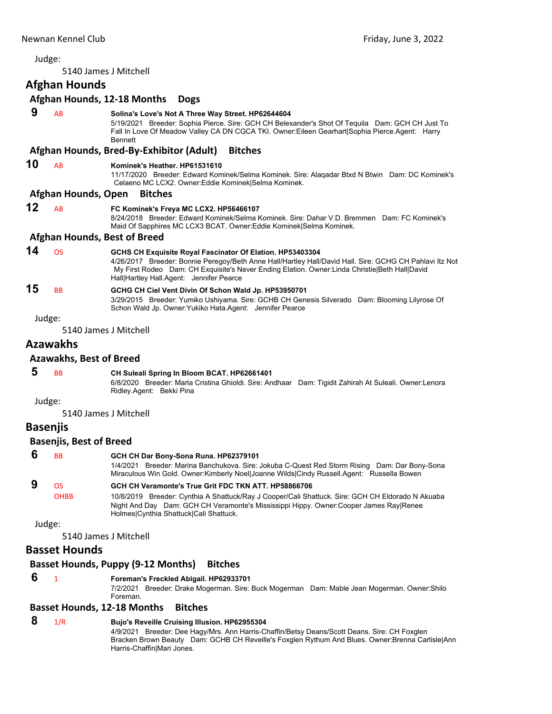# <span id="page-10-0"></span>Judge: 5140 James J Mitchell **Afghan Hounds Afghan Hounds, 12‐18 Months Dogs 9** AB **Solina's Love's Not A Three Way Street. HP62644604** 5/19/2021 Breeder: Sophia Pierce. Sire: GCH CH Belexander's Shot Of Tequila Dam: GCH CH Just To Fall In Love Of Meadow Valley CA DN CGCA TKI. Owner:Eileen Gearhart|Sophia Pierce.Agent: Harry Bennett **Afghan Hounds, Bred‐By‐Exhibitor (Adult) Bitches 10** AB **Kominek's Heather. HP61531610** 11/17/2020 Breeder: Edward Kominek/Selma Kominek. Sire: Alaqadar Btxd N Btwin Dam: DC Kominek's Celaeno MC LCX2. Owner:Eddie Kominek|Selma Kominek. **Afghan Hounds, Open Bitches 12** AB **FC Kominek's Freya MC LCX2. HP56466107** 8/24/2018 Breeder: Edward Kominek/Selma Kominek. Sire: Dahar V.D. Bremmen Dam: FC Kominek's Maid Of Sapphires MC LCX3 BCAT. Owner:Eddie Kominek|Selma Kominek. **Afghan Hounds, Best of Breed 14** OS **GCHS CH Exquisite Royal Fascinator Of Elation. HP53403304** 4/26/2017 Breeder: Bonnie Peregoy/Beth Anne Hall/Hartley Hall/David Hall. Sire: GCHG CH Pahlavi Itz Not My First Rodeo Dam: CH Exquisite's Never Ending Elation. Owner:Linda Christie|Beth Hall|David Hall|Hartley Hall.Agent: Jennifer Pearce **15** BB **GCHG CH Ciel Vent Divin Of Schon Wald Jp. HP53950701** 3/29/2015 Breeder: Yumiko Ushiyama. Sire: GCHB CH Genesis Silverado Dam: Blooming Lilyrose Of Schon Wald Jp. Owner:Yukiko Hata.Agent: Jennifer Pearce Judge: 5140 James J Mitchell **Azawakhs Azawakhs, Best of Breed 5** BB **CH Suleali Spring In Bloom BCAT. HP62661401** 6/8/2020 Breeder: Marla Cristina Ghioldi. Sire: Andhaar Dam: Tigidit Zahirah At Suleali. Owner:Lenora Ridley.Agent: Bekki Pina Judge: 5140 James J Mitchell **Basenjis Basenjis, Best of Breed 6** BB **GCH CH Dar Bony-Sona Runa. HP62379101** 1/4/2021 Breeder: Marina Banchukova. Sire: Jokuba C-Quest Red Storm Rising Dam: Dar Bony-Sona Miraculous Win Gold. Owner:Kimberly Noel|Joanne Wilds|Cindy Russell.Agent: Russella Bowen  **9** OS **GCH CH Veramonte's True Grit FDC TKN ATT. HP58866706** OHBB 10/8/2019 Breeder: Cynthia A Shattuck/Ray J Cooper/Cali Shattuck. Sire: GCH CH Eldorado N Akuaba Night And Day Dam: GCH CH Veramonte's Mississippi Hippy. Owner:Cooper James Ray|Renee Holmes|Cynthia Shattuck|Cali Shattuck. Judge: 5140 James J Mitchell **Basset Hounds Basset Hounds, Puppy (9‐12 Months) Bitches 6** <sup>1</sup> **Foreman's Freckled Abigail. HP62933701**

7/2/2021 Breeder: Drake Mogerman. Sire: Buck Mogerman Dam: Mable Jean Mogerman. Owner:Shilo Foreman.

# **Basset Hounds, 12‐18 Months Bitches**

# **8** 1/R **Bujo's Reveille Cruising Illusion. HP62955304**

4/9/2021 Breeder: Dee Hagy/Mrs. Ann Harris-Chaffin/Betsy Deans/Scott Deans. Sire: CH Foxglen Bracken Brown Beauty Dam: GCHB CH Reveille's Foxglen Rythum And Blues. Owner:Brenna Carlisle|Ann Harris-Chaffin|Mari Jones.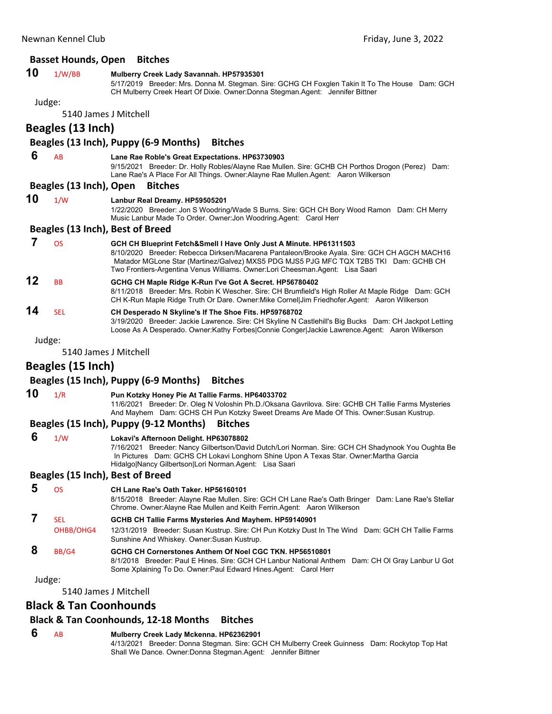## **Basset Hounds, Open Bitches 10** 1/W/BB **Mulberry Creek Lady Savannah. HP57935301** 5/17/2019 Breeder: Mrs. Donna M. Stegman. Sire: GCHG CH Foxglen Takin It To The House Dam: GCH CH Mulberry Creek Heart Of Dixie. Owner:Donna Stegman.Agent: Jennifer Bittner Judge: 5140 James J Mitchell **Beagles (13 Inch) Beagles (13 Inch), Puppy (6‐9 Months) Bitches 6** AB **Lane Rae Roble's Great Expectations. HP63730903** 9/15/2021 Breeder: Dr. Holly Robles/Alayne Rae Mullen. Sire: GCHB CH Porthos Drogon (Perez) Dam: Lane Rae's A Place For All Things. Owner:Alayne Rae Mullen.Agent: Aaron Wilkerson **Beagles (13 Inch), Open Bitches 10** 1/W **Lanbur Real Dreamy. HP59505201** 1/22/2020 Breeder: Jon S Woodring/Wade S Burns. Sire: GCH CH Bory Wood Ramon Dam: CH Merry Music Lanbur Made To Order. Owner:Jon Woodring.Agent: Carol Herr **Beagles (13 Inch), Best of Breed 7** OS **GCH CH Blueprint Fetch&Smell I Have Only Just A Minute. HP61311503** 8/10/2020 Breeder: Rebecca Dirksen/Macarena Pantaleon/Brooke Ayala. Sire: GCH CH AGCH MACH16 Matador MGLone Star (Martinez/Galvez) MXS5 PDG MJS5 PJG MFC TQX T2B5 TKI Dam: GCHB CH Two Frontiers-Argentina Venus Williams. Owner:Lori Cheesman.Agent: Lisa Saari **12** BB **GCHG CH Maple Ridge K-Run I've Got A Secret. HP56780402** 8/11/2018 Breeder: Mrs. Robin K Wescher. Sire: CH Brumfield's High Roller At Maple Ridge Dam: GCH CH K-Run Maple Ridge Truth Or Dare. Owner:Mike Cornel|Jim Friedhofer.Agent: Aaron Wilkerson **14** SEL **CH Desperado N Skyline's If The Shoe Fits. HP59768702** 3/19/2020 Breeder: Jackie Lawrence. Sire: CH Skyline N Castlehill's Big Bucks Dam: CH Jackpot Letting Loose As A Desperado. Owner:Kathy Forbes|Connie Conger|Jackie Lawrence.Agent: Aaron Wilkerson Judge: 5140 James J Mitchell **Beagles (15 Inch) Beagles (15 Inch), Puppy (6‐9 Months) Bitches 10** 1/R **Pun Kotzky Honey Pie At Tallie Farms. HP64033702** 11/6/2021 Breeder: Dr. Oleg N Voloshin Ph.D./Oksana Gavrilova. Sire: GCHB CH Tallie Farms Mysteries And Mayhem Dam: GCHS CH Pun Kotzky Sweet Dreams Are Made Of This. Owner:Susan Kustrup. **Beagles (15 Inch), Puppy (9‐12 Months) Bitches 6** 1/W **Lokavi's Afternoon Delight. HP63078802** 7/16/2021 Breeder: Nancy Gilbertson/David Dutch/Lori Norman. Sire: GCH CH Shadynook You Oughta Be In Pictures Dam: GCHS CH Lokavi Longhorn Shine Upon A Texas Star. Owner:Martha Garcia Hidalgo|Nancy Gilbertson|Lori Norman.Agent: Lisa Saari **Beagles (15 Inch), Best of Breed 5** OS **CH Lane Rae's Oath Taker. HP56160101** 8/15/2018 Breeder: Alayne Rae Mullen. Sire: GCH CH Lane Rae's Oath Bringer Dam: Lane Rae's Stellar Chrome. Owner:Alayne Rae Mullen and Keith Ferrin.Agent: Aaron Wilkerson  **7** SEL **GCHB CH Tallie Farms Mysteries And Mayhem. HP59140901** OHBB/OHG4 12/31/2019 Breeder: Susan Kustrup. Sire: CH Pun Kotzky Dust In The Wind Dam: GCH CH Tallie Farms Sunshine And Whiskey. Owner:Susan Kustrup.  **8** BB/G4 **GCHG CH Cornerstones Anthem Of Noel CGC TKN. HP56510801** 8/1/2018 Breeder: Paul E Hines. Sire: GCH CH Lanbur National Anthem Dam: CH Ol Gray Lanbur U Got Some Xplaining To Do. Owner:Paul Edward Hines.Agent: Carol Herr Judge: 5140 James J Mitchell

# **Black & Tan Coonhounds**

# **Black & Tan Coonhounds, 12‐18 Months Bitches**

### **6** AB **Mulberry Creek Lady Mckenna. HP62362901**

4/13/2021 Breeder: Donna Stegman. Sire: GCH CH Mulberry Creek Guinness Dam: Rockytop Top Hat Shall We Dance. Owner:Donna Stegman.Agent: Jennifer Bittner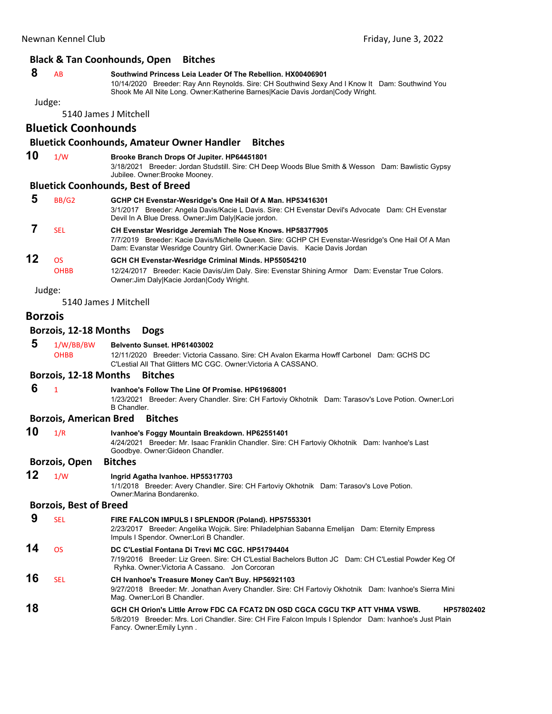### **Black & Tan Coonhounds, Open Bitches**

# **8** AB **Southwind Princess Leia Leader Of The Rebellion. HX00406901**

10/14/2020 Breeder: Ray Ann Reynolds. Sire: CH Southwind Sexy And I Know It Dam: Southwind You Shook Me All Nite Long. Owner:Katherine Barnes|Kacie Davis Jordan|Cody Wright.

Judge:

5140 James J Mitchell

# **Bluetick Coonhounds**

# **Bluetick Coonhounds, Amateur Owner Handler Bitches**

# **10** 1/W **Brooke Branch Drops Of Jupiter. HP64451801**

3/18/2021 Breeder: Jordan Studstill. Sire: CH Deep Woods Blue Smith & Wesson Dam: Bawlistic Gypsy Jubilee. Owner:Brooke Mooney.

### **Bluetick Coonhounds, Best of Breed**

|    | BB/G <sub>2</sub> | GCHP CH Evenstar-Wesridge's One Hail Of A Man. HP53416301<br>Breeder: Angela Davis/Kacie L Davis. Sire: CH Evenstar Devil's Advocate Dam: CH Evenstar<br>3/1/2017<br>Devil In A Blue Dress. Owner: Jim Daly Kacie jordon.                    |
|----|-------------------|----------------------------------------------------------------------------------------------------------------------------------------------------------------------------------------------------------------------------------------------|
|    | <b>SFI</b>        | CH Evenstar Wesridge Jeremiah The Nose Knows. HP58377905<br>7/7/2019 Breeder: Kacie Davis/Michelle Queen. Sire: GCHP CH Evenstar-Wesridge's One Hail Of A Man<br>Dam: Evanstar Wesridge Country Girl. Owner: Kacie Davis. Kacie Davis Jordan |
| 12 | ΩS<br><b>OHBB</b> | GCH CH Evenstar-Wesridge Criminal Minds. HP55054210<br>12/24/2017 Breeder: Kacie Davis/Jim Daly. Sire: Evenstar Shining Armor Dam: Evenstar True Colors.<br>Owner: Jim Daly Kacie Jordan Cody Wright.                                        |

Judge:

5140 James J Mitchell

### **Borzois**

### **Borzois, 12‐18 Months Dogs**

# **5** 1/W/BB/BW **Belvento Sunset. HP61403002** OHBB 12/11/2020 Breeder: Victoria Cassano. Sire: CH Avalon Ekarma Howff Carbonel Dam: GCHS DC

C'Lestial All That Glitters MC CGC. Owner:Victoria A CASSANO.

### **Borzois, 12‐18 Months Bitches**

 **6** <sup>1</sup> **Ivanhoe's Follow The Line Of Promise. HP61968001**

1/23/2021 Breeder: Avery Chandler. Sire: CH Fartoviy Okhotnik Dam: Tarasov's Love Potion. Owner:Lori B Chandler.

### **Borzois, American Bred Bitches**

| 10 | 1/R                           | Ivanhoe's Foggy Mountain Breakdown. HP62551401<br>4/24/2021 Breeder: Mr. Isaac Franklin Chandler. Sire: CH Fartoviy Okhotnik Dam: Ivanhoe's Last                                                                                  |
|----|-------------------------------|-----------------------------------------------------------------------------------------------------------------------------------------------------------------------------------------------------------------------------------|
|    |                               | Goodbye. Owner: Gideon Chandler.                                                                                                                                                                                                  |
|    | <b>Borzois, Open</b>          | <b>Bitches</b>                                                                                                                                                                                                                    |
| 12 | 1/W                           | Ingrid Agatha Ivanhoe. HP55317703<br>1/1/2018 Breeder: Avery Chandler. Sire: CH Fartoviy Okhotnik Dam: Tarasov's Love Potion.<br>Owner: Marina Bondarenko.                                                                        |
|    | <b>Borzois, Best of Breed</b> |                                                                                                                                                                                                                                   |
| 9  | <b>SEL</b>                    | FIRE FALCON IMPULS I SPLENDOR (Poland). HP57553301<br>2/23/2017 Breeder: Angelika Wojcik. Sire: Philadelphian Sabanna Emelijan Dam: Eternity Empress<br>Impuls I Spendor. Owner: Lori B Chandler.                                 |
| 14 | OS                            | DC C'Lestial Fontana Di Trevi MC CGC. HP51794404<br>7/19/2016 Breeder: Liz Green. Sire: CH C'Lestial Bachelors Button JC Dam: CH C'Lestial Powder Keg Of<br>Ryhka. Owner: Victoria A Cassano. Jon Corcoran                        |
| 16 | <b>SEL</b>                    | CH Ivanhoe's Treasure Money Can't Buy. HP56921103<br>9/27/2018 Breeder: Mr. Jonathan Avery Chandler. Sire: CH Fartoviy Okhotnik Dam: Ivanhoe's Sierra Mini<br>Mag. Owner: Lori B Chandler.                                        |
| 18 |                               | GCH CH Orion's Little Arrow FDC CA FCAT2 DN OSD CGCA CGCU TKP ATT VHMA VSWB.<br>HP57802402<br>5/8/2019 Breeder: Mrs. Lori Chandler. Sire: CH Fire Falcon Impuls I Splendor Dam: Ivanhoe's Just Plain<br>Fancy. Owner: Emily Lynn. |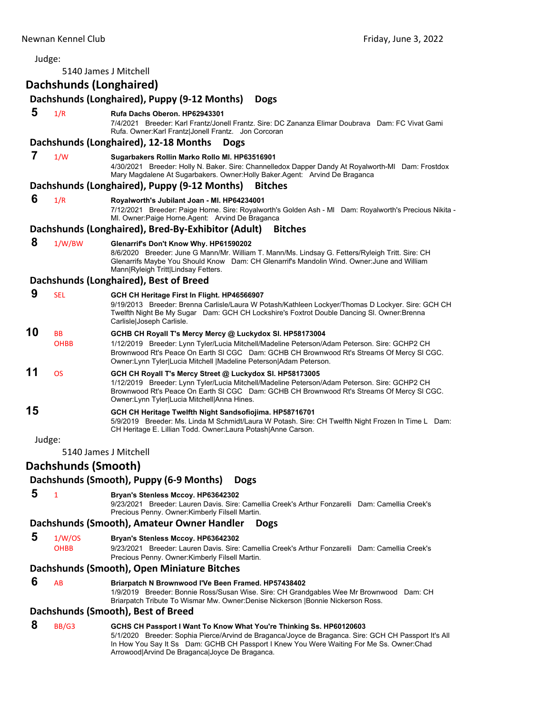| Judge: | 5140 James J Mitchell    |                                                                                                                                                                                                                                                                                                                               |
|--------|--------------------------|-------------------------------------------------------------------------------------------------------------------------------------------------------------------------------------------------------------------------------------------------------------------------------------------------------------------------------|
|        | Dachshunds (Longhaired)  |                                                                                                                                                                                                                                                                                                                               |
|        |                          | Dachshunds (Longhaired), Puppy (9-12 Months)<br><b>Dogs</b>                                                                                                                                                                                                                                                                   |
| 5      | 1/R                      |                                                                                                                                                                                                                                                                                                                               |
|        |                          | Rufa Dachs Oberon. HP62943301<br>7/4/2021 Breeder: Karl Frantz/Jonell Frantz. Sire: DC Zananza Elimar Doubrava Dam: FC Vivat Gami<br>Rufa. Owner:Karl Frantz Jonell Frantz. Jon Corcoran                                                                                                                                      |
|        |                          | Dachshunds (Longhaired), 12-18 Months<br><b>Dogs</b>                                                                                                                                                                                                                                                                          |
| 7      | 1/W                      | Sugarbakers Rollin Marko Rollo Ml. HP63516901<br>4/30/2021 Breeder: Holly N. Baker. Sire: Channelledox Dapper Dandy At Royalworth-MI Dam: Frostdox<br>Mary Magdalene At Sugarbakers. Owner: Holly Baker. Agent: Arvind De Braganca                                                                                            |
|        |                          | Dachshunds (Longhaired), Puppy (9-12 Months)<br><b>Bitches</b>                                                                                                                                                                                                                                                                |
| 6      | 1/R                      | Royalworth's Jubilant Joan - MI. HP64234001<br>7/12/2021 Breeder: Paige Horne. Sire: Royalworth's Golden Ash - MI Dam: Royalworth's Precious Nikita -<br>MI. Owner: Paige Horne. Agent: Arvind De Braganca                                                                                                                    |
|        |                          | Dachshunds (Longhaired), Bred-By-Exhibitor (Adult)<br><b>Bitches</b>                                                                                                                                                                                                                                                          |
| 8      | 1/W/BW                   | Glenarrif's Don't Know Why. HP61590202<br>8/6/2020 Breeder: June G Mann/Mr. William T. Mann/Ms. Lindsay G. Fetters/Ryleigh Tritt. Sire: CH<br>Glenarrifs Maybe You Should Know Dam: CH Glenarrif's Mandolin Wind. Owner: June and William<br>Mann Ryleigh Tritt Lindsay Fetters.                                              |
|        |                          | Dachshunds (Longhaired), Best of Breed                                                                                                                                                                                                                                                                                        |
| 9      | <b>SEL</b>               | GCH CH Heritage First In Flight. HP46566907<br>9/19/2013 Breeder: Brenna Carlisle/Laura W Potash/Kathleen Lockyer/Thomas D Lockyer. Sire: GCH CH<br>Twelfth Night Be My Sugar Dam: GCH CH Lockshire's Foxtrot Double Dancing SI. Owner: Brenna<br>Carlisle Joseph Carlisle.                                                   |
| 10     | <b>BB</b><br><b>OHBB</b> | GCHB CH Royall T's Mercy Mercy @ Luckydox SI. HP58173004<br>1/12/2019 Breeder: Lynn Tyler/Lucia Mitchell/Madeline Peterson/Adam Peterson. Sire: GCHP2 CH<br>Brownwood Rt's Peace On Earth SI CGC Dam: GCHB CH Brownwood Rt's Streams Of Mercy SI CGC.<br>Owner: Lynn Tyler Lucia Mitchell   Madeline Peterson  Adam Peterson. |
| 11     | <b>OS</b>                | GCH CH Royall T's Mercy Street @ Luckydox SI. HP58173005<br>1/12/2019 Breeder: Lynn Tyler/Lucia Mitchell/Madeline Peterson/Adam Peterson. Sire: GCHP2 CH<br>Brownwood Rt's Peace On Earth SI CGC Dam: GCHB CH Brownwood Rt's Streams Of Mercy SI CGC.<br>Owner: Lynn Tyler Lucia Mitchell Anna Hines.                         |
| 15     |                          | GCH CH Heritage Twelfth Night Sandsofiojima. HP58716701<br>5/9/2019 Breeder: Ms. Linda M Schmidt/Laura W Potash. Sire: CH Twelfth Night Frozen In Time L Dam:<br>CH Heritage E. Lillian Todd. Owner: Laura Potash Anne Carson.                                                                                                |
| Judge: |                          |                                                                                                                                                                                                                                                                                                                               |
|        | 5140 James J Mitchell    |                                                                                                                                                                                                                                                                                                                               |
|        | Dachshunds (Smooth)      |                                                                                                                                                                                                                                                                                                                               |
|        |                          | Dachshunds (Smooth), Puppy (6-9 Months)<br><b>Dogs</b>                                                                                                                                                                                                                                                                        |
| 5      | $\mathbf{1}$             | Bryan's Stenless Mccoy. HP63642302<br>9/23/2021 Breeder: Lauren Davis. Sire: Camellia Creek's Arthur Fonzarelli Dam: Camellia Creek's<br>Precious Penny. Owner: Kimberly Filsell Martin.                                                                                                                                      |
|        |                          | Dachshunds (Smooth), Amateur Owner Handler<br><b>Dogs</b>                                                                                                                                                                                                                                                                     |
| 5      | 1/W/OS                   | Bryan's Stenless Mccoy. HP63642302                                                                                                                                                                                                                                                                                            |
|        | <b>OHBB</b>              | 9/23/2021 Breeder: Lauren Davis, Sire: Camellia Creek's Arthur Fonzarelli Dam: Camellia Creek's<br>Precious Penny. Owner: Kimberly Filsell Martin.                                                                                                                                                                            |
|        |                          | Dachshunds (Smooth), Open Miniature Bitches                                                                                                                                                                                                                                                                                   |
| 6      | AB                       | Briarpatch N Brownwood I'Ve Been Framed. HP57438402<br>1/9/2019 Breeder: Bonnie Ross/Susan Wise. Sire: CH Grandgables Wee Mr Brownwood Dam: CH<br>Briarpatch Tribute To Wismar Mw. Owner:Denise Nickerson   Bonnie Nickerson Ross.                                                                                            |
|        |                          | Dachshunds (Smooth), Best of Breed                                                                                                                                                                                                                                                                                            |
| 8      | BB/G3                    | GCHS CH Passport I Want To Know What You're Thinking Ss. HP60120603<br>5/1/2020 Breeder: Sophia Pierce/Arvind de Braganca/Joyce de Braganca. Sire: GCH CH Passport It's All<br>In How You Say It Ss Dam: GCHB CH Passport I Knew You Were Waiting For Me Ss. Owner:Chad<br>Arrowood Arvind De Braganca Joyce De Braganca.     |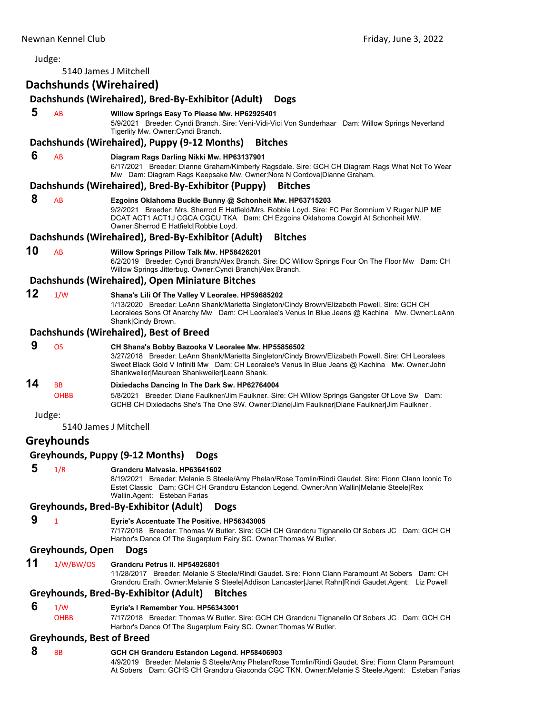| Judge: |                                  |                                                                                                                                                                                                                                                                                                             |
|--------|----------------------------------|-------------------------------------------------------------------------------------------------------------------------------------------------------------------------------------------------------------------------------------------------------------------------------------------------------------|
|        |                                  | 5140 James J Mitchell                                                                                                                                                                                                                                                                                       |
|        | Dachshunds (Wirehaired)          |                                                                                                                                                                                                                                                                                                             |
|        |                                  | Dachshunds (Wirehaired), Bred-By-Exhibitor (Adult)<br><b>Dogs</b>                                                                                                                                                                                                                                           |
| 5      | AB                               | Willow Springs Easy To Please Mw. HP62925401                                                                                                                                                                                                                                                                |
|        |                                  | 5/9/2021 Breeder: Cyndi Branch. Sire: Veni-Vidi-Vici Von Sunderhaar Dam: Willow Springs Neverland<br>Tigerlily Mw. Owner: Cyndi Branch.                                                                                                                                                                     |
|        |                                  | Dachshunds (Wirehaired), Puppy (9-12 Months)<br><b>Bitches</b>                                                                                                                                                                                                                                              |
| 6      | AB                               | Diagram Rags Darling Nikki Mw. HP63137901<br>6/17/2021 Breeder: Dianne Graham/Kimberly Ragsdale. Sire: GCH CH Diagram Rags What Not To Wear<br>Mw Dam: Diagram Rags Keepsake Mw. Owner: Nora N Cordova Dianne Graham.                                                                                       |
|        |                                  | Dachshunds (Wirehaired), Bred-By-Exhibitor (Puppy)<br><b>Bitches</b>                                                                                                                                                                                                                                        |
| 8      | AB                               | Ezgoins Oklahoma Buckle Bunny @ Schonheit Mw. HP63715203<br>9/2/2021 Breeder: Mrs. Sherrod E Hatfield/Mrs. Robbie Loyd. Sire: FC Per Somnium V Ruger NJP ME<br>DCAT ACT1 ACT1J CGCA CGCU TKA Dam: CH Ezgoins Oklahoma Cowgirl At Schonheit MW.<br>Owner: Sherrod E Hatfield Robbie Loyd.                    |
|        |                                  | Dachshunds (Wirehaired), Bred-By-Exhibitor (Adult)<br><b>Bitches</b>                                                                                                                                                                                                                                        |
| 10     | AB                               | <b>Willow Springs Pillow Talk Mw. HP58426201</b><br>6/2/2019 Breeder: Cyndi Branch/Alex Branch. Sire: DC Willow Springs Four On The Floor Mw Dam: CH<br>Willow Springs Jitterbug. Owner: Cyndi Branch Alex Branch.                                                                                          |
|        |                                  | Dachshunds (Wirehaired), Open Miniature Bitches                                                                                                                                                                                                                                                             |
| 12     | 1/W                              | Shana's Lili Of The Valley V Leoralee. HP59685202<br>1/13/2020 Breeder: LeAnn Shank/Marietta Singleton/Cindy Brown/Elizabeth Powell. Sire: GCH CH<br>Leoralees Sons Of Anarchy Mw Dam: CH Leoralee's Venus In Blue Jeans @ Kachina Mw. Owner:LeAnn<br>Shank Cindy Brown.                                    |
|        |                                  | Dachshunds (Wirehaired), Best of Breed                                                                                                                                                                                                                                                                      |
| 9      | OS                               | CH Shana's Bobby Bazooka V Leoralee Mw. HP55856502<br>3/27/2018 Breeder: LeAnn Shank/Marietta Singleton/Cindy Brown/Elizabeth Powell. Sire: CH Leoralees<br>Sweet Black Gold V Infiniti Mw Dam: CH Leoralee's Venus In Blue Jeans @ Kachina Mw. Owner: John<br>Shankweiler Maureen Shankweiler Leann Shank. |
| 14     | BB<br><b>OHBB</b>                | Dixiedachs Dancing In The Dark Sw. HP62764004<br>5/8/2021 Breeder: Diane Faulkner/Jim Faulkner. Sire: CH Willow Springs Gangster Of Love Sw Dam:<br>. GCHB CH Dixiedachs She's The One SW. Owner:Diane Jim Faulkner Diane Faulkner Jim Faulkner                                                             |
| Judge: |                                  |                                                                                                                                                                                                                                                                                                             |
|        |                                  | 5140 James J Mitchell                                                                                                                                                                                                                                                                                       |
|        | <b>Greyhounds</b>                |                                                                                                                                                                                                                                                                                                             |
|        |                                  | Greyhounds, Puppy (9-12 Months)<br><b>Dogs</b>                                                                                                                                                                                                                                                              |
| 5      | 1/R                              | Grandcru Malvasia. HP63641602<br>8/19/2021 Breeder: Melanie S Steele/Amy Phelan/Rose Tomlin/Rindi Gaudet. Sire: Fionn Clann Iconic To<br>Estet Classic Dam: GCH CH Grandcru Estandon Legend. Owner: Ann Wallin   Melanie Steele   Rex<br>Wallin Agent: Esteban Farias                                       |
|        |                                  | Greyhounds, Bred-By-Exhibitor (Adult)<br><b>Dogs</b>                                                                                                                                                                                                                                                        |
| 9      | 1                                | Eyrie's Accentuate The Positive. HP56343005<br>7/17/2018 Breeder: Thomas W Butler. Sire: GCH CH Grandcru Tignanello Of Sobers JC Dam: GCH CH<br>Harbor's Dance Of The Sugarplum Fairy SC. Owner: Thomas W Butler.                                                                                           |
|        | Greyhounds, Open                 | <b>Dogs</b>                                                                                                                                                                                                                                                                                                 |
| 11     | 1/W/BW/OS                        | Grandcru Petrus II. HP54926801<br>11/28/2017 Breeder: Melanie S Steele/Rindi Gaudet. Sire: Fionn Clann Paramount At Sobers Dam: CH<br>Grandcru Erath. Owner: Melanie S Steele Addison Lancaster Janet Rahn Rindi Gaudet. Agent: Liz Powell                                                                  |
|        |                                  | Greyhounds, Bred-By-Exhibitor (Adult)<br><b>Bitches</b>                                                                                                                                                                                                                                                     |
| 6      | 1/W                              | Eyrie's I Remember You. HP56343001                                                                                                                                                                                                                                                                          |
|        | OHBB                             | 7/17/2018 Breeder: Thomas W Butler. Sire: GCH CH Grandcru Tignanello Of Sobers JC Dam: GCH CH<br>Harbor's Dance Of The Sugarplum Fairy SC. Owner: Thomas W Butler.                                                                                                                                          |
|        | <b>Greyhounds, Best of Breed</b> |                                                                                                                                                                                                                                                                                                             |
| 8      | ВB                               | GCH CH Grandcru Estandon Legend. HP58406903<br>4/9/2019 Breeder: Melanie S Steele/Amy Phelan/Rose Tomlin/Rindi Gaudet. Sire: Fionn Clann Paramount                                                                                                                                                          |
|        |                                  | At Sobers Dam: GCHS CH Grandcru Giaconda CGC TKN. Owner:Melanie S Steele.Agent: Esteban Farias                                                                                                                                                                                                              |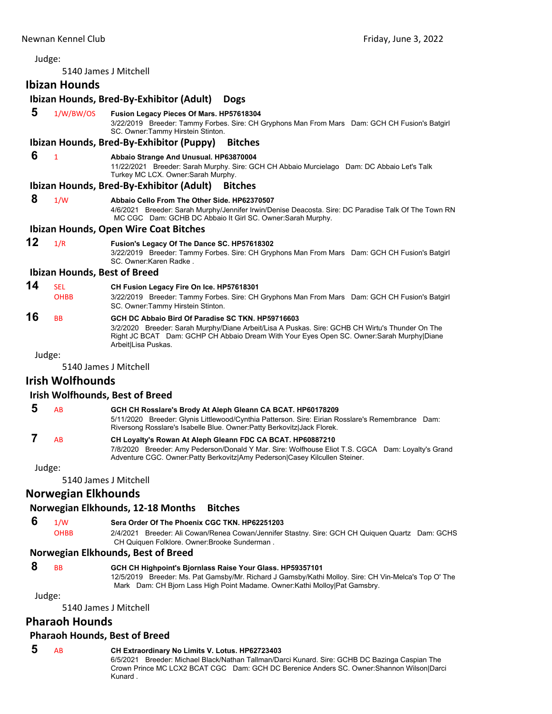Judge: 5140 James J Mitchell **Ibizan Hounds Ibizan Hounds, Bred‐By‐Exhibitor (Adult) Dogs 5** 1/W/BW/OS **Fusion Legacy Pieces Of Mars. HP57618304** 3/22/2019 Breeder: Tammy Forbes. Sire: CH Gryphons Man From Mars Dam: GCH CH Fusion's Batgirl SC. Owner:Tammy Hirstein Stinton. **Ibizan Hounds, Bred‐By‐Exhibitor (Puppy) Bitches 6** <sup>1</sup> **Abbaio Strange And Unusual. HP63870004** 11/22/2021 Breeder: Sarah Murphy. Sire: GCH CH Abbaio Murcielago Dam: DC Abbaio Let's Talk Turkey MC LCX. Owner:Sarah Murphy. **Ibizan Hounds, Bred‐By‐Exhibitor (Adult) Bitches 8** 1/W **Abbaio Cello From The Other Side. HP62370507** 4/6/2021 Breeder: Sarah Murphy/Jennifer Irwin/Denise Deacosta. Sire: DC Paradise Talk Of The Town RN MC CGC Dam: GCHB DC Abbaio It Girl SC. Owner:Sarah Murphy. **Ibizan Hounds, Open Wire Coat Bitches 12** 1/R **Fusion's Legacy Of The Dance SC. HP57618302** 3/22/2019 Breeder: Tammy Forbes. Sire: CH Gryphons Man From Mars Dam: GCH CH Fusion's Batgirl SC. Owner:Karen Radke . **Ibizan Hounds, Best of Breed 14** SEL **CH Fusion Legacy Fire On Ice. HP57618301** OHBB 3/22/2019 Breeder: Tammy Forbes. Sire: CH Gryphons Man From Mars Dam: GCH CH Fusion's Batgirl SC. Owner:Tammy Hirstein Stinton. **16** BB **GCH DC Abbaio Bird Of Paradise SC TKN. HP59716603** 3/2/2020 Breeder: Sarah Murphy/Diane Arbeit/Lisa A Puskas. Sire: GCHB CH Wirtu's Thunder On The Right JC BCAT Dam: GCHP CH Abbaio Dream With Your Eyes Open SC. Owner:Sarah Murphy|Diane Arbeit|Lisa Puskas.

### Judge:

5140 James J Mitchell

### **Irish Wolfhounds**

### **Irish Wolfhounds, Best of Breed**

| -5 | AB. | GCH CH Rosslare's Brody At Aleph Gleann CA BCAT. HP60178209                                      |  |
|----|-----|--------------------------------------------------------------------------------------------------|--|
|    |     | 5/11/2020 Breeder: Glynis Littlewood/Cynthia Patterson. Sire: Eirian Rosslare's Remembrance Dam: |  |
|    |     | Riversong Rosslare's Isabelle Blue. Owner:Patty Berkovitz Jack Florek.                           |  |

### **7** AB **CH Loyalty's Rowan At Aleph Gleann FDC CA BCAT. HP60887210** 7/8/2020 Breeder: Amy Pederson/Donald Y Mar. Sire: Wolfhouse Eliot T.S. CGCA Dam: Loyalty's Grand Adventure CGC. Owner:Patty Berkovitz|Amy Pederson|Casey Kilcullen Steiner.

Judge:

5140 James J Mitchell

### **Norwegian Elkhounds**

### **Norwegian Elkhounds, 12‐18 Months Bitches**

 **6** 1/W **Sera Order Of The Phoenix CGC TKN. HP62251203** OHBB 2/4/2021 Breeder: Ali Cowan/Renea Cowan/Jennifer Stastny. Sire: GCH CH Quiquen Quartz Dam: GCHS CH Quiquen Folklore. Owner:Brooke Sunderman .

### **Norwegian Elkhounds, Best of Breed**

### **8** BB **GCH CH Highpoint's Bjornlass Raise Your Glass. HP59357101**

12/5/2019 Breeder: Ms. Pat Gamsby/Mr. Richard J Gamsby/Kathi Molloy. Sire: CH Vin-Melca's Top O' The Mark Dam: CH Bjorn Lass High Point Madame. Owner:Kathi Molloy|Pat Gamsbry.

Judge:

5140 James J Mitchell

### **Pharaoh Hounds**

### **Pharaoh Hounds, Best of Breed**

# **5** AB **CH Extraordinary No Limits V. Lotus. HP62723403**

6/5/2021 Breeder: Michael Black/Nathan Tallman/Darci Kunard. Sire: GCHB DC Bazinga Caspian The Crown Prince MC LCX2 BCAT CGC Dam: GCH DC Berenice Anders SC. Owner:Shannon Wilson|Darci Kunard .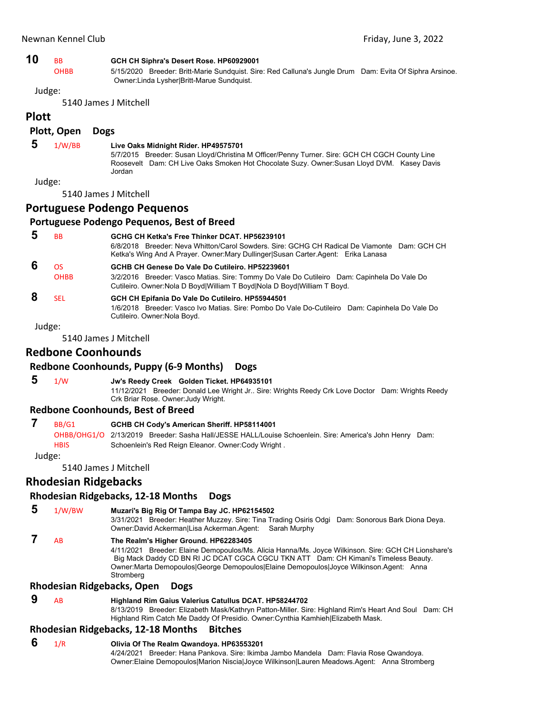| 10 |  | GCH CH Siphra's Desert Rose. HP60929001 |
|----|--|-----------------------------------------|
|----|--|-----------------------------------------|

OHBB 5/15/2020 Breeder: Britt-Marie Sundquist. Sire: Red Calluna's Jungle Drum Dam: Evita Of Siphra Arsinoe. Owner:Linda Lysher|Britt-Marue Sundquist.

Judge:

5140 James J Mitchell

# **Plott**

## **Plott, Open Dogs**

### **5** 1/W/BB **Live Oaks Midnight Rider. HP49575701**

5/7/2015 Breeder: Susan Lloyd/Christina M Officer/Penny Turner. Sire: GCH CH CGCH County Line Roosevelt Dam: CH Live Oaks Smoken Hot Chocolate Suzy. Owner:Susan Lloyd DVM. Kasey Davis Jordan

Judge:

5140 James J Mitchell

# **Portuguese Podengo Pequenos**

### **Portuguese Podengo Pequenos, Best of Breed**

 **5** BB **GCHG CH Ketka's Free Thinker DCAT. HP56239101** 6/8/2018 Breeder: Neva Whitton/Carol Sowders. Sire: GCHG CH Radical De Viamonte Dam: GCH CH Ketka's Wing And A Prayer. Owner:Mary Dullinger|Susan Carter.Agent: Erika Lanasa  **6** OS **GCHB CH Genese Do Vale Do Cutileiro. HP52239601** OHBB 3/2/2016 Breeder: Vasco Matias. Sire: Tommy Do Vale Do Cutileiro Dam: Capinhela Do Vale Do Cutileiro. Owner:Nola D Boyd|William T Boyd|Nola D Boyd|William T Boyd.  **8** SEL **GCH CH Epifania Do Vale Do Cutileiro. HP55944501** 1/6/2018 Breeder: Vasco Ivo Matias. Sire: Pombo Do Vale Do-Cutileiro Dam: Capinhela Do Vale Do Cutileiro. Owner:Nola Boyd.

Judge:

5140 James J Mitchell

# **Redbone Coonhounds**

## **Redbone Coonhounds, Puppy (6‐9 Months) Dogs**

 **5** 1/W **Jw's Reedy Creek Golden Ticket. HP64935101** 11/12/2021 Breeder: Donald Lee Wright Jr.. Sire: Wrights Reedy Crk Love Doctor Dam: Wrights Reedy Crk Briar Rose. Owner:Judy Wright.

### **Redbone Coonhounds, Best of Breed**

 **7** BB/G1 **GCHB CH Cody's American Sheriff. HP58114001** OHBB/OHG1/O 2/13/2019 Breeder: Sasha Hall/JESSE HALL/Louise Schoenlein. Sire: America's John Henry Dam: HBIS Schoenlein's Red Reign Eleanor. Owner:Cody Wright .

Judge:

5140 James J Mitchell

# **Rhodesian Ridgebacks**

## **Rhodesian Ridgebacks, 12‐18 Months Dogs**

- **5** 1/W/BW **Muzari's Big Rig Of Tampa Bay JC. HP62154502**
	- 3/31/2021 Breeder: Heather Muzzey. Sire: Tina Trading Osiris Odgi Dam: Sonorous Bark Diona Deya. Owner:David Ackerman|Lisa Ackerman.Agent: Sarah Murphy
- **7** AB **The Realm's Higher Ground. HP62283405**
	- 4/11/2021 Breeder: Elaine Demopoulos/Ms. Alicia Hanna/Ms. Joyce Wilkinson. Sire: GCH CH Lionshare's Big Mack Daddy CD BN RI JC DCAT CGCA CGCU TKN ATT Dam: CH Kimani's Timeless Beauty. Owner:Marta Demopoulos|George Demopoulos|Elaine Demopoulos|Joyce Wilkinson.Agent: Anna Stromberg

### **Rhodesian Ridgebacks, Open Dogs**

 **9** AB **Highland Rim Gaius Valerius Catullus DCAT. HP58244702** 8/13/2019 Breeder: Elizabeth Mask/Kathryn Patton-Miller. Sire: Highland Rim's Heart And Soul Dam: CH Highland Rim Catch Me Daddy Of Presidio. Owner:Cynthia Kamhieh|Elizabeth Mask.

## **Rhodesian Ridgebacks, 12‐18 Months Bitches**

 **6** 1/R **Olivia Of The Realm Qwandoya. HP63553201** 4/24/2021 Breeder: Hana Pankova. Sire: Ikimba Jambo Mandela Dam: Flavia Rose Qwandoya. Owner:Elaine Demopoulos|Marion Niscia|Joyce Wilkinson|Lauren Meadows.Agent: Anna Stromberg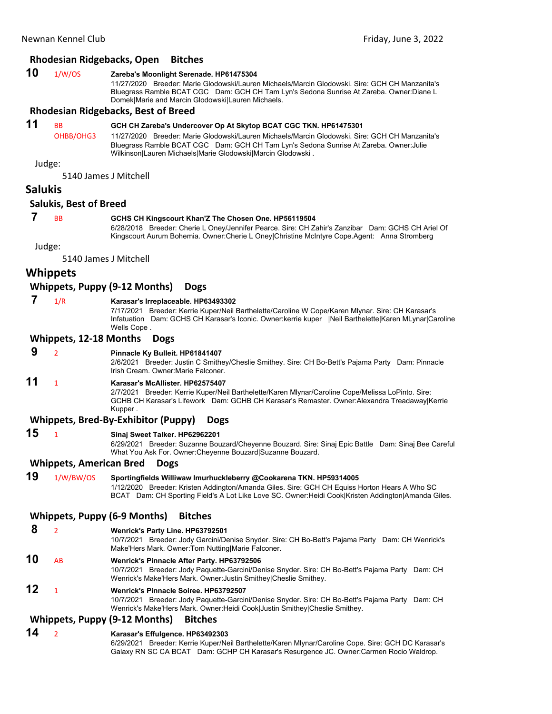### **Rhodesian Ridgebacks, Open Bitches**

### **10** 1/W/OS **Zareba's Moonlight Serenade. HP61475304**

11/27/2020 Breeder: Marie Glodowski/Lauren Michaels/Marcin Glodowski. Sire: GCH CH Manzanita's Bluegrass Ramble BCAT CGC Dam: GCH CH Tam Lyn's Sedona Sunrise At Zareba. Owner:Diane L Domek|Marie and Marcin Glodowski|Lauren Michaels.

### **Rhodesian Ridgebacks, Best of Breed**

### **11** BB **GCH CH Zareba's Undercover Op At Skytop BCAT CGC TKN. HP61475301**

OHBB/OHG3 11/27/2020 Breeder: Marie Glodowski/Lauren Michaels/Marcin Glodowski. Sire: GCH CH Manzanita's Bluegrass Ramble BCAT CGC Dam: GCH CH Tam Lyn's Sedona Sunrise At Zareba. Owner:Julie Wilkinson|Lauren Michaels|Marie Glodowski|Marcin Glodowski .

Judge:

5140 James J Mitchell

### **Salukis**

### **Salukis, Best of Breed**

### **7** BB **GCHS CH Kingscourt Khan'Z The Chosen One. HP56119504**

6/28/2018 Breeder: Cherie L Oney/Jennifer Pearce. Sire: CH Zahir's Zanzibar Dam: GCHS CH Ariel Of Kingscourt Aurum Bohemia. Owner:Cherie L Oney|Christine McIntyre Cope.Agent: Anna Stromberg

Judge:

5140 James J Mitchell

### **Whippets**

### **Whippets, Puppy (9‐12 Months) Dogs**

### **7** 1/R **Karasar's Irreplaceable. HP63493302**

7/17/2021 Breeder: Kerrie Kuper/Neil Barthelette/Caroline W Cope/Karen Mlynar. Sire: CH Karasar's Infatuation Dam: GCHS CH Karasar's Iconic. Owner:kerrie kuper |Neil Barthelette|Karen MLynar|Caroline Wells Cope .

### **Whippets, 12‐18 Months Dogs**

 **9** <sup>2</sup> **Pinnacle Ky Bulleit. HP61841407** 2/6/2021 Breeder: Justin C Smithey/Cheslie Smithey. Sire: CH Bo-Bett's Pajama Party Dam: Pinnacle Irish Cream. Owner:Marie Falconer. **11** <sup>1</sup> **Karasar's McAllister. HP62575407** 2/7/2021 Breeder: Kerrie Kuper/Neil Barthelette/Karen Mlynar/Caroline Cope/Melissa LoPinto. Sire: GCHB CH Karasar's Lifework Dam: GCHB CH Karasar's Remaster. Owner:Alexandra Treadaway|Kerrie Kupper .

### **Whippets, Bred‐By‐Exhibitor (Puppy) Dogs**

### **15** <sup>1</sup> **Sinaj Sweet Talker. HP62962201**

6/29/2021 Breeder: Suzanne Bouzard/Cheyenne Bouzard. Sire: Sinaj Epic Battle Dam: Sinaj Bee Careful What You Ask For. Owner:Cheyenne Bouzard|Suzanne Bouzard.

### **Whippets, American Bred Dogs**

**19** 1/W/BW/OS **Sportingfields Williwaw Imurhuckleberry @Cookarena TKN. HP59314005** 1/12/2020 Breeder: Kristen Addington/Amanda Giles. Sire: GCH CH Equiss Horton Hears A Who SC BCAT Dam: CH Sporting Field's A Lot Like Love SC. Owner:Heidi Cook|Kristen Addington|Amanda Giles.

### **Whippets, Puppy (6‐9 Months) Bitches**

 **8** <sup>2</sup> **Wenrick's Party Line. HP63792501** 10/7/2021 Breeder: Jody Garcini/Denise Snyder. Sire: CH Bo-Bett's Pajama Party Dam: CH Wenrick's Make'Hers Mark. Owner:Tom Nutting|Marie Falconer. **10** AB **Wenrick's Pinnacle After Party. HP63792506**

10/7/2021 Breeder: Jody Paquette-Garcini/Denise Snyder. Sire: CH Bo-Bett's Pajama Party Dam: CH Wenrick's Make'Hers Mark. Owner:Justin Smithey|Cheslie Smithey.

# **12** <sup>1</sup> **Wenrick's Pinnacle Soiree. HP63792507**

10/7/2021 Breeder: Jody Paquette-Garcini/Denise Snyder. Sire: CH Bo-Bett's Pajama Party Dam: CH Wenrick's Make'Hers Mark. Owner:Heidi Cook|Justin Smithey|Cheslie Smithey.

### **Whippets, Puppy (9‐12 Months) Bitches**

### **14** <sup>2</sup> **Karasar's Effulgence. HP63492303**

6/29/2021 Breeder: Kerrie Kuper/Neil Barthelette/Karen Mlynar/Caroline Cope. Sire: GCH DC Karasar's Galaxy RN SC CA BCAT Dam: GCHP CH Karasar's Resurgence JC. Owner:Carmen Rocio Waldrop.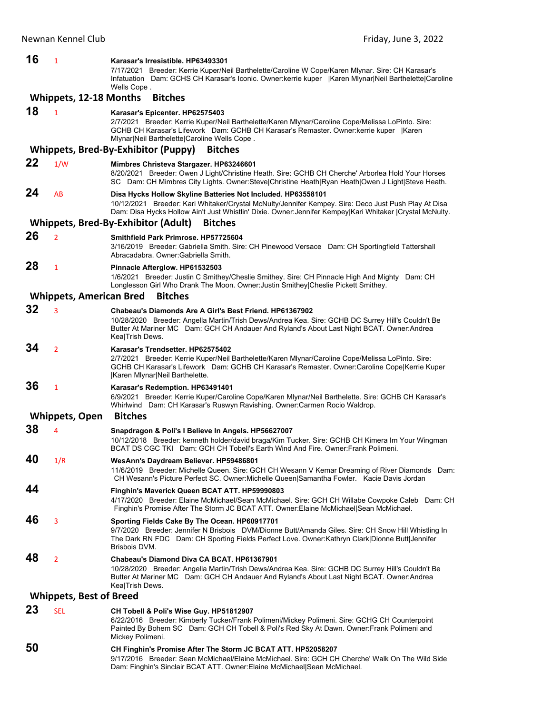| 16 | $\mathbf{1}$                   | Karasar's Irresistible, HP63493301<br>7/17/2021 Breeder: Kerrie Kuper/Neil Barthelette/Caroline W Cope/Karen Mlynar. Sire: CH Karasar's<br>Infatuation Dam: GCHS CH Karasar's Iconic. Owner: kerrie kuper   Karen Mlynar Neil Barthelette Caroline<br>Wells Cope.                 |
|----|--------------------------------|-----------------------------------------------------------------------------------------------------------------------------------------------------------------------------------------------------------------------------------------------------------------------------------|
|    | <b>Whippets, 12-18 Months</b>  | <b>Bitches</b>                                                                                                                                                                                                                                                                    |
| 18 | $\mathbf{1}$                   | Karasar's Epicenter. HP62575403<br>2/7/2021 Breeder: Kerrie Kuper/Neil Barthelette/Karen Mlynar/Caroline Cope/Melissa LoPinto. Sire:<br>GCHB CH Karasar's Lifework Dam: GCHB CH Karasar's Remaster. Owner: kerrie kuper   Karen<br>Mlynar Neil Barthelette Caroline Wells Cope.   |
|    |                                | Whippets, Bred-By-Exhibitor (Puppy)<br><b>Bitches</b>                                                                                                                                                                                                                             |
| 22 | 1/W                            | Mimbres Christeva Stargazer. HP63246601<br>8/20/2021 Breeder: Owen J Light/Christine Heath. Sire: GCHB CH Cherche' Arborlea Hold Your Horses<br>SC Dam: CH Mimbres City Lights. Owner:Steve Christine Heath Ryan Heath Owen J Light Steve Heath.                                  |
| 24 | AB                             | Disa Hycks Hollow Skyline Batteries Not Included. HP63558101<br>10/12/2021 Breeder: Kari Whitaker/Crystal McNulty/Jennifer Kempey. Sire: Deco Just Push Play At Disa<br>Dam: Disa Hycks Hollow Ain't Just Whistlin' Dixie. Owner: Jennifer Kempey Kari Whitaker  Crystal McNulty. |
|    |                                | Whippets, Bred-By-Exhibitor (Adult)<br><b>Bitches</b>                                                                                                                                                                                                                             |
| 26 | $\overline{2}$                 | Smithfield Park Primrose, HP57725604<br>3/16/2019 Breeder: Gabriella Smith. Sire: CH Pinewood Versace Dam: CH Sportingfield Tattershall<br>Abracadabra. Owner: Gabriella Smith.                                                                                                   |
| 28 | 1                              | Pinnacle Afterglow. HP61532503<br>1/6/2021 Breeder: Justin C Smithey/Cheslie Smithey. Sire: CH Pinnacle High And Mighty Dam: CH<br>Longlesson Girl Who Drank The Moon. Owner: Justin Smithey Cheslie Pickett Smithey.                                                             |
|    | <b>Whippets, American Bred</b> | <b>Bitches</b>                                                                                                                                                                                                                                                                    |
| 32 | 3                              | Chabeau's Diamonds Are A Girl's Best Friend. HP61367902<br>10/28/2020 Breeder: Angella Martin/Trish Dews/Andrea Kea. Sire: GCHB DC Surrey Hill's Couldn't Be<br>Butter At Mariner MC Dam: GCH CH Andauer And Ryland's About Last Night BCAT. Owner: Andrea<br>Kea Trish Dews.     |
| 34 | $\overline{2}$                 | Karasar's Trendsetter. HP62575402<br>.2/7/2021 Breeder: Kerrie Kuper/Neil Barthelette/Karen Mlynar/Caroline Cope/Melissa LoPinto. Sire:<br>GCHB CH Karasar's Lifework Dam: GCHB CH Karasar's Remaster. Owner:Caroline Cope Kerrie Kuper<br>Karen Mlynar Neil Barthelette.         |
| 36 | 1                              | Karasar's Redemption. HP63491401<br>6/9/2021 Breeder: Kerrie Kuper/Caroline Cope/Karen Mlynar/Neil Barthelette. Sire: GCHB CH Karasar's<br>Whirlwind Dam: CH Karasar's Ruswyn Ravishing. Owner:Carmen Rocio Waldrop.                                                              |
|    | <b>Whippets, Open</b>          | <b>Bitches</b>                                                                                                                                                                                                                                                                    |
| 38 | 4                              | Snapdragon & Poli's I Believe In Angels. HP56627007<br>10/12/2018 Breeder: kenneth holder/david braga/Kim Tucker. Sire: GCHB CH Kimera Im Your Wingman<br>BCAT DS CGC TKI Dam: GCH CH Tobell's Earth Wind And Fire. Owner: Frank Polimeni.                                        |
| 40 | 1/R                            | WesAnn's Daydream Believer. HP59486801<br>11/6/2019 Breeder: Michelle Queen. Sire: GCH CH Wesann V Kemar Dreaming of River Diamonds Dam:<br>CH Wesann's Picture Perfect SC. Owner: Michelle Queen Samantha Fowler. Kacie Davis Jordan                                             |
| 44 |                                | Finghin's Maverick Queen BCAT ATT. HP59990803<br>4/17/2020 Breeder: Elaine McMichael/Sean McMichael. Sire: GCH CH Willabe Cowpoke Caleb Dam: CH<br>Finghin's Promise After The Storm JC BCAT ATT. Owner:Elaine McMichael Sean McMichael.                                          |
| 46 | 3                              | Sporting Fields Cake By The Ocean. HP60917701<br>9/7/2020 Breeder: Jennifer N Brisbois DVM/Dionne Butt/Amanda Giles. Sire: CH Snow Hill Whistling In<br>The Dark RN FDC Dam: CH Sporting Fields Perfect Love. Owner: Kathryn Clark Dionne Butt Jennifer<br>Brisbois DVM.          |
| 48 | $\overline{2}$                 | Chabeau's Diamond Diva CA BCAT, HP61367901<br>10/28/2020 Breeder: Angella Martin/Trish Dews/Andrea Kea. Sire: GCHB DC Surrey Hill's Couldn't Be<br>Butter At Mariner MC Dam: GCH CH Andauer And Ryland's About Last Night BCAT. Owner: Andrea<br>Kea Trish Dews.                  |
|    | <b>Whippets, Best of Breed</b> |                                                                                                                                                                                                                                                                                   |
| 23 | <b>SEL</b>                     | CH Tobell & Poli's Wise Guy. HP51812907<br>6/22/2016 Breeder: Kimberly Tucker/Frank Polimeni/Mickey Polimeni. Sire: GCHG CH Counterpoint<br>Painted By Bohem SC Dam: GCH CH Tobell & Poli's Red Sky At Dawn. Owner: Frank Polimeni and<br>Mickey Polimeni.                        |
| 50 |                                | CH Finghin's Promise After The Storm JC BCAT ATT. HP52058207<br>9/17/2016 Breeder: Sean McMichael/Elaine McMichael. Sire: GCH CH Cherche' Walk On The Wild Side<br>Dam: Finghin's Sinclair BCAT ATT. Owner: Elaine McMichael Sean McMichael.                                      |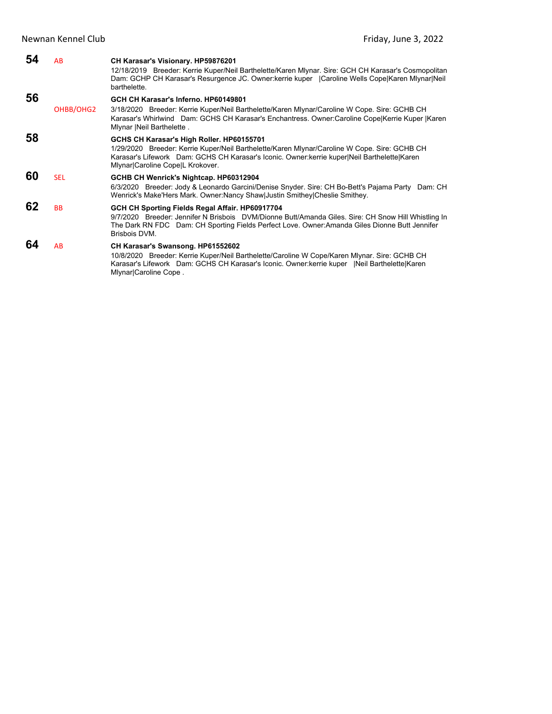| 54 | AB         | CH Karasar's Visionary. HP59876201<br>12/18/2019 Breeder: Kerrie Kuper/Neil Barthelette/Karen Mlynar. Sire: GCH CH Karasar's Cosmopolitan<br>Dam: GCHP CH Karasar's Resurgence JC. Owner: kerrie kuper   Caroline Wells Cope Karen Miynar Neil<br>barthelette.                |
|----|------------|-------------------------------------------------------------------------------------------------------------------------------------------------------------------------------------------------------------------------------------------------------------------------------|
| 56 | OHBB/OHG2  | GCH CH Karasar's Inferno. HP60149801<br>3/18/2020 Breeder: Kerrie Kuper/Neil Barthelette/Karen Mlynar/Caroline W Cope. Sire: GCHB CH<br>Karasar's Whirlwind Dam: GCHS CH Karasar's Enchantress. Owner:Caroline CopelKerrie Kuper  Karen<br>Mlynar   Neil Barthelette.         |
| 58 |            | GCHS CH Karasar's High Roller. HP60155701<br>1/29/2020 Breeder: Kerrie Kuper/Neil Barthelette/Karen Mlynar/Caroline W Cope. Sire: GCHB CH<br>Karasar's Lifework Dam: GCHS CH Karasar's Iconic. Owner: kerrie kuper Neil Barthelette Karen<br>Mlynar Caroline Cope L Krokover. |
| 60 | <b>SEL</b> | GCHB CH Wenrick's Nightcap. HP60312904<br>6/3/2020 Breeder: Jody & Leonardo Garcini/Denise Snyder. Sire: CH Bo-Bett's Pajama Party<br>Dam: CH<br>Wenrick's Make'Hers Mark. Owner:Nancy Shaw Justin Smithey Cheslie Smithey.                                                   |
| 62 | <b>BB</b>  | GCH CH Sporting Fields Regal Affair. HP60917704<br>9/7/2020 Breeder: Jennifer N Brisbois DVM/Dionne Butt/Amanda Giles. Sire: CH Snow Hill Whistling In<br>The Dark RN FDC Dam: CH Sporting Fields Perfect Love. Owner:Amanda Giles Dionne Butt Jennifer<br>Brisbois DVM.      |
| 64 | AB         | CH Karasar's Swansong. HP61552602<br>10/8/2020 Breeder: Kerrie Kuper/Neil Barthelette/Caroline W Cope/Karen Mlynar. Sire: GCHB CH<br>Karasar's Lifework Dam: GCHS CH Karasar's Iconic. Owner: kerrie kuper   Neil Barthelette Karen<br>Mlynar Caroline Cope.                  |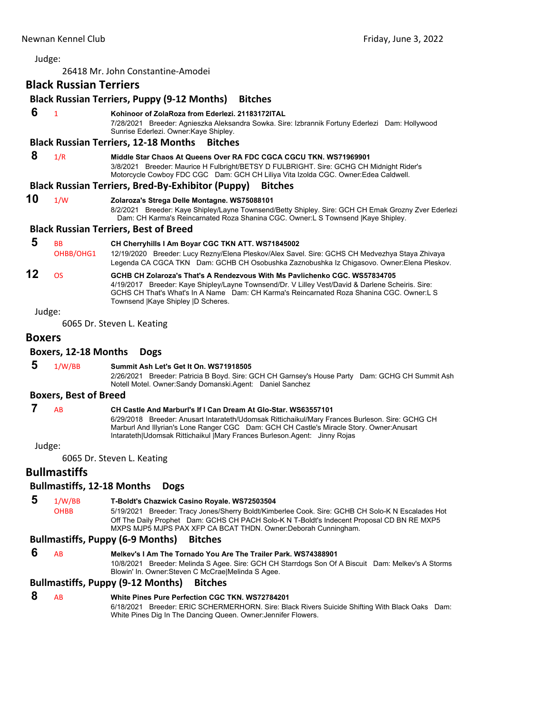26418 Mr. John Constantine‐Amodei

# <span id="page-20-0"></span>**Black Russian Terriers**

# **Black Russian Terriers, Puppy (9‐12 Months) Bitches**

# **6** <sup>1</sup> **Kohinoor of ZolaRoza from Ederlezi. 21183172ITAL**

7/28/2021 Breeder: Agnieszka Aleksandra Sowka. Sire: Izbrannik Fortuny Ederlezi Dam: Hollywood Sunrise Ederlezi. Owner:Kaye Shipley.

### **Black Russian Terriers, 12‐18 Months Bitches**

### **8** 1/R **Middle Star Chaos At Queens Over RA FDC CGCA CGCU TKN. WS71969901**

3/8/2021 Breeder: Maurice H Fulbright/BETSY D FULBRIGHT. Sire: GCHG CH Midnight Rider's Motorcycle Cowboy FDC CGC Dam: GCH CH Liliya Vita Izolda CGC. Owner:Edea Caldwell.

### **Black Russian Terriers, Bred‐By‐Exhibitor (Puppy) Bitches**

# **10** 1/W **Zolaroza's Strega Delle Montagne. WS75088101**

8/2/2021 Breeder: Kaye Shipley/Layne Townsend/Betty Shipley. Sire: GCH CH Emak Grozny Zver Ederlezi Dam: CH Karma's Reincarnated Roza Shanina CGC. Owner:L S Townsend |Kaye Shipley.

### **Black Russian Terriers, Best of Breed**

# **5** BB **CH Cherryhills I Am Boyar CGC TKN ATT. WS71845002**

OHBB/OHG1 12/19/2020 Breeder: Lucy Rezny/Elena Pleskov/Alex Savel. Sire: GCHS CH Medvezhya Staya Zhivaya Legenda CA CGCA TKN Dam: GCHB CH Osobushka Zaznobushka Iz Chigasovo. Owner:Elena Pleskov.

### **12** OS **GCHB CH Zolaroza's That's A Rendezvous With Ms Pavlichenko CGC. WS57834705** 4/19/2017 Breeder: Kaye Shipley/Layne Townsend/Dr. V Lilley Vest/David & Darlene Scheiris. Sire: GCHS CH That's What's In A Name Dam: CH Karma's Reincarnated Roza Shanina CGC. Owner:L S Townsend |Kaye Shipley |D Scheres.

### Judge:

6065 Dr. Steven L. Keating

### **Boxers**

### **Boxers, 12‐18 Months Dogs**

### **5** 1/W/BB **Summit Ash Let's Get It On. WS71918505**

2/26/2021 Breeder: Patricia B Boyd. Sire: GCH CH Garnsey's House Party Dam: GCHG CH Summit Ash Notell Motel. Owner:Sandy Domanski.Agent: Daniel Sanchez

### **Boxers, Best of Breed**

 **7** AB **CH Castle And Marburl's If I Can Dream At Glo-Star. WS63557101**

6/29/2018 Breeder: Anusart Intarateth/Udomsak Rittichaikul/Mary Frances Burleson. Sire: GCHG CH Marburl And Illyrian's Lone Ranger CGC Dam: GCH CH Castle's Miracle Story. Owner:Anusart Intarateth|Udomsak Rittichaikul |Mary Frances Burleson.Agent: Jinny Rojas

Judge:

6065 Dr. Steven L. Keating

### **Bullmastiffs**

### **Bullmastiffs, 12‐18 Months Dogs**

# **5** 1/W/BB **T-Boldt's Chazwick Casino Royale. WS72503504**

OHBB 5/19/2021 Breeder: Tracy Jones/Sherry Boldt/Kimberlee Cook. Sire: GCHB CH Solo-K N Escalades Hot Off The Daily Prophet Dam: GCHS CH PACH Solo-K N T-Boldt's Indecent Proposal CD BN RE MXP5 MXPS MJP5 MJPS PAX XFP CA BCAT THDN. Owner:Deborah Cunningham.

### **Bullmastiffs, Puppy (6‐9 Months) Bitches**

- **6** AB **Melkev's I Am The Tornado You Are The Trailer Park. WS74388901** 10/8/2021 Breeder: Melinda S Agee. Sire: GCH CH Starrdogs Son Of A Biscuit Dam: Melkev's A Storms
	- Blowin' In. Owner:Steven C McCrae|Melinda S Agee.

### **Bullmastiffs, Puppy (9‐12 Months) Bitches**

# **8** AB **White Pines Pure Perfection CGC TKN. WS72784201**

6/18/2021 Breeder: ERIC SCHERMERHORN. Sire: Black Rivers Suicide Shifting With Black Oaks Dam: White Pines Dig In The Dancing Queen. Owner:Jennifer Flowers.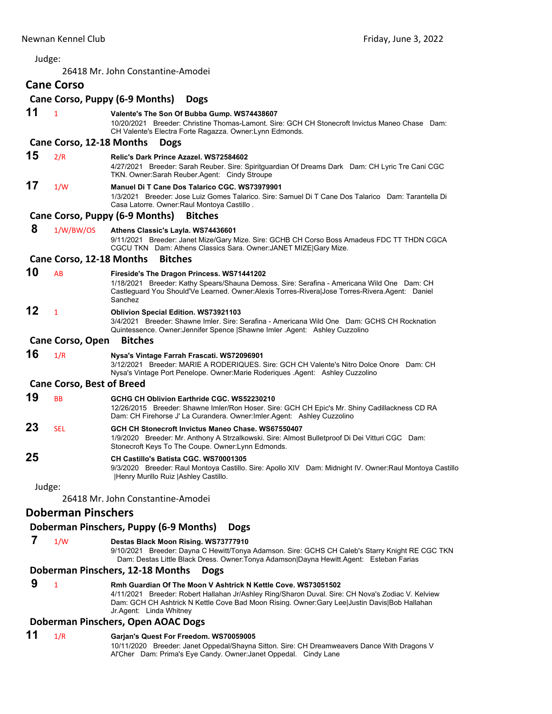|    | Newnan Kennel Club               | Friday, June 3, 2022                                                                                                                                                                                                                                  |
|----|----------------------------------|-------------------------------------------------------------------------------------------------------------------------------------------------------------------------------------------------------------------------------------------------------|
|    | Judge:                           |                                                                                                                                                                                                                                                       |
|    |                                  | 26418 Mr. John Constantine-Amodei                                                                                                                                                                                                                     |
|    | <b>Cane Corso</b>                |                                                                                                                                                                                                                                                       |
|    |                                  | Cane Corso, Puppy (6-9 Months)<br><b>Dogs</b>                                                                                                                                                                                                         |
| 11 | $\mathbf{1}$                     | Valente's The Son Of Bubba Gump. WS74438607<br>10/20/2021 Breeder: Christine Thomas-Lamont. Sire: GCH CH Stonecroft Invictus Maneo Chase Dam:<br>CH Valente's Electra Forte Ragazza. Owner: Lynn Edmonds.                                             |
|    | Cane Corso, 12-18 Months         | <b>Dogs</b>                                                                                                                                                                                                                                           |
| 15 | 2/R                              | Relic's Dark Prince Azazel. WS72584602<br>4/27/2021 Breeder: Sarah Reuber. Sire: Spiritguardian Of Dreams Dark Dam: CH Lyric Tre Cani CGC<br>TKN. Owner: Sarah Reuber. Agent: Cindy Stroupe                                                           |
| 17 | 1/W                              | Manuel Di T Cane Dos Talarico CGC, WS73979901<br>1/3/2021 Breeder: Jose Luiz Gomes Talarico. Sire: Samuel Di T Cane Dos Talarico Dam: Tarantella Di<br>Casa Latorre. Owner: Raul Montoya Castillo.                                                    |
|    |                                  | Cane Corso, Puppy (6-9 Months)<br><b>Bitches</b>                                                                                                                                                                                                      |
| 8  | 1/W/BW/OS                        | Athens Classic's Layla. WS74436601<br>9/11/2021 Breeder: Janet Mize/Gary Mize. Sire: GCHB CH Corso Boss Amadeus FDC TT THDN CGCA<br>CGCU TKN Dam: Athens Classics Sara. Owner: JANET MIZE Gary Mize.                                                  |
|    | Cane Corso, 12-18 Months         | <b>Bitches</b>                                                                                                                                                                                                                                        |
| 10 | AB                               | Fireside's The Dragon Princess. WS71441202<br>1/18/2021 Breeder: Kathy Spears/Shauna Demoss. Sire: Serafina - Americana Wild One Dam: CH<br>Castleguard You Should'Ve Learned. Owner:Alexis Torres-Rivera Jose Torres-Rivera.Agent: Daniel<br>Sanchez |
| 12 | $\mathbf{1}$                     | <b>Oblivion Special Edition. WS73921103</b><br>3/4/2021 Breeder: Shawne Imler. Sire: Serafina - Americana Wild One Dam: GCHS CH Rocknation<br>Quintessence. Owner: Jennifer Spence   Shawne Imler Agent: Ashley Cuzzolino                             |
|    | Cane Corso, Open                 | <b>Bitches</b>                                                                                                                                                                                                                                        |
| 16 | 1/R                              | Nysa's Vintage Farrah Frascati. WS72096901<br>3/12/2021 Breeder: MARIE A RODERIQUES. Sire: GCH CH Valente's Nitro Dolce Onore Dam: CH<br>Nysa's Vintage Port Penelope. Owner: Marie Roderiques . Agent: Ashley Cuzzolino                              |
|    | <b>Cane Corso, Best of Breed</b> |                                                                                                                                                                                                                                                       |
| 19 | <b>BB</b>                        | GCHG CH Oblivion Earthride CGC, WS52230210<br>12/26/2015 Breeder: Shawne Imler/Ron Hoser. Sire: GCH CH Epic's Mr. Shiny Cadillackness CD RA<br>Dam: CH Firehorse J' La Curandera. Owner: Imler. Agent: Ashley Cuzzolino                               |
| 23 | SEL                              | GCH CH Stonecroft Invictus Maneo Chase. WS67550407<br>1/9/2020 Breeder: Mr. Anthony A Strzalkowski. Sire: Almost Bulletproof Di Dei Vitturi CGC Dam:<br>Stonecroft Keys To The Coupe. Owner: Lynn Edmonds.                                            |
| 25 |                                  | CH Castillo's Batista CGC. WS70001305<br>9/3/2020 Breeder: Raul Montoya Castillo. Sire: Apollo XIV Dam: Midnight IV. Owner: Raul Montoya Castillo<br>Henry Murillo Ruiz   Ashley Castillo.                                                            |
|    | Judge:                           |                                                                                                                                                                                                                                                       |
|    |                                  | 26418 Mr. John Constantine-Amodei                                                                                                                                                                                                                     |
|    | <b>Doberman Pinschers</b>        |                                                                                                                                                                                                                                                       |
|    |                                  | Doberman Pinschers, Puppy (6-9 Months)<br><b>Dogs</b>                                                                                                                                                                                                 |
| 7  | 1/W                              | Destas Black Moon Rising. WS73777910<br>9/10/2021 Breeder: Dayna C Hewitt/Tonya Adamson. Sire: GCHS CH Caleb's Starry Knight RE CGC TKN<br>Dam: Destas Little Black Dress. Owner: Tonya Adamson Dayna Hewitt. Agent: Esteban Farias                   |

# **Doberman Pinschers, 12‐18 Months Dogs**

| 9 | Rmh Guardian Of The Moon V Ashtrick N Kettle Cove. WS73051502                                     |
|---|---------------------------------------------------------------------------------------------------|
|   | 4/11/2021 Breeder: Robert Hallahan Jr/Ashley Ring/Sharon Duval. Sire: CH Nova's Zodiac V. Kelview |
|   | Dam: GCH CH Ashtrick N Kettle Cove Bad Moon Rising. Owner: Gary Lee Justin Davis Bob Hallahan     |
|   | Jr.Agent: Linda Whitney                                                                           |

# **Doberman Pinschers, Open AOAC Dogs**

# **11** 1/R **Garjan's Quest For Freedom. WS70059005**

10/11/2020 Breeder: Janet Oppedal/Shayna Sitton. Sire: CH Dreamweavers Dance With Dragons V Al'Cher Dam: Prima's Eye Candy. Owner:Janet Oppedal. Cindy Lane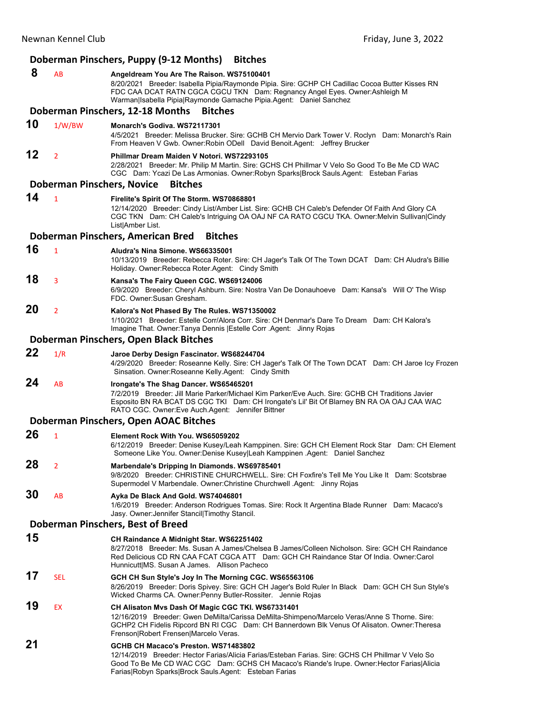|    |                                   | Doberman Pinschers, Puppy (9-12 Months)<br><b>Bitches</b>                                                                                                                                                                                                                                                                                              |
|----|-----------------------------------|--------------------------------------------------------------------------------------------------------------------------------------------------------------------------------------------------------------------------------------------------------------------------------------------------------------------------------------------------------|
| 8  | AB                                | Angeldream You Are The Raison. WS75100401<br>8/20/2021 Breeder: Isabella Pipia/Raymonde Pipia. Sire: GCHP CH Cadillac Cocoa Butter Kisses RN<br>FDC CAA DCAT RATN CGCA CGCU TKN Dam: Regnancy Angel Eyes. Owner:Ashleigh M<br>Warman Isabella Pipia Raymonde Gamache Pipia.Agent: Daniel Sanchez<br>Doberman Pinschers, 12-18 Months<br><b>Bitches</b> |
|    |                                   |                                                                                                                                                                                                                                                                                                                                                        |
| 10 | 1/W/BW                            | Monarch's Godiva, WS72117301<br>4/5/2021 Breeder: Melissa Brucker. Sire: GCHB CH Mervio Dark Tower V. Roclyn Dam: Monarch's Rain<br>From Heaven V Gwb. Owner: Robin ODell David Benoit. Agent: Jeffrey Brucker                                                                                                                                         |
| 12 | $\overline{2}$                    | Phillmar Dream Maiden V Notori, WS72293105<br>2/28/2021 Breeder: Mr. Philip M Martin. Sire: GCHS CH Phillmar V Velo So Good To Be Me CD WAC<br>CGC Dam: Ycazi De Las Armonias. Owner: Robyn Sparks Brock Sauls. Agent: Esteban Farias                                                                                                                  |
|    | <b>Doberman Pinschers, Novice</b> | <b>Bitches</b>                                                                                                                                                                                                                                                                                                                                         |
| 14 | $\mathbf{1}$                      | Firelite's Spirit Of The Storm. WS70868801<br>12/14/2020 Breeder: Cindy List/Amber List. Sire: GCHB CH Caleb's Defender Of Faith And Glory CA<br>CGC TKN Dam: CH Caleb's Intriguing OA OAJ NF CA RATO CGCU TKA. Owner: Melvin Sullivan Cindy<br>List Amber List.                                                                                       |
|    |                                   | Doberman Pinschers, American Bred<br><b>Bitches</b>                                                                                                                                                                                                                                                                                                    |
| 16 | $\mathbf{1}$                      | Aludra's Nina Simone, WS66335001<br>10/13/2019 Breeder: Rebecca Roter. Sire: CH Jager's Talk Of The Town DCAT Dam: CH Aludra's Billie<br>Holiday. Owner: Rebecca Roter. Agent: Cindy Smith                                                                                                                                                             |
| 18 | 3                                 | Kansa's The Fairy Queen CGC. WS69124006<br>6/9/2020 Breeder: Cheryl Ashburn. Sire: Nostra Van De Donauhoeve Dam: Kansa's Will O' The Wisp<br>FDC. Owner: Susan Gresham.                                                                                                                                                                                |
| 20 | $\overline{2}$                    | Kalora's Not Phased By The Rules. WS71350002<br>1/10/2021 Breeder: Estelle Corr/Alora Corr. Sire: CH Denmar's Dare To Dream Dam: CH Kalora's<br>Imagine That. Owner: Tanya Dennis   Estelle Corr . Agent: Jinny Rojas                                                                                                                                  |
|    |                                   | Doberman Pinschers, Open Black Bitches                                                                                                                                                                                                                                                                                                                 |
| 22 | 1/R                               | Jaroe Derby Design Fascinator. WS68244704<br>4/29/2020 Breeder: Roseanne Kelly. Sire: CH Jager's Talk Of The Town DCAT Dam: CH Jaroe Icy Frozen<br>Sinsation. Owner: Roseanne Kelly Agent: Cindy Smith                                                                                                                                                 |
| 24 | AB                                | Irongate's The Shag Dancer. WS65465201<br>7/2/2019 Breeder: Jill Marie Parker/Michael Kim Parker/Eve Auch. Sire: GCHB CH Traditions Javier<br>Esposito BN RA BCAT DS CGC TKI Dam: CH Irongate's Lil' Bit Of Blarney BN RA OA OAJ CAA WAC<br>RATO CGC. Owner:Eve Auch.Agent: Jennifer Bittner                                                           |
|    |                                   | Doberman Pinschers, Open AOAC Bitches                                                                                                                                                                                                                                                                                                                  |
| 26 | $\mathbf{1}$                      | Element Rock With You. WS65059202                                                                                                                                                                                                                                                                                                                      |
|    |                                   | 6/12/2019 Breeder: Denise Kusey/Leah Kamppinen. Sire: GCH CH Element Rock Star Dam: CH Element<br>Someone Like You. Owner:Denise Kusey Leah Kamppinen .Agent: Daniel Sanchez                                                                                                                                                                           |
| 28 | $\overline{2}$                    | Marbendale's Dripping In Diamonds. WS69785401<br>9/8/2020 Breeder: CHRISTINE CHURCHWELL. Sire: CH Foxfire's Tell Me You Like It Dam: Scotsbrae<br>Supermodel V Marbendale. Owner: Christine Churchwell Agent: Jinny Rojas                                                                                                                              |
| 30 | AB                                | Ayka De Black And Gold. WS74046801<br>1/6/2019 Breeder: Anderson Rodrigues Tomas. Sire: Rock It Argentina Blade Runner Dam: Macaco's<br>Jasy. Owner: Jennifer Stancil Timothy Stancil.                                                                                                                                                                 |
|    |                                   | Doberman Pinschers, Best of Breed                                                                                                                                                                                                                                                                                                                      |
| 15 |                                   | CH Raindance A Midnight Star. WS62251402<br>8/27/2018 Breeder: Ms. Susan A James/Chelsea B James/Colleen Nicholson. Sire: GCH CH Raindance<br>Red Delicious CD RN CAA FCAT CGCA ATT Dam: GCH CH Raindance Star Of India. Owner:Carol<br>Hunnicutt MS. Susan A James. Allison Pacheco                                                                   |
| 17 | <b>SEL</b>                        | GCH CH Sun Style's Joy In The Morning CGC. WS65563106<br>8/26/2019 Breeder: Doris Spivey. Sire: GCH CH Jager's Bold Ruler In Black Dam: GCH CH Sun Style's<br>Wicked Charms CA. Owner: Penny Butler-Rossiter. Jennie Rojas                                                                                                                             |
| 19 | <b>EX</b>                         | CH Alisaton Mvs Dash Of Magic CGC TKI. WS67331401<br>12/16/2019 Breeder: Gwen DeMilta/Carissa DeMilta-Shimpeno/Marcelo Veras/Anne S Thorne. Sire:<br>GCHP2 CH Fidelis Ripcord BN RI CGC Dam: CH Bannerdown Blk Venus Of Alisaton. Owner: Theresa<br>Frenson Robert Frensen Marcelo Veras.                                                              |
| 21 |                                   | GCHB CH Macaco's Preston. WS71483802<br>12/14/2019 Breeder: Hector Farias/Alicia Farias/Esteban Farias. Sire: GCHS CH Phillmar V Velo So<br>Good To Be Me CD WAC CGC Dam: GCHS CH Macaco's Riande's Irupe. Owner: Hector Farias Alicia<br>Farias Robyn Sparks Brock Sauls Agent: Esteban Farias                                                        |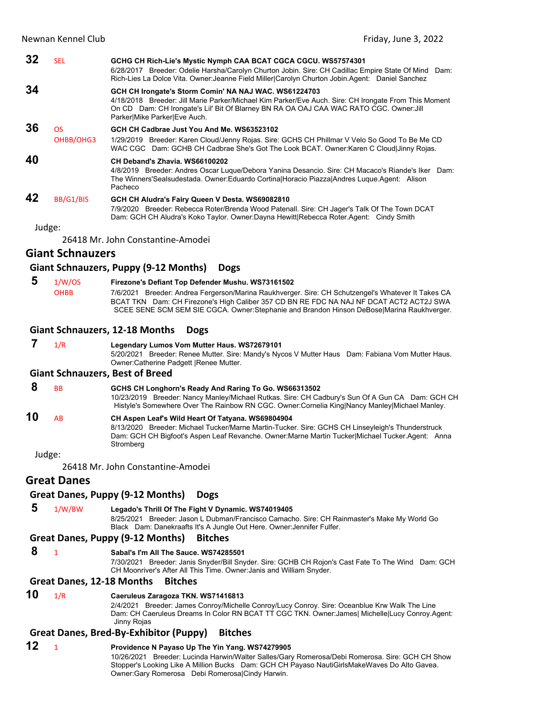| 32 | <b>SEL</b> | GCHG CH Rich-Lie's Mystic Nymph CAA BCAT CGCA CGCU. WS57574301<br>6/28/2017 Breeder: Odelie Harsha/Carolyn Churton Jobin. Sire: CH Cadillac Empire State Of Mind Dam:<br>Rich-Lies La Dolce Vita. Owner: Jeanne Field Miller Carolyn Churton Jobin Agent: Daniel Sanchez                 |
|----|------------|------------------------------------------------------------------------------------------------------------------------------------------------------------------------------------------------------------------------------------------------------------------------------------------|
| 34 |            | GCH CH Irongate's Storm Comin' NA NAJ WAC. WS61224703<br>4/18/2018 Breeder: Jill Marie Parker/Michael Kim Parker/Eve Auch. Sire: CH Irongate From This Moment<br>On CD Dam: CH Irongate's Lil' Bit Of Blarney BN RA OA OAJ CAA WAC RATO CGC. Owner: Jill<br>Parker Mike Parker Eve Auch. |
| 36 | OS.        | GCH CH Cadbrae Just You And Me. WS63523102                                                                                                                                                                                                                                               |
|    | OHBB/OHG3  | 1/29/2019 Breeder: Karen Cloud/Jenny Rojas. Sire: GCHS CH Phillmar V Velo So Good To Be Me CD<br>WAC CGC Dam: GCHB CH Cadbrae She's Got The Look BCAT. Owner: Karen C Cloud Jinny Rojas.                                                                                                 |
| 40 |            | CH Deband's Zhavia. WS66100202<br>4/8/2019 Breeder: Andres Oscar Luque/Debora Yanina Desancio. Sire: CH Macaco's Riande's Iker Dam:<br>The Winners'Sealsudestada. Owner:Eduardo CortinalHoracio PiazzalAndres Luque Agent: Alison<br>Pacheco                                             |
| 42 | BB/G1/BIS  | GCH CH Aludra's Fairy Queen V Desta. WS69082810<br>7/9/2020 Breeder: Rebecca Roter/Brenda Wood Patenall. Sire: CH Jager's Talk Of The Town DCAT<br>Dam: GCH CH Aludra's Koko Taylor. Owner:Dayna Hewitt Rebecca Roter.Agent: Cindy Smith                                                 |

26418 Mr. John Constantine‐Amodei

# **Giant Schnauzers**

### **Giant Schnauzers, Puppy (9‐12 Months) Dogs**

 **5** 1/W/OS **Firezone's Defiant Top Defender Mushu. WS73161502** OHBB 7/6/2021 Breeder: Andrea Fergerson/Marina Raukhverger. Sire: CH Schutzengel's Whatever It Takes CA BCAT TKN Dam: CH Firezone's High Caliber 357 CD BN RE FDC NA NAJ NF DCAT ACT2 ACT2J SWA SCEE SENE SCM SEM SIE CGCA. Owner:Stephanie and Brandon Hinson DeBose|Marina Raukhverger.

### **Giant Schnauzers, 12‐18 Months Dogs**

### **7** 1/R **Legendary Lumos Vom Mutter Haus. WS72679101**

5/20/2021 Breeder: Renee Mutter. Sire: Mandy's Nycos V Mutter Haus Dam: Fabiana Vom Mutter Haus. Owner:Catherine Padgett |Renee Mutter.

### **Giant Schnauzers, Best of Breed**

# **8** BB **GCHS CH Longhorn's Ready And Raring To Go. WS66313502**

10/23/2019 Breeder: Nancy Manley/Michael Rutkas. Sire: CH Cadbury's Sun Of A Gun CA Dam: GCH CH Histyle's Somewhere Over The Rainbow RN CGC. Owner:Cornelia King|Nancy Manley|Michael Manley.

# **10** AB **CH Aspen Leaf's Wild Heart Of Tatyana. WS69804904**

8/13/2020 Breeder: Michael Tucker/Marne Martin-Tucker. Sire: GCHS CH Linseyleigh's Thunderstruck Dam: GCH CH Bigfoot's Aspen Leaf Revanche. Owner:Marne Martin Tucker|Michael Tucker.Agent: Anna Stromberg

Judge:

26418 Mr. John Constantine‐Amodei

# **Great Danes**

### **Great Danes, Puppy (9‐12 Months) Dogs**

 **5** 1/W/BW **Legado's Thrill Of The Fight V Dynamic. WS74019405** 8/25/2021 Breeder: Jason L Dubman/Francisco Camacho. Sire: CH Rainmaster's Make My World Go Black Dam: Danekraafts It's A Jungle Out Here. Owner:Jennifer Fulfer.

### **Great Danes, Puppy (9‐12 Months) Bitches**

 **8** <sup>1</sup> **Sabal's I'm All The Sauce. WS74285501**

7/30/2021 Breeder: Janis Snyder/Bill Snyder. Sire: GCHB CH Rojon's Cast Fate To The Wind Dam: GCH CH Moonriver's After All This Time. Owner:Janis and William Snyder.

### **Great Danes, 12‐18 Months Bitches**

# **10** 1/R **Caeruleus Zaragoza TKN. WS71416813**

2/4/2021 Breeder: James Conroy/Michelle Conroy/Lucy Conroy. Sire: Oceanblue Krw Walk The Line Dam: CH Caeruleus Dreams In Color RN BCAT TT CGC TKN. Owner:James| Michelle|Lucy Conroy.Agent: Jinny Rojas

## **Great Danes, Bred‐By‐Exhibitor (Puppy) Bitches**

# **12** <sup>1</sup> **Providence N Payaso Up The Yin Yang. WS74279905**

10/26/2021 Breeder: Lucinda Harwin/Walter Salles/Gary Romerosa/Debi Romerosa. Sire: GCH CH Show Stopper's Looking Like A Million Bucks Dam: GCH CH Payaso NautiGirlsMakeWaves Do Alto Gavea. Owner:Gary Romerosa Debi Romerosa|Cindy Harwin.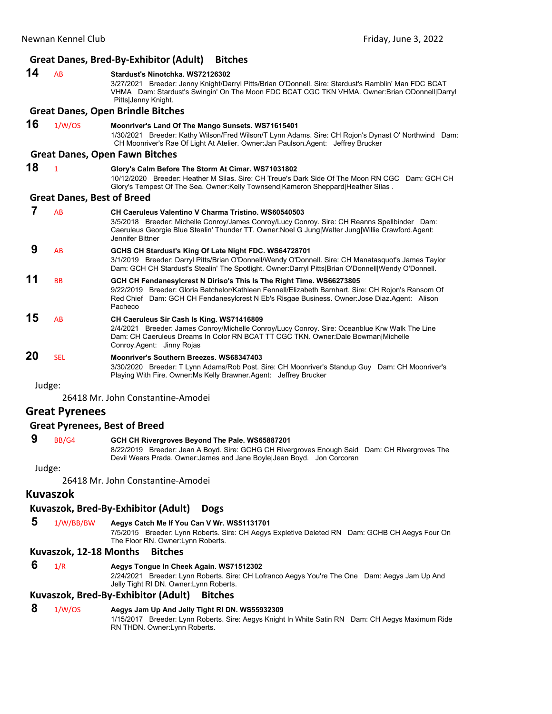# **Great Danes, Bred‐By‐Exhibitor (Adult) Bitches**

| 14 | AB                                | Stardust's Ninotchka, WS72126302<br>3/27/2021 Breeder: Jenny Knight/Darryl Pitts/Brian O'Donnell. Sire: Stardust's Ramblin' Man FDC BCAT<br>VHMA Dam: Stardust's Swingin' On The Moon FDC BCAT CGC TKN VHMA. Owner: Brian ODonnell Darryl<br>Pitts Jenny Knight.                       |  |  |  |
|----|-----------------------------------|----------------------------------------------------------------------------------------------------------------------------------------------------------------------------------------------------------------------------------------------------------------------------------------|--|--|--|
|    |                                   | <b>Great Danes, Open Brindle Bitches</b>                                                                                                                                                                                                                                               |  |  |  |
| 16 | 1/W/OS                            | Moonriver's Land Of The Mango Sunsets. WS71615401<br>1/30/2021 Breeder: Kathy Wilson/Fred Wilson/T Lynn Adams. Sire: CH Rojon's Dynast O' Northwind Dam:<br>CH Moonriver's Rae Of Light At Atelier. Owner: Jan Paulson. Agent: Jeffrey Brucker                                         |  |  |  |
|    |                                   | <b>Great Danes, Open Fawn Bitches</b>                                                                                                                                                                                                                                                  |  |  |  |
| 18 | $\mathbf{1}$                      | Glory's Calm Before The Storm At Cimar. WS71031802<br>10/12/2020 Breeder: Heather M Silas, Sire: CH Treue's Dark Side Of The Moon RN CGC Dam: GCH CH<br>Glory's Tempest Of The Sea. Owner: Kelly Townsend  Kameron Sheppard  Heather Silas.                                            |  |  |  |
|    | <b>Great Danes, Best of Breed</b> |                                                                                                                                                                                                                                                                                        |  |  |  |
| 7  | AB                                | <b>CH Caeruleus Valentino V Charma Tristino, WS60540503</b><br>3/5/2018 Breeder: Michelle Conroy/James Conroy/Lucy Conroy. Sire: CH Reanns Spellbinder Dam:<br>Caeruleus Georgie Blue Stealin' Thunder TT. Owner: Noel G Jung Walter Jung Willie Crawford. Agent:<br>Jennifer Bittner  |  |  |  |
| 9  | AB                                | GCHS CH Stardust's King Of Late Night FDC. WS64728701<br>3/1/2019 Breeder: Darryl Pitts/Brian O'Donnell/Wendy O'Donnell. Sire: CH Manatasquot's James Taylor<br>Dam: GCH CH Stardust's Stealin' The Spotlight. Owner:Darryl Pitts Brian O'Donnell Wendy O'Donnell.                     |  |  |  |
| 11 | <b>BB</b>                         | GCH CH Fendanesylcrest N Diriso's This Is The Right Time. WS66273805<br>9/22/2019 Breeder: Gloria Batchelor/Kathleen Fennell/Elizabeth Barnhart. Sire: CH Rojon's Ransom Of<br>Red Chief Dam: GCH CH Fendanesylcrest N Eb's Risgae Business. Owner: Jose Diaz.Agent: Alison<br>Pacheco |  |  |  |
| 15 | AB                                | CH Caeruleus Sir Cash Is King. WS71416809<br>2/4/2021 Breeder: James Conroy/Michelle Conroy/Lucy Conroy. Sire: Oceanblue Krw Walk The Line<br>Dam: CH Caeruleus Dreams In Color RN BCAT TT CGC TKN. Owner:Dale Bowman Michelle<br>Conroy Agent: Jinny Rojas                            |  |  |  |
| 20 | <b>SEL</b>                        | Moonriver's Southern Breezes, WS68347403<br>3/30/2020 Breeder: T Lynn Adams/Rob Post. Sire: CH Moonriver's Standup Guy Dam: CH Moonriver's<br>Playing With Fire. Owner: Ms Kelly Brawner. Agent: Jeffrey Brucker                                                                       |  |  |  |
|    | Judge:                            |                                                                                                                                                                                                                                                                                        |  |  |  |

26418 Mr. John Constantine‐Amodei

### **Great Pyrenees**

### **Great Pyrenees, Best of Breed**

# **9** BB/G4 **GCH CH Rivergroves Beyond The Pale. WS65887201**

8/22/2019 Breeder: Jean A Boyd. Sire: GCHG CH Rivergroves Enough Said Dam: CH Rivergroves The Devil Wears Prada. Owner:James and Jane Boyle|Jean Boyd. Jon Corcoran

Judge:

26418 Mr. John Constantine‐Amodei

## **Kuvaszok**

# **Kuvaszok, Bred‐By‐Exhibitor (Adult) Dogs**

 **5** 1/W/BB/BW **Aegys Catch Me If You Can V Wr. WS51131701**

7/5/2015 Breeder: Lynn Roberts. Sire: CH Aegys Expletive Deleted RN Dam: GCHB CH Aegys Four On The Floor RN. Owner:Lynn Roberts.

## **Kuvaszok, 12‐18 Months Bitches**

 **6** 1/R **Aegys Tongue In Cheek Again. WS71512302**

2/24/2021 Breeder: Lynn Roberts. Sire: CH Lofranco Aegys You're The One Dam: Aegys Jam Up And Jelly Tight RI DN. Owner:Lynn Roberts.

# **Kuvaszok, Bred‐By‐Exhibitor (Adult) Bitches**

# **8** 1/W/OS **Aegys Jam Up And Jelly Tight RI DN. WS55932309**

1/15/2017 Breeder: Lynn Roberts. Sire: Aegys Knight In White Satin RN Dam: CH Aegys Maximum Ride RN THDN. Owner:Lynn Roberts.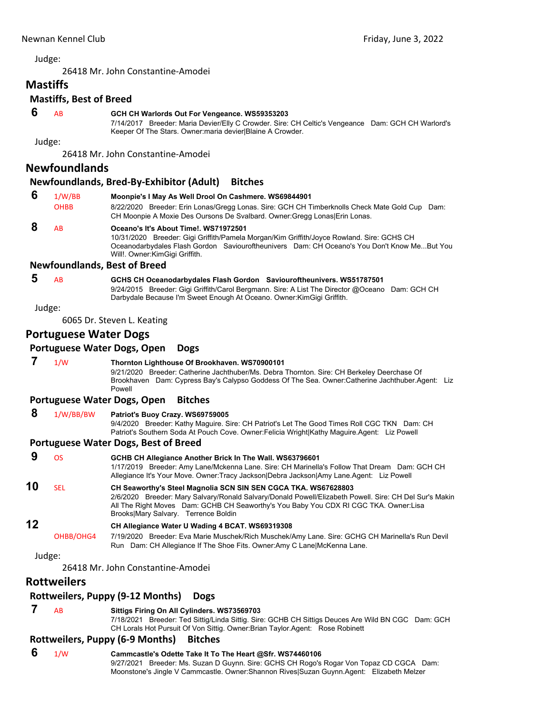26418 Mr. John Constantine‐Amodei

# **Mastiffs**

# **Mastiffs, Best of Breed**

### **6** AB **GCH CH Warlords Out For Vengeance. WS59353203**

7/14/2017 Breeder: Maria Devier/Elly C Crowder. Sire: CH Celtic's Vengeance Dam: GCH CH Warlord's Keeper Of The Stars. Owner:maria devier|Blaine A Crowder.

Judge:

26418 Mr. John Constantine‐Amodei

# **Newfoundlands**

### **Newfoundlands, Bred‐By‐Exhibitor (Adult) Bitches**

| 8/22/2020 Breeder: Erin Lonas/Gregg Lonas. Sire: GCH CH Timberknolls Check Mate Gold Cup Dam: |
|-----------------------------------------------------------------------------------------------|
|                                                                                               |
|                                                                                               |

# **8** AB **Oceano's It's About Time!. WS71972501**

10/31/2020 Breeder: Gigi Griffith/Pamela Morgan/Kim Griffith/Joyce Rowland. Sire: GCHS CH Oceanodarbydales Flash Gordon Saviouroftheunivers Dam: CH Oceano's You Don't Know Me...But You Will!. Owner:KimGigi Griffith.

### **Newfoundlands, Best of Breed**

### **5** AB **GCHS CH Oceanodarbydales Flash Gordon Saviouroftheunivers. WS51787501** 9/24/2015 Breeder: Gigi Griffith/Carol Bergmann. Sire: A List The Director @Oceano Dam: GCH CH

Darbydale Because I'm Sweet Enough At Oceano. Owner:KimGigi Griffith.

Judge:

6065 Dr. Steven L. Keating

# **Portuguese Water Dogs**

## **Portuguese Water Dogs, Open Dogs**

 **7** 1/W **Thornton Lighthouse Of Brookhaven. WS70900101** 9/21/2020 Breeder: Catherine Jachthuber/Ms. Debra Thornton. Sire: CH Berkeley Deerchase Of Brookhaven Dam: Cypress Bay's Calypso Goddess Of The Sea. Owner:Catherine Jachthuber.Agent: Liz Powell **Portuguese Water Dogs, Open Bitches 8** 1/W/BB/BW **Patriot's Buoy Crazy. WS69759005** 9/4/2020 Breeder: Kathy Maguire. Sire: CH Patriot's Let The Good Times Roll CGC TKN Dam: CH Patriot's Southern Soda At Pouch Cove. Owner:Felicia Wright|Kathy Maguire.Agent: Liz Powell **Portuguese Water Dogs, Best of Breed 9** OS **GCHB CH Allegiance Another Brick In The Wall. WS63796601** 1/17/2019 Breeder: Amy Lane/Mckenna Lane. Sire: CH Marinella's Follow That Dream Dam: GCH CH Allegiance It's Your Move. Owner:Tracy Jackson|Debra Jackson|Amy Lane.Agent: Liz Powell **10** SEL **CH Seaworthy's Steel Magnolia SCN SIN SEN CGCA TKA. WS67628803** 2/6/2020 Breeder: Mary Salvary/Ronald Salvary/Donald Powell/Elizabeth Powell. Sire: CH Del Sur's Makin All The Right Moves Dam: GCHB CH Seaworthy's You Baby You CDX RI CGC TKA. Owner:Lisa Brooks|Mary Salvary. Terrence Boldin **12 CH Allegiance Water U Wading 4 BCAT. WS69319308** OHBB/OHG4 7/19/2020 Breeder: Eva Marie Muschek/Rich Muschek/Amy Lane. Sire: GCHG CH Marinella's Run Devil Run Dam: CH Allegiance If The Shoe Fits. Owner:Amy C Lane|McKenna Lane.

Judge:

26418 Mr. John Constantine‐Amodei

# **Rottweilers**

## **Rottweilers, Puppy (9‐12 Months) Dogs**

# **7** AB **Sittigs Firing On All Cylinders. WS73569703**

7/18/2021 Breeder: Ted Sittig/Linda Sittig. Sire: GCHB CH Sittigs Deuces Are Wild BN CGC Dam: GCH CH Lorals Hot Pursuit Of Von Sittig. Owner: Brian Taylor. Agent: Rose Robinett

# **Rottweilers, Puppy (6‐9 Months) Bitches**

### **6** 1/W **Cammcastle's Odette Take It To The Heart @Sfr. WS74460106** 9/27/2021 Breeder: Ms. Suzan D Guynn. Sire: GCHS CH Rogo's Rogar Von Topaz CD CGCA Dam: Moonstone's Jingle V Cammcastle. Owner:Shannon Rives|Suzan Guynn.Agent: Elizabeth Melzer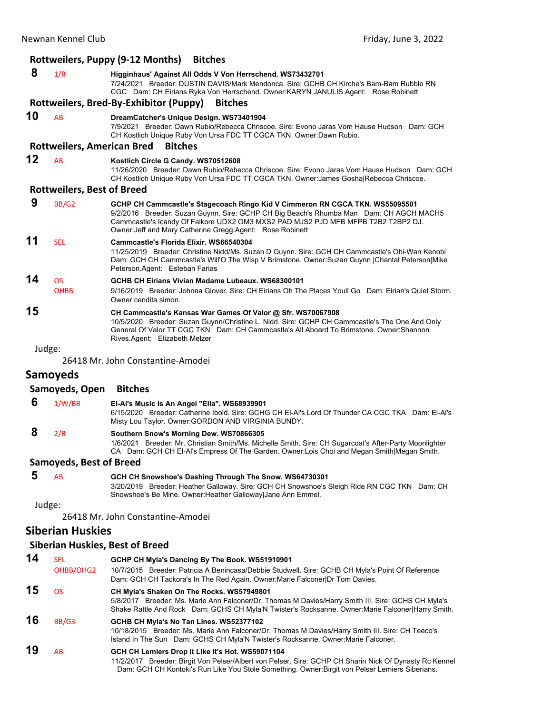|    | Rottweilers, Puppy (9-12 Months)<br><b>Bitches</b> |                                                                                                                                                                                                                                                                                                                           |  |  |  |
|----|----------------------------------------------------|---------------------------------------------------------------------------------------------------------------------------------------------------------------------------------------------------------------------------------------------------------------------------------------------------------------------------|--|--|--|
| 8  | 1/R                                                | Higginhaus' Against All Odds V Von Herrschend. WS73432701<br>7/24/2021 Breeder: DUSTIN DAVIS/Mark Mendonca, Sire: GCHB CH Kirche's Bam-Bam Rubble RN<br>CGC Dam: CH Eirians Ryka Von Herrschend. Owner:KARYN JANULIS.Agent: Rose Robinett                                                                                 |  |  |  |
|    |                                                    | Rottweilers, Bred-By-Exhibitor (Puppy)<br><b>Bitches</b>                                                                                                                                                                                                                                                                  |  |  |  |
| 10 | <b>AB</b>                                          | DreamCatcher's Unique Design. WS73401904<br>7/9/2021 Breeder: Dawn Rubio/Rebecca Chriscoe, Sire: Evono Jaras Vom Hause Hudson Dam: GCH<br>CH Kostlich Unique Ruby Von Ursa FDC TT CGCA TKN. Owner:Dawn Rubio.                                                                                                             |  |  |  |
|    | <b>Rottweilers, American Bred</b>                  | <b>Bitches</b>                                                                                                                                                                                                                                                                                                            |  |  |  |
| 12 | <b>AB</b>                                          | Kostlich Circle G Candy. WS70512608<br>11/26/2020 Breeder: Dawn Rubio/Rebecca Chriscoe, Sire: Evono Jaras Vom Hause Hudson Dam: GCH<br>CH Kostlich Unique Ruby Von Ursa FDC TT CGCA TKN. Owner: James Gosha Rebecca Chriscoe.                                                                                             |  |  |  |
|    | <b>Rottweilers, Best of Breed</b>                  |                                                                                                                                                                                                                                                                                                                           |  |  |  |
| 9  | BB/G2                                              | GCHP CH Cammcastle's Stagecoach Ringo Kid V Cimmeron RN CGCA TKN. WS55095501<br>9/2/2016 Breeder: Suzan Guynn. Sire: GCHP CH Big Beach's Rhumba Man Dam: CH AGCH MACH5<br>Cammcastle's Icandy Of Falkore UDX2 OM3 MXS2 PAD MJS2 PJD MFB MFPB T2B2 T2BP2 DJ.<br>Owner: Jeff and Mary Catherine Gregg. Agent: Rose Robinett |  |  |  |
| 11 | <b>SFI</b>                                         | Cammcastle's Florida Elixir. WS66540304<br>11/25/2019 Breeder: Christine Nidd/Ms. Suzan D Guynn. Sire: GCH CH Cammcastle's Obi-Wan Kenobi<br>Dam: GCH CH Cammcastle's Will'O The Wisp V Brimstone. Owner: Suzan Guynn   Chantal Peterson  Mike<br>Peterson.Agent: Esteban Farias                                          |  |  |  |
| 14 | <b>OS</b>                                          | GCHB CH Eirians Vivian Madame Lubeaux, WS68300101                                                                                                                                                                                                                                                                         |  |  |  |
|    | <b>OHBB</b>                                        | 9/16/2019 Breeder: Johnna Glover. Sire: CH Eirians Oh The Places Youll Go Dam: Eirian's Quiet Storm.<br>Owner: cendita simon.                                                                                                                                                                                             |  |  |  |
| 15 |                                                    | CH Cammcastle's Kansas War Games Of Valor @ Sfr. WS70067908<br>10/5/2020 Breeder: Suzan Guynn/Christine L. Nidd. Sire: GCHP CH Cammcastle's The One And Only<br>General Of Valor TT CGC TKN Dam: CH Cammcastle's All Aboard To Brimstone, Owner: Shannon<br>Rives.Agent: Elizabeth Melzer                                 |  |  |  |
|    | Judge:                                             |                                                                                                                                                                                                                                                                                                                           |  |  |  |
|    |                                                    | 26418 Mr. John Constantine-Amodei                                                                                                                                                                                                                                                                                         |  |  |  |
|    | Samoveds                                           |                                                                                                                                                                                                                                                                                                                           |  |  |  |

# **Samoyeds**

|   | Samoyeds, Open        | <b>Bitches</b>                                                                                                                                                                                                                                      |
|---|-----------------------|-----------------------------------------------------------------------------------------------------------------------------------------------------------------------------------------------------------------------------------------------------|
| 6 | 1/W/BB                | El-Al's Music Is An Angel "Ella". WS68939901<br>6/15/2020 Breeder: Catherine Ibold, Sire: GCHG CH EI-AI's Lord Of Thunder CA CGC TKA Dam: EI-AI's<br>Misty Lou Taylor. Owner: GORDON AND VIRGINIA BUNDY.                                            |
|   | 2/R                   | Southern Snow's Morning Dew. WS70866305<br>Breeder: Mr. Christian Smith/Ms. Michelle Smith. Sire: CH Sugarcoat's After-Party Moonlighter<br>1/6/2021<br>CA Dam: GCH CH EI-AI's Empress Of The Garden. Owner: Lois Choi and Megan Smith Megan Smith. |
|   | Comounde Destaf Dunnd |                                                                                                                                                                                                                                                     |

### **Samoyeds, Best of Breed**

| 5 $AB$ | GCH CH Snowshoe's Dashing Through The Snow. WS64730301                                      |  |
|--------|---------------------------------------------------------------------------------------------|--|
|        | 3/20/2019 Breeder: Heather Galloway. Sire: GCH CH Snowshoe's Sleigh Ride RN CGC TKN Dam: CH |  |
|        | Snowshoe's Be Mine. Owner: Heather Galloway Jane Ann Emmel.                                 |  |

Judge:

26418 Mr. John Constantine‐Amodei

# **Siberian Huskies**

# **Siberian Huskies, Best of Breed**

| 14 | <b>SEL</b> | GCHP CH Myla's Dancing By The Book. WS51910901                                                                                                                                                                                                       |
|----|------------|------------------------------------------------------------------------------------------------------------------------------------------------------------------------------------------------------------------------------------------------------|
|    | OHBB/OHG2  | 10/7/2015 Breeder: Patricia A Benincasa/Debbie Studwell. Sire: GCHB CH Myla's Point Of Reference<br>Dam: GCH CH Tackora's In The Red Again. Owner: Marie Falconer Dr Tom Davies.                                                                     |
| 15 | OS.        | CH Myla's Shaken On The Rocks. WS57949801<br>5/8/2017 Breeder: Ms. Marie Ann Falconer/Dr. Thomas M Davies/Harry Smith III. Sire: GCHS CH Myla's<br>Shake Rattle And Rock Dam: GCHS CH Myla'N Twister's Rocksanne. Owner: Marie Falconer Harry Smith. |
| 16 | BB/G3      | GCHB CH Myla's No Tan Lines. WS52377102<br>10/18/2015 Breeder: Ms. Marie Ann Falconer/Dr. Thomas M Davies/Harry Smith III. Sire: CH Teeco's<br>Island In The Sun Dam: GCHS CH Myla'N Twister's Rocksanne. Owner: Marie Falconer.                     |
| 19 | AB         | GCH CH Lemiers Drop It Like It's Hot. WS59071104<br>Breeder: Birgit Von Pelser/Albert von Pelser. Sire: GCHP CH Sharin Nick Of Dynasty Rc Kennel<br>11/2/2017                                                                                        |

Dam: GCH CH Kontoki's Run Like You Stole Something. Owner:Birgit von Pelser Lemiers Siberians.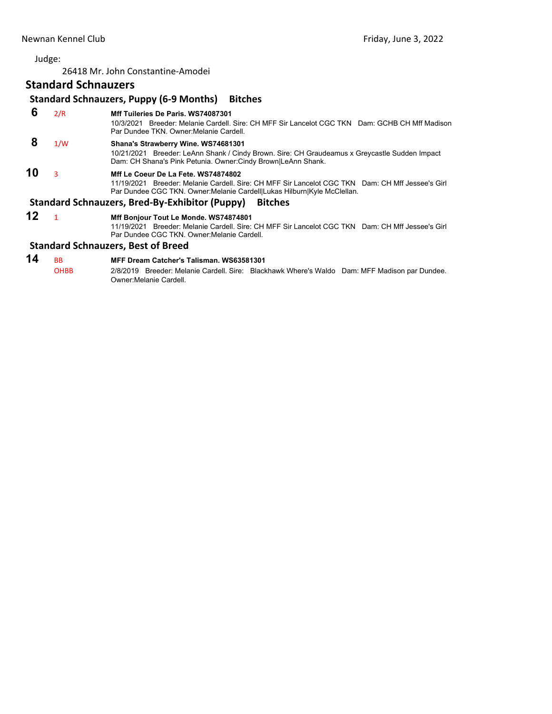26418 Mr. John Constantine‐Amodei

# **Standard Schnauzers**

### **Standard Schnauzers, Puppy (6‐9 Months) Bitches 6** 2/R **Mff Tuileries De Paris. WS74087301** 10/3/2021 Breeder: Melanie Cardell. Sire: CH MFF Sir Lancelot CGC TKN Dam: GCHB CH Mff Madison Par Dundee TKN. Owner:Melanie Cardell.  **8** 1/W **Shana's Strawberry Wine. WS74681301** 10/21/2021 Breeder: LeAnn Shank / Cindy Brown. Sire: CH Graudeamus x Greycastle Sudden Impact Dam: CH Shana's Pink Petunia. Owner:Cindy Brown|LeAnn Shank. **10** <sup>3</sup> **Mff Le Coeur De La Fete. WS74874802** 11/19/2021 Breeder: Melanie Cardell. Sire: CH MFF Sir Lancelot CGC TKN Dam: CH Mff Jessee's Girl Par Dundee CGC TKN. Owner:Melanie Cardell|Lukas Hilburn|Kyle McClellan. **Standard Schnauzers, Bred‐By‐Exhibitor (Puppy) Bitches 12** <sup>1</sup> **Mff Bonjour Tout Le Monde. WS74874801** 11/19/2021 Breeder: Melanie Cardell. Sire: CH MFF Sir Lancelot CGC TKN Dam: CH Mff Jessee's Girl Par Dundee CGC TKN. Owner:Melanie Cardell.

### **Standard Schnauzers, Best of Breed**

# **14** BB **MFF Dream Catcher's Talisman. WS63581301**

OHBB 2/8/2019 Breeder: Melanie Cardell. Sire: Blackhawk Where's Waldo Dam: MFF Madison par Dundee. Owner:Melanie Cardell.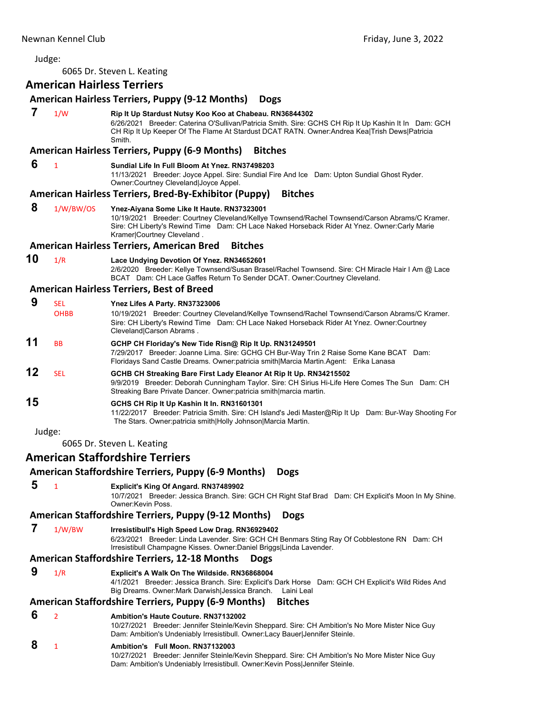<span id="page-28-0"></span>6065 Dr. Steven L. Keating

### **American Hairless Terriers**

### **American Hairless Terriers, Puppy (9‐12 Months) Dogs**

 **7** 1/W **Rip It Up Stardust Nutsy Koo Koo at Chabeau. RN36844302**

6/26/2021 Breeder: Caterina O'Sullivan/Patricia Smith. Sire: GCHS CH Rip It Up Kashin It In Dam: GCH CH Rip It Up Keeper Of The Flame At Stardust DCAT RATN. Owner:Andrea Kea|Trish Dews|Patricia Smith.

### **American Hairless Terriers, Puppy (6‐9 Months) Bitches**

### **6** <sup>1</sup> **Sundial Life In Full Bloom At Ynez. RN37498203**

11/13/2021 Breeder: Joyce Appel. Sire: Sundial Fire And Ice Dam: Upton Sundial Ghost Ryder. Owner:Courtney Cleveland|Joyce Appel.

### **American Hairless Terriers, Bred‐By‐Exhibitor (Puppy) Bitches**

 **8** 1/W/BW/OS **Ynez-Aiyana Some Like It Haute. RN37323001** 10/19/2021 Breeder: Courtney Cleveland/Kellye Townsend/Rachel Townsend/Carson Abrams/C Kramer. Sire: CH Liberty's Rewind Time Dam: CH Lace Naked Horseback Rider At Ynez. Owner:Carly Marie Kramer|Courtney Cleveland .

### **American Hairless Terriers, American Bred Bitches**

**10** 1/R **Lace Undying Devotion Of Ynez. RN34652601** 2/6/2020 Breeder: Kellye Townsend/Susan Brasel/Rachel Townsend. Sire: CH Miracle Hair I Am @ Lace BCAT Dam: CH Lace Gaffes Return To Sender DCAT. Owner:Courtney Cleveland.

### **American Hairless Terriers, Best of Breed**

| 9  | SEL.<br><b>OHBB</b> | Ynez Lifes A Party. RN37323006<br>10/19/2021 Breeder: Courtney Cleveland/Kellye Townsend/Rachel Townsend/Carson Abrams/C Kramer.<br>Sire: CH Liberty's Rewind Time Dam: CH Lace Naked Horseback Rider At Ynez. Owner: Courtney<br>Cleveland Carson Abrams. |
|----|---------------------|------------------------------------------------------------------------------------------------------------------------------------------------------------------------------------------------------------------------------------------------------------|
| 11 | <b>BB</b>           | GCHP CH Floriday's New Tide Risn@ Rip It Up. RN31249501<br>7/29/2017 Breeder: Joanne Lima. Sire: GCHG CH Bur-Way Trin 2 Raise Some Kane BCAT Dam:<br>Floridays Sand Castle Dreams. Owner: patricia smith Marcia Martin. Agent: Erika Lanasa                |
| 12 | SEL.                | GCHB CH Streaking Bare First Lady Eleanor At Rip It Up. RN34215502<br>9/9/2019 Breeder: Deborah Cunningham Taylor. Sire: CH Sirius Hi-Life Here Comes The Sun Dam: CH<br>Streaking Bare Private Dancer. Owner: patricia smith   marcia martin.             |
| 15 |                     | GCHS CH Rip It Up Kashin It In. RN31601301<br>11/22/2017 Breeder: Patricia Smith. Sire: CH Island's Jedi Master@Rip It Up Dam: Bur-Way Shooting For<br>The Stars. Owner:patricia smith Holly Johnson Marcia Martin.                                        |
|    | Judge:              |                                                                                                                                                                                                                                                            |

6065 Dr. Steven L. Keating

### **American Staffordshire Terriers**

### **American Staffordshire Terriers, Puppy (6‐9 Months) Dogs**

 **5** <sup>1</sup> **Explicit's King Of Angard. RN37489902** 10/7/2021 Breeder: Jessica Branch. Sire: GCH CH Right Staf Brad Dam: CH Explicit's Moon In My Shine. Owner:Kevin Poss.

## **American Staffordshire Terriers, Puppy (9‐12 Months) Dogs**

- **7** 1/W/BW **Irresistibull's High Speed Low Drag. RN36929402**
	- 6/23/2021 Breeder: Linda Lavender. Sire: GCH CH Benmars Sting Ray Of Cobblestone RN Dam: CH Irresistibull Champagne Kisses. Owner:Daniel Briggs|Linda Lavender.

### **American Staffordshire Terriers, 12‐18 Months Dogs**

 **9** 1/R **Explicit's A Walk On The Wildside. RN36868004** 4/1/2021 Breeder: Jessica Branch. Sire: Explicit's Dark Horse Dam: GCH CH Explicit's Wild Rides And Big Dreams. Owner:Mark Darwish|Jessica Branch. Laini Leal

### **American Staffordshire Terriers, Puppy (6‐9 Months) Bitches**

- **6** <sup>2</sup> **Ambition's Haute Couture. RN37132002**
	- 10/27/2021 Breeder: Jennifer Steinle/Kevin Sheppard. Sire: CH Ambition's No More Mister Nice Guy Dam: Ambition's Undeniably Irresistibull. Owner:Lacy Bauer|Jennifer Steinle.

### **8** <sup>1</sup> **Ambition's Full Moon. RN37132003**

10/27/2021 Breeder: Jennifer Steinle/Kevin Sheppard. Sire: CH Ambition's No More Mister Nice Guy Dam: Ambition's Undeniably Irresistibull. Owner:Kevin Poss|Jennifer Steinle.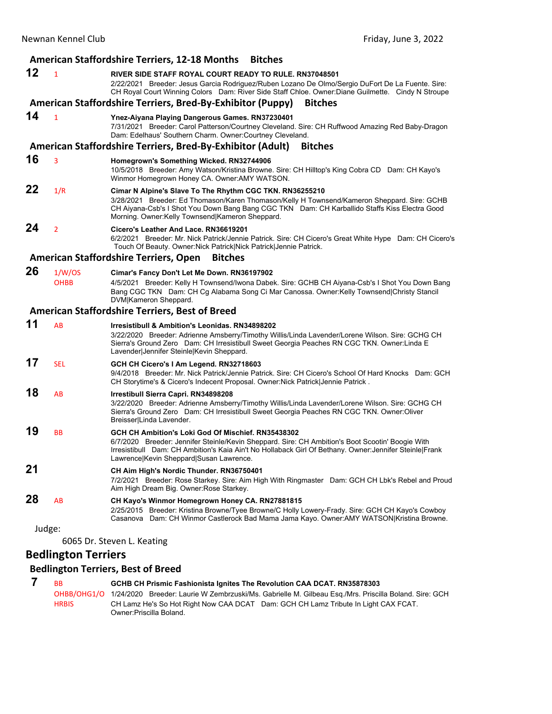### **American Staffordshire Terriers, 12‐18 Months Bitches 12** <sup>1</sup> **RIVER SIDE STAFF ROYAL COURT READY TO RULE. RN37048501** 2/22/2021 Breeder: Jesus Garcia Rodriguez/Ruben Lozano De Olmo/Sergio DuFort De La Fuente. Sire: CH Royal Court Winning Colors Dam: River Side Staff Chloe. Owner:Diane Guilmette. Cindy N Stroupe **American Staffordshire Terriers, Bred‐By‐Exhibitor (Puppy) Bitches 14** <sup>1</sup> **Ynez-Aiyana Playing Dangerous Games. RN37230401** 7/31/2021 Breeder: Carol Patterson/Courtney Cleveland. Sire: CH Ruffwood Amazing Red Baby-Dragon Dam: Edelhaus' Southern Charm. Owner:Courtney Cleveland. **American Staffordshire Terriers, Bred‐By‐Exhibitor (Adult) Bitches 16** <sup>3</sup> **Homegrown's Something Wicked. RN32744906** 10/5/2018 Breeder: Amy Watson/Kristina Browne. Sire: CH Hilltop's King Cobra CD Dam: CH Kayo's Winmor Homegrown Honey CA. Owner:AMY WATSON. **22** 1/R **Cimar N Alpine's Slave To The Rhythm CGC TKN. RN36255210** 3/28/2021 Breeder: Ed Thomason/Karen Thomason/Kelly H Townsend/Kameron Sheppard. Sire: GCHB CH Aiyana-Csb's I Shot You Down Bang Bang CGC TKN Dam: CH Karballido Staffs Kiss Electra Good Morning. Owner:Kelly Townsend|Kameron Sheppard. **24** <sup>2</sup> **Cicero's Leather And Lace. RN36619201** 6/2/2021 Breeder: Mr. Nick Patrick/Jennie Patrick. Sire: CH Cicero's Great White Hype Dam: CH Cicero's Touch Of Beauty. Owner:Nick Patrick|Nick Patrick|Jennie Patrick. **American Staffordshire Terriers, Open Bitches 26** 1/W/OS **Cimar's Fancy Don't Let Me Down. RN36197902** OHBB 4/5/2021 Breeder: Kelly H Townsend/Iwona Dabek. Sire: GCHB CH Aiyana-Csb's I Shot You Down Bang Bang CGC TKN Dam: CH Cg Alabama Song Ci Mar Canossa. Owner:Kelly Townsend|Christy Stancil DVM|Kameron Sheppard. **American Staffordshire Terriers, Best of Breed 11** AB **Irresistibull & Ambition's Leonidas. RN34898202** 3/22/2020 Breeder: Adrienne Amsberry/Timothy Willis/Linda Lavender/Lorene Wilson. Sire: GCHG CH Sierra's Ground Zero Dam: CH Irresistibull Sweet Georgia Peaches RN CGC TKN. Owner:Linda E Lavender|Jennifer Steinle|Kevin Sheppard. **17** SEL **GCH CH Cicero's I Am Legend. RN32718603** 9/4/2018 Breeder: Mr. Nick Patrick/Jennie Patrick. Sire: CH Cicero's School Of Hard Knocks Dam: GCH CH Storytime's & Cicero's Indecent Proposal. Owner:Nick Patrick|Jennie Patrick . **18** AB **Irrestibull Sierra Capri. RN34898208** 3/22/2020 Breeder: Adrienne Amsberry/Timothy Willis/Linda Lavender/Lorene Wilson. Sire: GCHG CH Sierra's Ground Zero Dam: CH Irresistibull Sweet Georgia Peaches RN CGC TKN. Owner:Oliver Breisser|Linda Lavender. **19** BB **GCH CH Ambition's Loki God Of Mischief. RN35438302** 6/7/2020 Breeder: Jennifer Steinle/Kevin Sheppard. Sire: CH Ambition's Boot Scootin' Boogie With Irresistibull Dam: CH Ambition's Kaia Ain't No Hollaback Girl Of Bethany. Owner:Jennifer Steinle|Frank Lawrence|Kevin Sheppard|Susan Lawrence. **21 CH Aim High's Nordic Thunder. RN36750401** 7/2/2021 Breeder: Rose Starkey. Sire: Aim High With Ringmaster Dam: GCH CH Lbk's Rebel and Proud Aim High Dream Big. Owner:Rose Starkey. **28** AB **CH Kayo's Winmor Homegrown Honey CA. RN27881815** 2/25/2015 Breeder: Kristina Browne/Tyee Browne/C Holly Lowery-Frady. Sire: GCH CH Kayo's Cowboy Casanova Dam: CH Winmor Castlerock Bad Mama Jama Kayo. Owner:AMY WATSON|Kristina Browne. Judge: 6065 Dr. Steven L. Keating

# **Bedlington Terriers**

### **Bedlington Terriers, Best of Breed**

| <b>BB</b>    | GCHB CH Prismic Fashionista Ignites The Revolution CAA DCAT. RN35878303                                           |
|--------------|-------------------------------------------------------------------------------------------------------------------|
|              | OHBB/OHG1/O 1/24/2020 Breeder: Laurie W Zembrzuski/Ms. Gabrielle M. Gilbeau Esq./Mrs. Priscilla Boland. Sire: GCH |
| <b>HRBIS</b> | CH Lamz He's So Hot Right Now CAA DCAT Dam: GCH CH Lamz Tribute In Light CAX FCAT.<br>Owner: Priscilla Boland.    |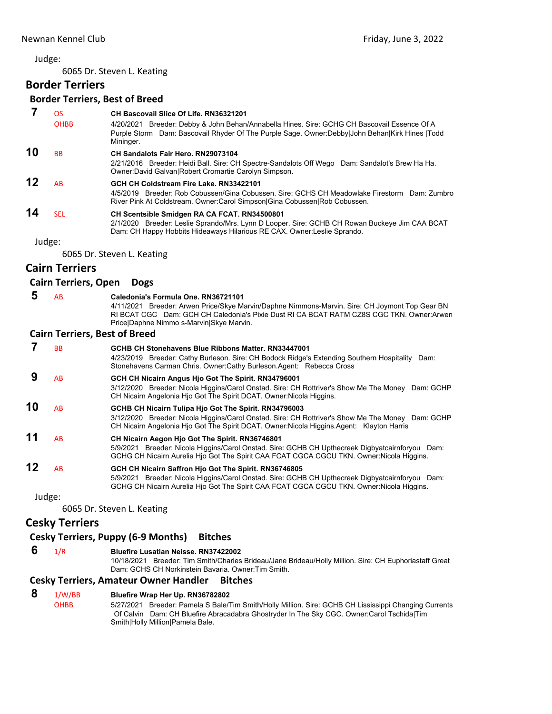6065 Dr. Steven L. Keating

# **Border Terriers**

# **Border Terriers, Best of Breed**

 **7** OS **CH Bascovail Slice Of Life. RN36321201** OHBB 4/20/2021 Breeder: Debby & John Behan/Annabella Hines. Sire: GCHG CH Bascovail Essence Of A Purple Storm Dam: Bascovail Rhyder Of The Purple Sage. Owner:Debby|John Behan|Kirk Hines |Todd Mininger. **10** BB **CH Sandalots Fair Hero. RN29073104** 2/21/2016 Breeder: Heidi Ball. Sire: CH Spectre-Sandalots Off Wego Dam: Sandalot's Brew Ha Ha. Owner:David Galvan|Robert Cromartie Carolyn Simpson. **12** AB **GCH CH Coldstream Fire Lake. RN33422101** 4/5/2019 Breeder: Rob Cobussen/Gina Cobussen. Sire: GCHS CH Meadowlake Firestorm Dam: Zumbro River Pink At Coldstream. Owner:Carol Simpson|Gina Cobussen|Rob Cobussen. **14** SEL **CH Scentsible Smidgen RA CA FCAT. RN34500801** 2/1/2020 Breeder: Leslie Sprando/Mrs. Lynn D Looper. Sire: GCHB CH Rowan Buckeye Jim CAA BCAT

Judge:

6065 Dr. Steven L. Keating

# **Cairn Terriers**

### **Cairn Terriers, Open Dogs**

 **5** AB **Caledonia's Formula One. RN36721101** 4/11/2021 Breeder: Arwen Price/Skye Marvin/Daphne Nimmons-Marvin. Sire: CH Joymont Top Gear BN RI BCAT CGC Dam: GCH CH Caledonia's Pixie Dust RI CA BCAT RATM CZ8S CGC TKN. Owner:Arwen

Price|Daphne Nimmo s-Marvin|Skye Marvin.

## **Cairn Terriers, Best of Breed**

|    | ВB      | GCHB CH Stonehavens Blue Ribbons Matter, RN33447001<br>4/23/2019 Breeder: Cathy Burleson. Sire: CH Bodock Ridge's Extending Southern Hospitality<br>Dam:<br>Stonehavens Carman Chris. Owner: Cathy Burleson. Agent: Rebecca Cross                     |
|----|---------|-------------------------------------------------------------------------------------------------------------------------------------------------------------------------------------------------------------------------------------------------------|
|    | AB      | GCH CH Nicairn Angus Hjo Got The Spirit. RN34796001<br>3/12/2020 Breeder: Nicola Higgins/Carol Onstad. Sire: CH Rottriver's Show Me The Money Dam: GCHP<br>CH Nicairn Angelonia Hio Got The Spirit DCAT. Owner: Nicola Higgins.                       |
| 10 | AB      | GCHB CH Nicairn Tulipa Hio Got The Spirit. RN34796003<br>3/12/2020 Breeder: Nicola Higgins/Carol Onstad. Sire: CH Rottriver's Show Me The Money Dam: GCHP<br>CH Nicairn Angelonia Hio Got The Spirit DCAT. Owner Nicola Higgins Agent: Klayton Harris |
| 11 | AB      | CH Nicairn Aegon Hio Got The Spirit. RN36746801<br>5/9/2021 Breeder: Nicola Higgins/Carol Onstad. Sire: GCHB CH Upthecreek Digbyatcairnforyou Dam:<br>GCHG CH Nicairn Aurelia Hjo Got The Spirit CAA FCAT CGCA CGCU TKN. Owner: Nicola Higgins.       |
| 12 | AB      | GCH CH Nicairn Saffron Hjo Got The Spirit. RN36746805<br>5/9/2021 Breeder: Nicola Higgins/Carol Onstad. Sire: GCHB CH Upthecreek Digbyatcairnforyou Dam:<br>GCHG CH Nicairn Aurelia Hio Got The Spirit CAA FCAT CGCA CGCU TKN. Owner: Nicola Higgins. |
|    | 1.12222 |                                                                                                                                                                                                                                                       |

Dam: CH Happy Hobbits Hideaways Hilarious RE CAX. Owner:Leslie Sprando.

Judge:

6065 Dr. Steven L. Keating

# **Cesky Terriers**

### **Cesky Terriers, Puppy (6‐9 Months) Bitches**

 **6** 1/R **Bluefire Lusatian Neisse. RN37422002**

10/18/2021 Breeder: Tim Smith/Charles Brideau/Jane Brideau/Holly Million. Sire: CH Euphoriastaff Great Dam: GCHS CH Norkinstein Bavaria. Owner:Tim Smith.

### **Cesky Terriers, Amateur Owner Handler Bitches**

### **8** 1/W/BB **Bluefire Wrap Her Up. RN36782802**

OHBB 5/27/2021 Breeder: Pamela S Bale/Tim Smith/Holly Million. Sire: GCHB CH Lississippi Changing Currents Of Calvin Dam: CH Bluefire Abracadabra Ghostryder In The Sky CGC. Owner:Carol Tschida|Tim Smith|Holly Million|Pamela Bale.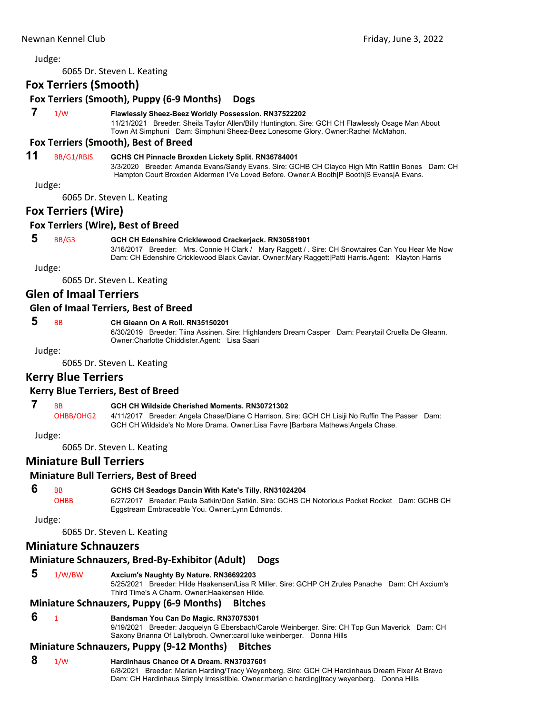6065 Dr. Steven L. Keating

# **Fox Terriers (Smooth)**

# **Fox Terriers (Smooth), Puppy (6‐9 Months) Dogs**

### **7** 1/W **Flawlessly Sheez-Beez Worldly Possession. RN37522202**

11/21/2021 Breeder: Sheila Taylor Allen/Billy Huntington. Sire: GCH CH Flawlessly Osage Man About Town At Simphuni Dam: Simphuni Sheez-Beez Lonesome Glory. Owner:Rachel McMahon.

### **Fox Terriers (Smooth), Best of Breed**

# **11** BB/G1/RBIS **GCHS CH Pinnacle Broxden Lickety Split. RN36784001**

3/3/2020 Breeder: Amanda Evans/Sandy Evans. Sire: GCHB CH Clayco High Mtn Rattlin Bones Dam: CH Hampton Court Broxden Aldermen I'Ve Loved Before. Owner:A Booth|P Booth|S Evans|A Evans.

Judge:

6065 Dr. Steven L. Keating

## **Fox Terriers (Wire)**

### **Fox Terriers (Wire), Best of Breed**

### **5** BB/G3 **GCH CH Edenshire Cricklewood Crackerjack. RN30581901**

3/16/2017 Breeder: Mrs. Connie H Clark / Mary Raggett / . Sire: CH Snowtaires Can You Hear Me Now Dam: CH Edenshire Cricklewood Black Caviar. Owner:Mary Raggett|Patti Harris.Agent: Klayton Harris

Judge:

6065 Dr. Steven L. Keating

# **Glen of Imaal Terriers**

### **Glen of Imaal Terriers, Best of Breed**

## **5** BB **CH Gleann On A Roll. RN35150201**

6/30/2019 Breeder: Tiina Assinen. Sire: Highlanders Dream Casper Dam: Pearytail Cruella De Gleann. Owner:Charlotte Chiddister.Agent: Lisa Saari

Judge:

6065 Dr. Steven L. Keating

# **Kerry Blue Terriers**

### **Kerry Blue Terriers, Best of Breed**

### **7** BB **GCH CH Wildside Cherished Moments. RN30721302**

OHBB/OHG2 4/11/2017 Breeder: Angela Chase/Diane C Harrison. Sire: GCH CH Lisiji No Ruffin The Passer Dam: GCH CH Wildside's No More Drama. Owner:Lisa Favre |Barbara Mathews|Angela Chase.

Judge:

6065 Dr. Steven L. Keating

## **Miniature Bull Terriers**

### **Miniature Bull Terriers, Best of Breed**

### **6** BB **GCHS CH Seadogs Dancin With Kate's Tilly. RN31024204**

OHBB 6/27/2017 Breeder: Paula Satkin/Don Satkin. Sire: GCHS CH Notorious Pocket Rocket Dam: GCHB CH Eggstream Embraceable You. Owner:Lynn Edmonds.

Judge:

6065 Dr. Steven L. Keating

## **Miniature Schnauzers**

# **Miniature Schnauzers, Bred‐By‐Exhibitor (Adult) Dogs**

## **5** 1/W/BW **Axcium's Naughty By Nature. RN36692203**

5/25/2021 Breeder: Hilde Haakensen/Lisa R Miller. Sire: GCHP CH Zrules Panache Dam: CH Axcium's Third Time's A Charm. Owner:Haakensen Hilde.

# **Miniature Schnauzers, Puppy (6‐9 Months) Bitches**

# **6** <sup>1</sup> **Bandsman You Can Do Magic. RN37075301**

9/19/2021 Breeder: Jacquelyn G Ebersbach/Carole Weinberger. Sire: CH Top Gun Maverick Dam: CH Saxony Brianna Of Lallybroch. Owner:carol luke weinberger. Donna Hills

# **Miniature Schnauzers, Puppy (9‐12 Months) Bitches**

### **8** 1/W **Hardinhaus Chance Of A Dream. RN37037601**

6/8/2021 Breeder: Marian Harding/Tracy Weyenberg. Sire: GCH CH Hardinhaus Dream Fixer At Bravo Dam: CH Hardinhaus Simply Irresistible. Owner:marian c harding|tracy weyenberg. Donna Hills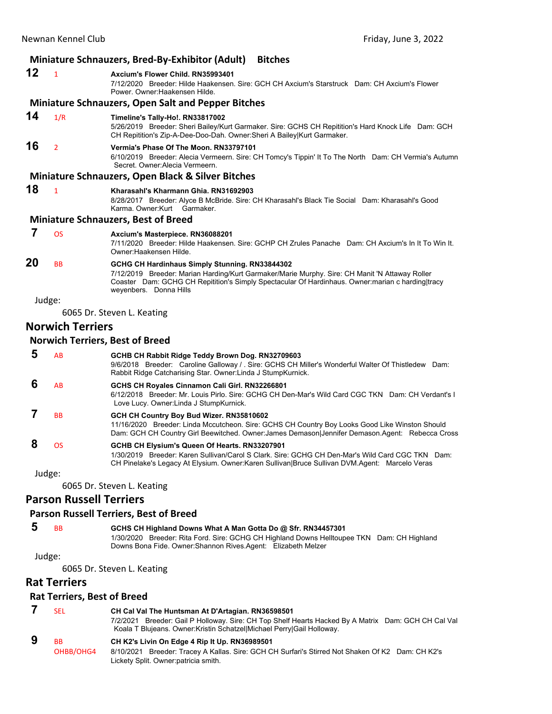|    | <b>Miniature Schnauzers, Bred-By-Exhibitor (Adult)</b><br><b>Bitches</b> |                                                                                                                                                                                                                                                                                 |  |
|----|--------------------------------------------------------------------------|---------------------------------------------------------------------------------------------------------------------------------------------------------------------------------------------------------------------------------------------------------------------------------|--|
| 12 | $\overline{1}$                                                           | Axcium's Flower Child, RN35993401<br>7/12/2020 Breeder: Hilde Haakensen, Sire: GCH CH Axcium's Starstruck Dam: CH Axcium's Flower<br>Power, Owner: Haakensen Hilde.                                                                                                             |  |
|    |                                                                          | <b>Miniature Schnauzers, Open Salt and Pepper Bitches</b>                                                                                                                                                                                                                       |  |
| 14 | 1/R                                                                      | Timeline's Tally-Ho!. RN33817002<br>5/26/2019 Breeder: Sheri Bailey/Kurt Garmaker. Sire: GCHS CH Repitition's Hard Knock Life Dam: GCH<br>CH Repitition's Zip-A-Dee-Doo-Dah. Owner: Sheri A Bailey Kurt Garmaker.                                                               |  |
| 16 | $\overline{2}$                                                           | Vermia's Phase Of The Moon. RN33797101<br>6/10/2019 Breeder: Alecia Vermeern. Sire: CH Tomcy's Tippin' It To The North Dam: CH Vermia's Autumn<br>Secret, Owner: Alecia Vermeern.                                                                                               |  |
|    |                                                                          | <b>Miniature Schnauzers, Open Black &amp; Silver Bitches</b>                                                                                                                                                                                                                    |  |
| 18 | $\mathbf{1}$                                                             | Kharasahl's Kharmann Ghia, RN31692903<br>8/28/2017 Breeder: Alyce B McBride. Sire: CH Kharasahl's Black Tie Social Dam: Kharasahl's Good<br>Karma, Owner: Kurt Garmaker,                                                                                                        |  |
|    |                                                                          | <b>Miniature Schnauzers, Best of Breed</b>                                                                                                                                                                                                                                      |  |
| 7  | <b>OS</b>                                                                | Axcium's Masterpiece. RN36088201<br>7/11/2020 Breeder: Hilde Haakensen, Sire: GCHP CH Zrules Panache Dam: CH Axcium's In It To Win It.<br>Owner: Haakensen Hilde.                                                                                                               |  |
| 20 | <b>BB</b>                                                                | GCHG CH Hardinhaus Simply Stunning. RN33844302<br>7/12/2019 Breeder: Marian Harding/Kurt Garmaker/Marie Murphy. Sire: CH Manit 'N Attaway Roller<br>Coaster Dam: GCHG CH Repitition's Simply Spectacular Of Hardinhaus. Owner: marian c harding tracy<br>weyenbers. Donna Hills |  |
|    | Judge:                                                                   |                                                                                                                                                                                                                                                                                 |  |
|    |                                                                          | 6065 Dr. Steven L. Keating                                                                                                                                                                                                                                                      |  |
|    | <b>Norwich Terriers</b>                                                  |                                                                                                                                                                                                                                                                                 |  |
|    |                                                                          | <b>Norwich Terriers, Best of Breed</b>                                                                                                                                                                                                                                          |  |
| 5  | <b>AB</b>                                                                | GCHB CH Rabbit Ridge Teddy Brown Dog. RN32709603<br>9/6/2018 Breeder: Caroline Galloway / . Sire: GCHS CH Miller's Wonderful Walter Of Thistledew Dam:<br>Rabbit Ridge Catcharising Star. Owner: Linda J StumpKurnick.                                                          |  |
| 6  | AB                                                                       | GCHS CH Royales Cinnamon Cali Girl. RN32266801<br>6/12/2018 Breeder: Mr. Louis Pirlo, Sire: GCHG CH Den-Mar's Wild Card CGC TKN Dam: CH Verdant's I<br>Love Lucy. Owner: Linda J StumpKurnick.                                                                                  |  |
| 7  | <b>BB</b>                                                                | GCH CH Country Boy Bud Wizer. RN35810602                                                                                                                                                                                                                                        |  |

11/16/2020 Breeder: Linda Mccutcheon. Sire: GCHS CH Country Boy Looks Good Like Winston Should Dam: GCH CH Country Girl Beewitched. Owner:James Demason|Jennifer Demason.Agent: Rebecca Cross

 **8** OS **GCHB CH Elysium's Queen Of Hearts. RN33207901** 1/30/2019 Breeder: Karen Sullivan/Carol S Clark. Sire: GCHG CH Den-Mar's Wild Card CGC TKN Dam: CH Pinelake's Legacy At Elysium. Owner:Karen Sullivan|Bruce Sullivan DVM.Agent: Marcelo Veras

Judge:

6065 Dr. Steven L. Keating

## **Parson Russell Terriers**

### **Parson Russell Terriers, Best of Breed**

 **5** BB **GCHS CH Highland Downs What A Man Gotta Do @ Sfr. RN34457301** 1/30/2020 Breeder: Rita Ford. Sire: GCHG CH Highland Downs Helltoupee TKN Dam: CH Highland Downs Bona Fide. Owner:Shannon Rives.Agent: Elizabeth Melzer

Judge:

6065 Dr. Steven L. Keating

# **Rat Terriers**

### **Rat Terriers, Best of Breed**

| <b>SEL</b> | CH Cal Val The Huntsman At D'Artagian. RN36598501                                                                                                                            |
|------------|------------------------------------------------------------------------------------------------------------------------------------------------------------------------------|
|            | 7/2/2021 Breeder: Gail P Holloway. Sire: CH Top Shelf Hearts Hacked By A Matrix Dam: GCH CH Cal Val<br>Koala T Blujeans. Owner:Kristin Schatzel Michael Perry Gail Holloway. |
|            |                                                                                                                                                                              |

 **9** BB **CH K2's Livin On Edge 4 Rip It Up. RN36989501** OHBB/OHG4 8/10/2021 Breeder: Tracey A Kallas. Sire: GCH CH Surfari's Stirred Not Shaken Of K2 Dam: CH K2's Lickety Split. Owner:patricia smith.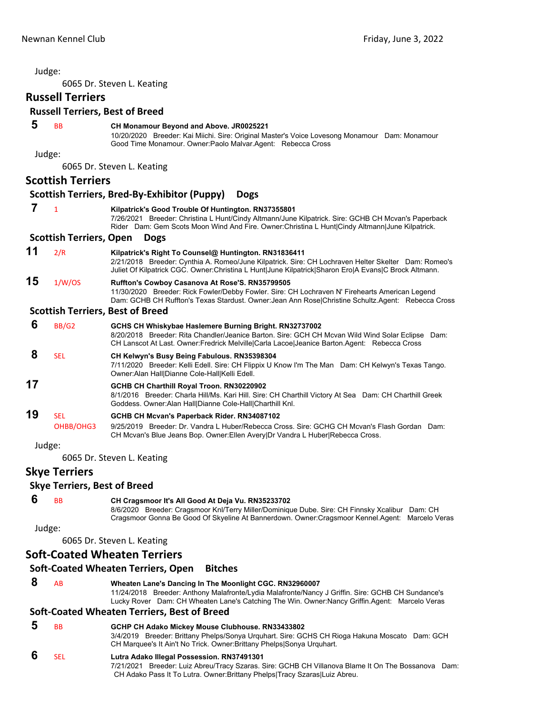6065 Dr. Steven L. Keating

# **Russell Terriers**

### **Russell Terriers, Best of Breed**

### **5** BB **CH Monamour Beyond and Above. JR0025221**

10/20/2020 Breeder: Kai Miichi. Sire: Original Master's Voice Lovesong Monamour Dam: Monamour Good Time Monamour. Owner:Paolo Malvar.Agent: Rebecca Cross

Judge:

6065 Dr. Steven L. Keating

# **Scottish Terriers**

### **Scottish Terriers, Bred‐By‐Exhibitor (Puppy) Dogs 7** <sup>1</sup> **Kilpatrick's Good Trouble Of Huntington. RN37355801** 7/26/2021 Breeder: Christina L Hunt/Cindy Altmann/June Kilpatrick. Sire: GCHB CH Mcvan's Paperback Rider Dam: Gem Scots Moon Wind And Fire. Owner:Christina L Hunt|Cindy Altmann|June Kilpatrick. **Scottish Terriers, Open Dogs 11** 2/R **Kilpatrick's Right To Counsel@ Huntington. RN31836411** 2/21/2018 Breeder: Cynthia A. Romeo/June Kilpatrick. Sire: CH Lochraven Helter Skelter Dam: Romeo's Juliet Of Kilpatrick CGC. Owner:Christina L Hunt|June Kilpatrick|Sharon Ero|A Evans|C Brock Altmann. **15** 1/W/OS **Ruffton's Cowboy Casanova At Rose'S. RN35799505** 11/30/2020 Breeder: Rick Fowler/Debby Fowler. Sire: CH Lochraven N' Firehearts American Legend Dam: GCHB CH Ruffton's Texas Stardust. Owner:Jean Ann Rose|Christine Schultz.Agent: Rebecca Cross **Scottish Terriers, Best of Breed 6** BB/G2 **GCHS CH Whiskybae Haslemere Burning Bright. RN32737002** 8/20/2018 Breeder: Rita Chandler/Jeanice Barton. Sire: GCH CH Mcvan Wild Wind Solar Eclipse Dam: CH Lanscot At Last. Owner:Fredrick Melville|Carla Lacoe|Jeanice Barton.Agent: Rebecca Cross  **8** SEL **CH Kelwyn's Busy Being Fabulous. RN35398304** 7/11/2020 Breeder: Kelli Edell. Sire: CH Flippix U Know I'm The Man Dam: CH Kelwyn's Texas Tango. Owner:Alan Hall|Dianne Cole-Hall|Kelli Edell. **17 GCHB CH Charthill Royal Troon. RN30220902** 8/1/2016 Breeder: Charla Hill/Ms. Kari Hill. Sire: CH Charthill Victory At Sea Dam: CH Charthill Greek Goddess. Owner:Alan Hall|Dianne Cole-Hall|Charthill Knl. **19** SEL **GCHB CH Mcvan's Paperback Rider. RN34087102** OHBB/OHG3 9/25/2019 Breeder: Dr. Vandra L Huber/Rebecca Cross. Sire: GCHG CH Mcvan's Flash Gordan Dam: CH Mcvan's Blue Jeans Bop. Owner:Ellen Avery|Dr Vandra L Huber|Rebecca Cross.

Judge:

6065 Dr. Steven L. Keating

### **Skye Terriers**

### **Skye Terriers, Best of Breed**

 **6** BB **CH Cragsmoor It's All Good At Deja Vu. RN35233702** 8/6/2020 Breeder: Cragsmoor Knl/Terry Miller/Dominique Dube. Sire: CH Finnsky Xcalibur Dam: CH Cragsmoor Gonna Be Good Of Skyeline At Bannerdown. Owner:Cragsmoor Kennel.Agent: Marcelo Veras

Judge:

6065 Dr. Steven L. Keating

### **Soft‐Coated Wheaten Terriers**

## **Soft‐Coated Wheaten Terriers, Open Bitches**

 **8** AB **Wheaten Lane's Dancing In The Moonlight CGC. RN32960007** 11/24/2018 Breeder: Anthony Malafronte/Lydia Malafronte/Nancy J Griffin. Sire: GCHB CH Sundance's Lucky Rover Dam: CH Wheaten Lane's Catching The Win. Owner:Nancy Griffin.Agent: Marcelo Veras

# **Soft‐Coated Wheaten Terriers, Best of Breed**

 **5** BB **GCHP CH Adako Mickey Mouse Clubhouse. RN33433802** 3/4/2019 Breeder: Brittany Phelps/Sonya Urquhart. Sire: GCHS CH Rioga Hakuna Moscato Dam: GCH CH Marquee's It Ain't No Trick. Owner:Brittany Phelps|Sonya Urquhart.

### **6** SEL **Lutra Adako Illegal Possession. RN37491301**

7/21/2021 Breeder: Luiz Abreu/Tracy Szaras. Sire: GCHB CH Villanova Blame It On The Bossanova Dam: CH Adako Pass It To Lutra. Owner:Brittany Phelps|Tracy Szaras|Luiz Abreu.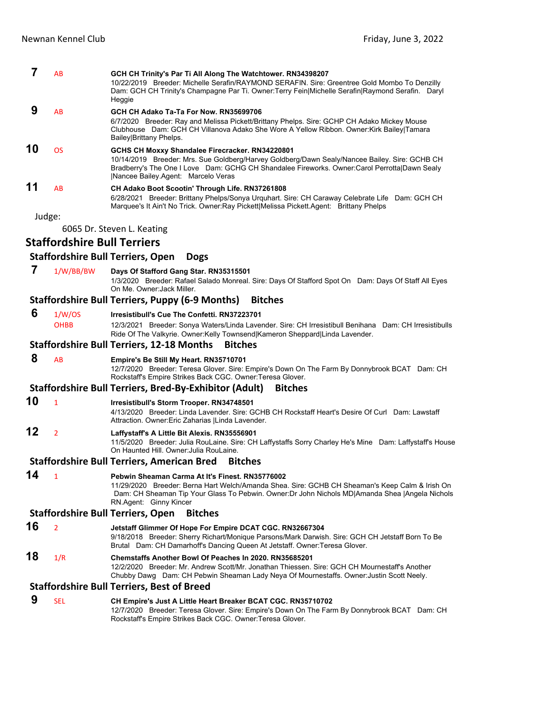| 7      | AB                                 | GCH CH Trinity's Par Ti All Along The Watchtower. RN34398207<br>10/22/2019 Breeder: Michelle Serafin/RAYMOND SERAFIN. Sire: Greentree Gold Mombo To Denzilly<br>Dam: GCH CH Trinity's Champagne Par Ti. Owner:Terry Fein Michelle Serafin Raymond Serafin. Daryl<br>Heggie              |
|--------|------------------------------------|-----------------------------------------------------------------------------------------------------------------------------------------------------------------------------------------------------------------------------------------------------------------------------------------|
| 9      | AB                                 | GCH CH Adako Ta-Ta For Now. RN35699706<br>6/7/2020 Breeder: Ray and Melissa Pickett/Brittany Phelps. Sire: GCHP CH Adako Mickey Mouse<br>Clubhouse Dam: GCH CH Villanova Adako She Wore A Yellow Ribbon. Owner: Kirk Bailey   Tamara<br>Bailey Brittany Phelps.                         |
| 10     | <b>OS</b>                          | GCHS CH Moxxy Shandalee Firecracker. RN34220801<br>10/14/2019 Breeder: Mrs. Sue Goldberg/Harvey Goldberg/Dawn Sealy/Nancee Bailey. Sire: GCHB CH<br>Bradberry's The One I Love Dam: GCHG CH Shandalee Fireworks. Owner:Carol Perrotta Dawn Sealy<br> Nancee Bailey.Agent: Marcelo Veras |
| 11     | AB                                 | CH Adako Boot Scootin' Through Life. RN37261808<br>6/28/2021 Breeder: Brittany Phelps/Sonya Urquhart. Sire: CH Caraway Celebrate Life Dam: GCH CH<br>Marquee's It Ain't No Trick. Owner: Ray Pickett Melissa Pickett. Agent: Brittany Phelps                                            |
| Judge: |                                    |                                                                                                                                                                                                                                                                                         |
|        |                                    | 6065 Dr. Steven L. Keating                                                                                                                                                                                                                                                              |
|        | <b>Staffordshire Bull Terriers</b> |                                                                                                                                                                                                                                                                                         |
|        |                                    | <b>Staffordshire Bull Terriers, Open</b><br><b>Dogs</b>                                                                                                                                                                                                                                 |
| 7      | 1/W/BB/BW                          | Days Of Stafford Gang Star. RN35315501<br>1/3/2020 Breeder: Rafael Salado Monreal. Sire: Days Of Stafford Spot On Dam: Days Of Staff All Eyes<br>On Me. Owner: Jack Miller.                                                                                                             |
|        |                                    | <b>Staffordshire Bull Terriers, Puppy (6-9 Months)</b><br><b>Bitches</b>                                                                                                                                                                                                                |
| 6      | 1/W/OS<br><b>OHBB</b>              | Irresistibull's Cue The Confetti, RN37223701<br>12/3/2021 Breeder: Sonya Waters/Linda Lavender. Sire: CH Irresistibull Benihana Dam: CH Irresistibulls<br>Ride Of The Valkyrie. Owner:Kelly Townsend Kameron Sheppard Linda Lavender.                                                   |
|        |                                    | <b>Staffordshire Bull Terriers, 12-18 Months</b><br><b>Bitches</b>                                                                                                                                                                                                                      |
| 8      | AB                                 | Empire's Be Still My Heart. RN35710701<br>12/7/2020 Breeder: Teresa Glover. Sire: Empire's Down On The Farm By Donnybrook BCAT Dam: CH<br>Rockstaff's Empire Strikes Back CGC. Owner: Teresa Glover.                                                                                    |
|        |                                    | Staffordshire Bull Terriers, Bred-By-Exhibitor (Adult)<br><b>Bitches</b>                                                                                                                                                                                                                |
| 10     | $\mathbf{1}$                       | Irresistibull's Storm Trooper. RN34748501<br>4/13/2020 Breeder: Linda Lavender. Sire: GCHB CH Rockstaff Heart's Desire Of Curl Dam: Lawstaff<br>Attraction. Owner: Eric Zaharias   Linda Lavender.                                                                                      |
| 12     | $\overline{2}$                     | Laffystaff's A Little Bit Alexis. RN35556901<br>11/5/2020 Breeder: Julia RouLaine. Sire: CH Laffystaffs Sorry Charley He's Mine Dam: Laffystaff's House<br>On Haunted Hill, Owner: Julia RouLaine.                                                                                      |
|        |                                    | <b>Staffordshire Bull Terriers, American Bred</b><br><b>Bitches</b>                                                                                                                                                                                                                     |
| 14     | $\mathbf{1}$                       | Pebwin Sheaman Carma At It's Finest, RN35776002<br>11/29/2020 Breeder: Berna Hart Welch/Amanda Shea. Sire: GCHB CH Sheaman's Keep Calm & Irish On<br>Dam: CH Sheaman Tip Your Glass To Pebwin. Owner: Dr John Nichols MD Amanda Shea  Angela Nichols<br>RN.Agent: Ginny Kincer          |
|        |                                    | <b>Staffordshire Bull Terriers, Open</b><br><b>Bitches</b>                                                                                                                                                                                                                              |
| 16     | $\overline{2}$                     | Jetstaff Glimmer Of Hope For Empire DCAT CGC. RN32667304<br>9/18/2018 Breeder: Sherry Richart/Monique Parsons/Mark Darwish. Sire: GCH CH Jetstaff Born To Be<br>Brutal Dam: CH Damarhoff's Dancing Queen At Jetstaff. Owner: Teresa Glover.                                             |
| 18     | 1/R                                | Chemstaffs Another Bowl Of Peaches In 2020, RN35685201<br>12/2/2020 Breeder: Mr. Andrew Scott/Mr. Jonathan Thiessen. Sire: GCH CH Mournestaff's Another<br>Chubby Dawg Dam: CH Pebwin Sheaman Lady Neya Of Mournestaffs. Owner: Justin Scott Neely.                                     |
|        |                                    | <b>Staffordshire Bull Terriers, Best of Breed</b>                                                                                                                                                                                                                                       |
| 9      | <b>SEL</b>                         | CH Empire's Just A Little Heart Breaker BCAT CGC. RN35710702                                                                                                                                                                                                                            |

12/7/2020 Breeder: Teresa Glover. Sire: Empire's Down On The Farm By Donnybrook BCAT Dam: CH Rockstaff's Empire Strikes Back CGC. Owner:Teresa Glover.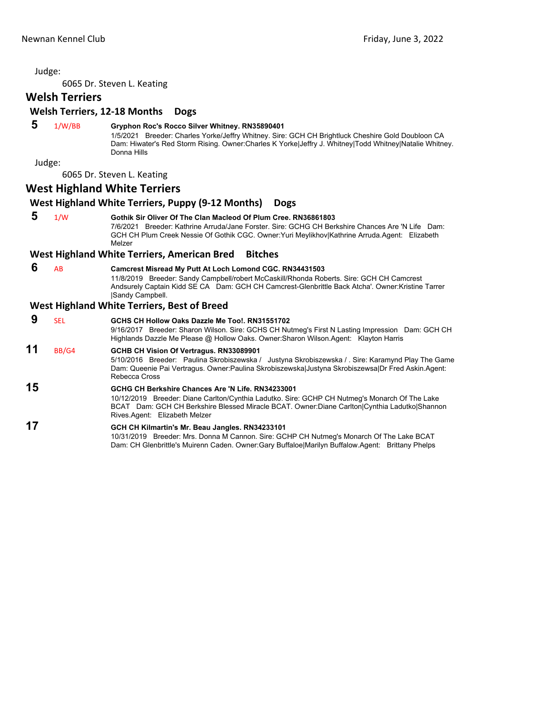6065 Dr. Steven L. Keating

# **Welsh Terriers**

### **Welsh Terriers, 12‐18 Months Dogs**

### **5** 1/W/BB **Gryphon Roc's Rocco Silver Whitney. RN35890401**

1/5/2021 Breeder: Charles Yorke/Jeffry Whitney. Sire: GCH CH Brightluck Cheshire Gold Doubloon CA Dam: Hiwater's Red Storm Rising. Owner:Charles K Yorke|Jeffry J. Whitney|Todd Whitney|Natalie Whitney. Donna Hills

Judge:

6065 Dr. Steven L. Keating

## **West Highland White Terriers**

### **West Highland White Terriers, Puppy (9‐12 Months) Dogs**

 **5** 1/W **Gothik Sir Oliver Of The Clan Macleod Of Plum Cree. RN36861803**

7/6/2021 Breeder: Kathrine Arruda/Jane Forster. Sire: GCHG CH Berkshire Chances Are 'N Life Dam: GCH CH Plum Creek Nessie Of Gothik CGC. Owner:Yuri Meylikhov|Kathrine Arruda.Agent: Elizabeth Melzer

### **West Highland White Terriers, American Bred Bitches**

### **6** AB **Camcrest Misread My Putt At Loch Lomond CGC. RN34431503**

11/8/2019 Breeder: Sandy Campbell/robert McCaskill/Rhonda Roberts. Sire: GCH CH Camcrest Andsurely Captain Kidd SE CA Dam: GCH CH Camcrest-Glenbrittle Back Atcha'. Owner:Kristine Tarrer |Sandy Campbell.

### **West Highland White Terriers, Best of Breed**

 **9** SEL **GCHS CH Hollow Oaks Dazzle Me Too!. RN31551702** 9/16/2017 Breeder: Sharon Wilson. Sire: GCHS CH Nutmeg's First N Lasting Impression Dam: GCH CH Highlands Dazzle Me Please @ Hollow Oaks. Owner:Sharon Wilson.Agent: Klayton Harris **11** BB/G4 **GCHB CH Vision Of Vertragus. RN33089901** 5/10/2016 Breeder: Paulina Skrobiszewska / Justyna Skrobiszewska / . Sire: Karamynd Play The Game Dam: Queenie Pai Vertragus. Owner:Paulina Skrobiszewska|Justyna Skrobiszewsa|Dr Fred Askin.Agent: Rebecca Cross

# **15 GCHG CH Berkshire Chances Are 'N Life. RN34233001**

10/12/2019 Breeder: Diane Carlton/Cynthia Ladutko. Sire: GCHP CH Nutmeg's Monarch Of The Lake BCAT Dam: GCH CH Berkshire Blessed Miracle BCAT. Owner:Diane Carlton|Cynthia Ladutko|Shannon Rives.Agent: Elizabeth Melzer

### **17 GCH CH Kilmartin's Mr. Beau Jangles. RN34233101**

10/31/2019 Breeder: Mrs. Donna M Cannon. Sire: GCHP CH Nutmeg's Monarch Of The Lake BCAT Dam: CH Glenbrittle's Muirenn Caden. Owner:Gary Buffaloe|Marilyn Buffalow.Agent: Brittany Phelps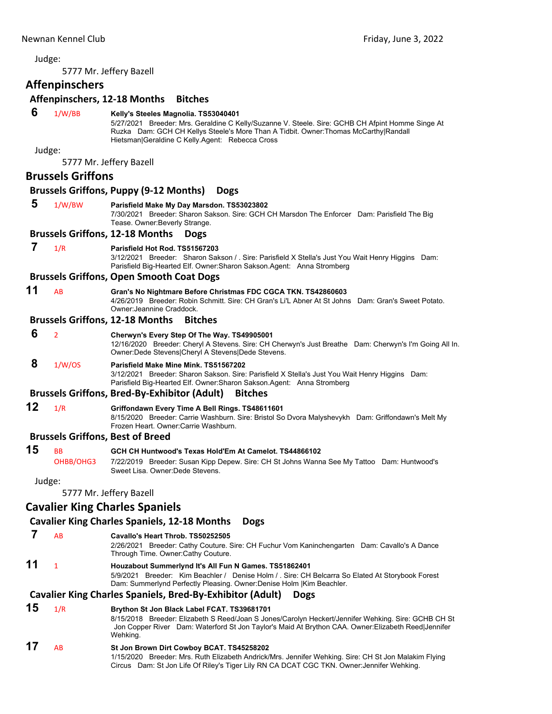<span id="page-36-0"></span>

|    |                          | 5777 Mr. Jeffery Bazell                                                                                                                                                                                                                                                             |
|----|--------------------------|-------------------------------------------------------------------------------------------------------------------------------------------------------------------------------------------------------------------------------------------------------------------------------------|
|    | <b>Affenpinschers</b>    |                                                                                                                                                                                                                                                                                     |
|    |                          | Affenpinschers, 12-18 Months<br><b>Bitches</b>                                                                                                                                                                                                                                      |
| 6  | 1/W/BB<br>Judge:         | Kelly's Steeles Magnolia. TS53040401<br>5/27/2021 Breeder: Mrs. Geraldine C Kelly/Suzanne V. Steele. Sire: GCHB CH Afpint Homme Singe At<br>Ruzka Dam: GCH CH Kellys Steele's More Than A Tidbit. Owner: Thomas McCarthy Randall<br>Hietsman Geraldine C Kelly.Agent: Rebecca Cross |
|    |                          | 5777 Mr. Jeffery Bazell                                                                                                                                                                                                                                                             |
|    | <b>Brussels Griffons</b> |                                                                                                                                                                                                                                                                                     |
|    |                          | <b>Brussels Griffons, Puppy (9-12 Months)</b><br><b>Dogs</b>                                                                                                                                                                                                                        |
| 5  | 1/W/BW                   | Parisfield Make My Day Marsdon. TS53023802<br>7/30/2021 Breeder: Sharon Sakson. Sire: GCH CH Marsdon The Enforcer Dam: Parisfield The Big<br>Tease. Owner: Beverly Strange.                                                                                                         |
|    |                          | <b>Brussels Griffons, 12-18 Months</b><br><b>Dogs</b>                                                                                                                                                                                                                               |
| 7  | 1/R                      | Parisfield Hot Rod. TS51567203<br>3/12/2021 Breeder: Sharon Sakson / . Sire: Parisfield X Stella's Just You Wait Henry Higgins Dam:<br>Parisfield Big-Hearted Elf. Owner: Sharon Sakson. Agent: Anna Stromberg                                                                      |
|    |                          | <b>Brussels Griffons, Open Smooth Coat Dogs</b>                                                                                                                                                                                                                                     |
| 11 | AB                       | Gran's No Nightmare Before Christmas FDC CGCA TKN. TS42860603<br>4/26/2019 Breeder: Robin Schmitt, Sire: CH Gran's Li'L Abner At St Johns Dam: Gran's Sweet Potato.<br>Owner Jeannine Craddock.                                                                                     |
|    |                          | <b>Brussels Griffons, 12-18 Months</b><br><b>Bitches</b>                                                                                                                                                                                                                            |
| 6  | $\overline{2}$           | Cherwyn's Every Step Of The Way. TS49905001<br>12/16/2020 Breeder: Cheryl A Stevens. Sire: CH Cherwyn's Just Breathe Dam: Cherwyn's I'm Going All In.<br>Owner: Dede Stevens Cheryl A Stevens Dede Stevens.                                                                         |
| 8  | 1/W/OS                   | Parisfield Make Mine Mink. TS51567202<br>3/12/2021 Breeder: Sharon Sakson. Sire: Parisfield X Stella's Just You Wait Henry Higgins Dam:<br>Parisfield Big-Hearted Elf. Owner: Sharon Sakson. Agent: Anna Stromberg                                                                  |
|    |                          | <b>Brussels Griffons, Bred-By-Exhibitor (Adult)</b><br><b>Bitches</b>                                                                                                                                                                                                               |
| 12 | 1/R                      | Griffondawn Every Time A Bell Rings. TS48611601<br>8/15/2020 Breeder: Carrie Washburn. Sire: Bristol So Dvora Malyshevykh Dam: Griffondawn's Melt My<br>Frozen Heart. Owner: Carrie Washburn.                                                                                       |
|    |                          | <b>Brussels Griffons, Best of Breed</b>                                                                                                                                                                                                                                             |
| 15 | <b>BB</b><br>OHBB/OHG3   | GCH CH Huntwood's Texas Hold'Em At Camelot. TS44866102<br>7/22/2019 Breeder: Susan Kipp Depew. Sire: CH St Johns Wanna See My Tattoo Dam: Huntwood's<br>Sweet Lisa. Owner:Dede Stevens.                                                                                             |
|    | Judge:                   |                                                                                                                                                                                                                                                                                     |
|    |                          | 5777 Mr. Jeffery Bazell                                                                                                                                                                                                                                                             |
|    |                          | <b>Cavalier King Charles Spaniels</b>                                                                                                                                                                                                                                               |
|    |                          | <b>Cavalier King Charles Spaniels, 12-18 Months</b><br><b>Dogs</b>                                                                                                                                                                                                                  |
| 7  | AB                       | Cavallo's Heart Throb. TS50252505<br>2/26/2021 Breeder: Cathy Couture. Sire: CH Fuchur Vom Kaninchengarten Dam: Cavallo's A Dance<br>Through Time. Owner: Cathy Couture.                                                                                                            |
| 11 | $\mathbf{1}$             | Houzabout Summerlynd It's All Fun N Games. TS51862401<br>5/9/2021 Breeder: Kim Beachler / Denise Holm / Sire: CH Belcarra So Elated At Storybook Forest<br>Dam: Summerlynd Perfectly Pleasing. Owner: Denise Holm   Kim Beachler.                                                   |
|    |                          | <b>Cavalier King Charles Spaniels, Bred-By-Exhibitor (Adult)</b><br><b>Dogs</b>                                                                                                                                                                                                     |
| 15 | 1/R                      | Brython St Jon Black Label FCAT. TS39681701<br>8/15/2018 Breeder: Elizabeth S Reed/Joan S Jones/Carolyn Heckert/Jennifer Wehking. Sire: GCHB CH St<br>Jon Copper River Dam: Waterford St Jon Taylor's Maid At Brython CAA. Owner: Elizabeth Reed Jennifer<br>Wehking.               |
| 17 | AB                       | St Jon Brown Dirt Cowboy BCAT. TS45258202<br>1/15/2020 Breeder: Mrs. Ruth Elizabeth Andrick/Mrs. Jennifer Wehking. Sire: CH St Jon Malakim Flying<br>Circus Dam: St Jon Life Of Riley's Tiger Lily RN CA DCAT CGC TKN. Owner: Jennifer Wehking.                                     |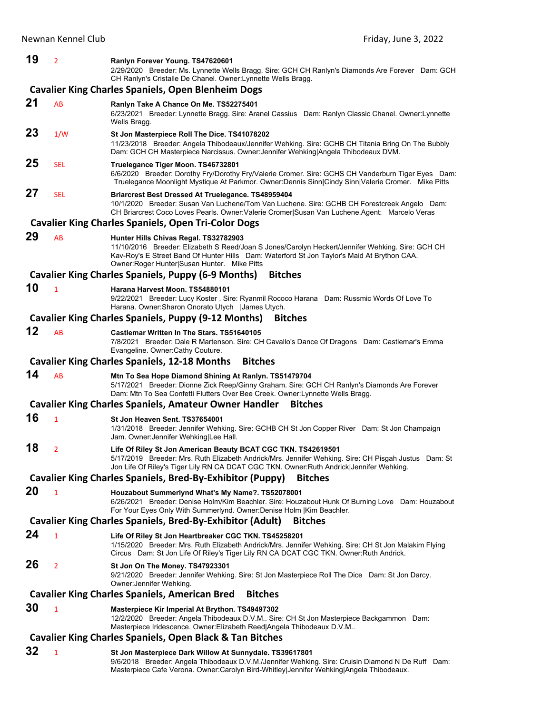| 19 | 2              | Ranlyn Forever Young. TS47620601<br>2/29/2020 Breeder: Ms. Lynnette Wells Bragg. Sire: GCH CH Ranlyn's Diamonds Are Forever Dam: GCH<br>CH Ranlyn's Cristalle De Chanel. Owner: Lynnette Wells Bragg.                                                                                    |
|----|----------------|------------------------------------------------------------------------------------------------------------------------------------------------------------------------------------------------------------------------------------------------------------------------------------------|
|    |                | <b>Cavalier King Charles Spaniels, Open Blenheim Dogs</b>                                                                                                                                                                                                                                |
| 21 | AB             | Ranlyn Take A Chance On Me. TS52275401<br>6/23/2021 Breeder: Lynnette Bragg. Sire: Aranel Cassius Dam: Ranlyn Classic Chanel. Owner: Lynnette<br>Wells Bragg.                                                                                                                            |
| 23 | 1/W            | St Jon Masterpiece Roll The Dice. TS41078202<br>11/23/2018 Breeder: Angela Thibodeaux/Jennifer Wehking. Sire: GCHB CH Titania Bring On The Bubbly<br>Dam: GCH CH Masterpiece Narcissus. Owner: Jennifer Wehking Angela Thibodeaux DVM.                                                   |
| 25 | <b>SEL</b>     | Truelegance Tiger Moon. TS46732801<br>6/6/2020 Breeder: Dorothy Fry/Dorothy Fry/Valerie Cromer. Sire: GCHS CH Vanderburn Tiger Eyes Dam:<br>Truelegance Moonlight Mystique At Parkmor. Owner:Dennis Sinn Cindy Sinn Valerie Cromer. Mike Pitts                                           |
| 27 | <b>SEL</b>     | Briarcrest Best Dressed At Truelegance. TS48959404<br>10/1/2020 Breeder: Susan Van Luchene/Tom Van Luchene. Sire: GCHB CH Forestcreek Angelo Dam:<br>CH Briarcrest Coco Loves Pearls. Owner: Valerie Cromer Susan Van Luchene. Agent: Marcelo Veras                                      |
|    |                | <b>Cavalier King Charles Spaniels, Open Tri-Color Dogs</b>                                                                                                                                                                                                                               |
| 29 | AB             | Hunter Hills Chivas Regal. TS32782903<br>11/10/2016 Breeder: Elizabeth S Reed/Joan S Jones/Carolyn Heckert/Jennifer Wehking. Sire: GCH CH<br>Kav-Roy's E Street Band Of Hunter Hills Dam: Waterford St Jon Taylor's Maid At Brython CAA.<br>Owner: Roger Hunter Susan Hunter. Mike Pitts |
|    |                | <b>Cavalier King Charles Spaniels, Puppy (6-9 Months)</b><br><b>Bitches</b>                                                                                                                                                                                                              |
| 10 | $\mathbf{1}$   | Harana Harvest Moon. TS54880101<br>9/22/2021 Breeder: Lucy Koster . Sire: Ryanmil Rococo Harana Dam: Russmic Words Of Love To<br>Harana. Owner: Sharon Onorato Utych   James Utych.                                                                                                      |
|    |                | <b>Cavalier King Charles Spaniels, Puppy (9-12 Months)</b><br><b>Bitches</b>                                                                                                                                                                                                             |
| 12 | AB             | Castlemar Written In The Stars. TS51640105<br>7/8/2021 Breeder: Dale R Martenson. Sire: CH Cavallo's Dance Of Dragons Dam: Castlemar's Emma<br>Evangeline. Owner: Cathy Couture.                                                                                                         |
|    |                | <b>Cavalier King Charles Spaniels, 12-18 Months</b><br><b>Bitches</b>                                                                                                                                                                                                                    |
| 14 | AB             | Mtn To Sea Hope Diamond Shining At Ranlyn. TS51479704<br>5/17/2021 Breeder: Dionne Zick Reep/Ginny Graham. Sire: GCH CH Ranlyn's Diamonds Are Forever<br>Dam: Mtn To Sea Confetti Flutters Over Bee Creek. Owner: Lynnette Wells Bragg.                                                  |
|    |                | <b>Cavalier King Charles Spaniels, Amateur Owner Handler</b><br><b>Bitches</b>                                                                                                                                                                                                           |
| 16 | $\mathbf{1}$   | St Jon Heaven Sent. TS37654001<br>1/31/2018 Breeder: Jennifer Wehking. Sire: GCHB CH St Jon Copper River Dam: St Jon Champaign<br>Jam. Owner:Jennifer Wehking Lee Hall.                                                                                                                  |
| 18 | 2              | Life Of Riley St Jon American Beauty BCAT CGC TKN. TS42619501<br>5/17/2019 Breeder: Mrs. Ruth Elizabeth Andrick/Mrs. Jennifer Wehking. Sire: CH Pisgah Justus Dam: St<br>Jon Life Of Riley's Tiger Lily RN CA DCAT CGC TKN. Owner: Ruth Andrick Jennifer Wehking.                        |
|    |                | <b>Cavalier King Charles Spaniels, Bred-By-Exhibitor (Puppy)</b><br><b>Bitches</b>                                                                                                                                                                                                       |
| 20 | 1              | Houzabout Summerlynd What's My Name?. TS52078001<br>6/26/2021 Breeder: Denise Holm/Kim Beachler. Sire: Houzabout Hunk Of Burning Love Dam: Houzabout<br>For Your Eyes Only With Summerlynd. Owner: Denise Holm   Kim Beachler.                                                           |
|    |                | <b>Cavalier King Charles Spaniels, Bred-By-Exhibitor (Adult)</b><br><b>Bitches</b>                                                                                                                                                                                                       |
| 24 | 1              | Life Of Riley St Jon Heartbreaker CGC TKN. TS45258201<br>1/15/2020 Breeder: Mrs. Ruth Elizabeth Andrick/Mrs. Jennifer Wehking. Sire: CH St Jon Malakim Flying<br>Circus Dam: St Jon Life Of Riley's Tiger Lily RN CA DCAT CGC TKN. Owner: Ruth Andrick.                                  |
| 26 | $\overline{2}$ | St Jon On The Money. TS47923301<br>9/21/2020 Breeder: Jennifer Wehking. Sire: St Jon Masterpiece Roll The Dice Dam: St Jon Darcy.<br>Owner:Jennifer Wehking.                                                                                                                             |
|    |                | <b>Cavalier King Charles Spaniels, American Bred</b><br><b>Bitches</b>                                                                                                                                                                                                                   |
| 30 | $\mathbf{1}$   | Masterpiece Kir Imperial At Brython. TS49497302<br>12/2/2020 Breeder: Angela Thibodeaux D.V.M Sire: CH St Jon Masterpiece Backgammon Dam:<br>Masterpiece Iridescence. Owner: Elizabeth Reed Angela Thibodeaux D.V.M                                                                      |
|    |                | <b>Cavalier King Charles Spaniels, Open Black &amp; Tan Bitches</b>                                                                                                                                                                                                                      |

**32** <sup>1</sup> **St Jon Masterpiece Dark Willow At Sunnydale. TS39617801** 9/6/2018 Breeder: Angela Thibodeaux D.V.M./Jennifer Wehking. Sire: Cruisin Diamond N De Ruff Dam: Masterpiece Cafe Verona. Owner:Carolyn Bird-Whitley|Jennifer Wehking|Angela Thibodeaux.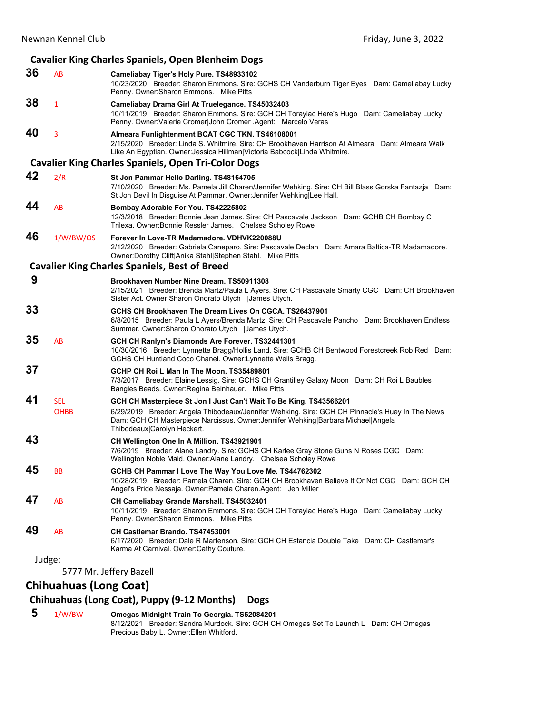### **Cavalier King Charles Spaniels, Open Blenheim Dogs 36** AB **Cameliabay Tiger's Holy Pure. TS48933102** 10/23/2020 Breeder: Sharon Emmons. Sire: GCHS CH Vanderburn Tiger Eyes Dam: Cameliabay Lucky Penny. Owner:Sharon Emmons. Mike Pitts **38** <sup>1</sup> **Cameliabay Drama Girl At Truelegance. TS45032403** 10/11/2019 Breeder: Sharon Emmons. Sire: GCH CH Toraylac Here's Hugo Dam: Cameliabay Lucky Penny. Owner:Valerie Cromer|John Cromer .Agent: Marcelo Veras **40** <sup>3</sup> **Almeara Funlightenment BCAT CGC TKN. TS46108001** 2/15/2020 Breeder: Linda S. Whitmire. Sire: CH Brookhaven Harrison At Almeara Dam: Almeara Walk Like An Egyptian. Owner:Jessica Hillman|Victoria Babcock|Linda Whitmire. **Cavalier King Charles Spaniels, Open Tri‐Color Dogs 42** 2/R **St Jon Pammar Hello Darling. TS48164705** 7/10/2020 Breeder: Ms. Pamela Jill Charen/Jennifer Wehking. Sire: CH Bill Blass Gorska Fantazja Dam: St Jon Devil In Disguise At Pammar. Owner:Jennifer Wehking|Lee Hall. **44** AB **Bombay Adorable For You. TS42225802** 12/3/2018 Breeder: Bonnie Jean James. Sire: CH Pascavale Jackson Dam: GCHB CH Bombay C Trilexa. Owner:Bonnie Ressler James. Chelsea Scholey Rowe **46** 1/W/BW/OS **Forever In Love-TR Madamadore. VDHVK220088U** 2/12/2020 Breeder: Gabriela Caneparo. Sire: Pascavale Declan Dam: Amara Baltica-TR Madamadore. Owner:Dorothy Clift|Anika Stahl|Stephen Stahl. Mike Pitts **Cavalier King Charles Spaniels, Best of Breed 9 Brookhaven Number Nine Dream. TS50911308** 2/15/2021 Breeder: Brenda Martz/Paula L Ayers. Sire: CH Pascavale Smarty CGC Dam: CH Brookhaven Sister Act. Owner:Sharon Onorato Utych |James Utych. **33 GCHS CH Brookhaven The Dream Lives On CGCA. TS26437901** 6/8/2015 Breeder: Paula L Ayers/Brenda Martz. Sire: CH Pascavale Pancho Dam: Brookhaven Endless Summer. Owner:Sharon Onorato Utych |James Utych. **35** AB **GCH CH Ranlyn's Diamonds Are Forever. TS32441301** 10/30/2016 Breeder: Lynnette Bragg/Hollis Land. Sire: GCHB CH Bentwood Forestcreek Rob Red Dam: GCHS CH Huntland Coco Chanel. Owner:Lynnette Wells Bragg. **37 GCHP CH Roi L Man In The Moon. TS35489801** 7/3/2017 Breeder: Elaine Lessig. Sire: GCHS CH Grantilley Galaxy Moon Dam: CH Roi L Baubles Bangles Beads. Owner:Regina Beinhauer. Mike Pitts **41** SEL **GCH CH Masterpiece St Jon I Just Can't Wait To Be King. TS43566201** OHBB 6/29/2019 Breeder: Angela Thibodeaux/Jennifer Wehking. Sire: GCH CH Pinnacle's Huey In The News Dam: GCH CH Masterpiece Narcissus. Owner:Jennifer Wehking|Barbara Michael|Angela Thibodeaux|Carolyn Heckert. **43 CH Wellington One In A Million. TS43921901** 7/6/2019 Breeder: Alane Landry. Sire: GCHS CH Karlee Gray Stone Guns N Roses CGC Dam: Wellington Noble Maid. Owner:Alane Landry. Chelsea Scholey Rowe **45** BB **GCHB CH Pammar I Love The Way You Love Me. TS44762302** 10/28/2019 Breeder: Pamela Charen. Sire: GCH CH Brookhaven Believe It Or Not CGC Dam: GCH CH Angel's Pride Nessaja. Owner:Pamela Charen.Agent: Jen Miller **47** AB **CH Cameliabay Grande Marshall. TS45032401** 10/11/2019 Breeder: Sharon Emmons. Sire: GCH CH Toraylac Here's Hugo Dam: Cameliabay Lucky Penny. Owner:Sharon Emmons. Mike Pitts **49** AB **CH Castlemar Brando. TS47453001** 6/17/2020 Breeder: Dale R Martenson. Sire: GCH CH Estancia Double Take Dam: CH Castlemar's Karma At Carnival. Owner:Cathy Couture. Judge: 5777 Mr. Jeffery Bazell

# **Chihuahuas (Long Coat)**

### **Chihuahuas (Long Coat), Puppy (9‐12 Months) Dogs**

 **5** 1/W/BW **Omegas Midnight Train To Georgia. TS52084201** 8/12/2021 Breeder: Sandra Murdock. Sire: GCH CH Omegas Set To Launch L Dam: CH Omegas Precious Baby L. Owner:Ellen Whitford.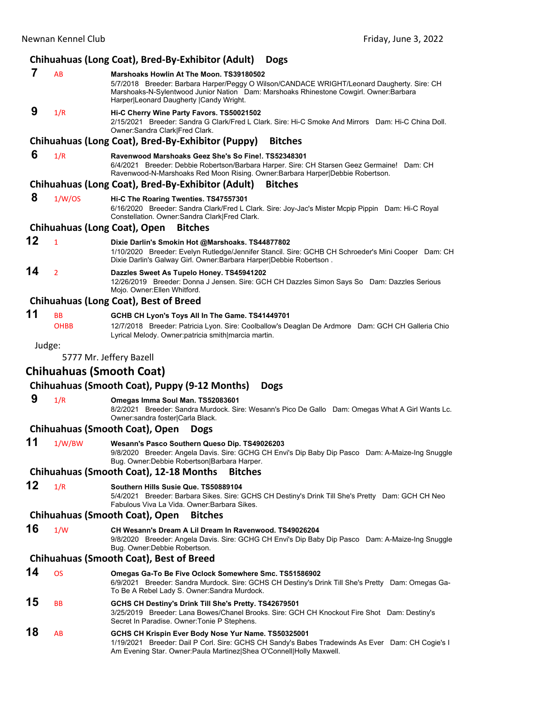# **Chihuahuas (Long Coat), Bred‐By‐Exhibitor (Adult) Dogs**

|        |                          | Chihuahuas (Long Coat), Bred-By-Exhibitor (Adult)<br><b>Dogs</b>                                                                                                                                                                                                             |
|--------|--------------------------|------------------------------------------------------------------------------------------------------------------------------------------------------------------------------------------------------------------------------------------------------------------------------|
| 7      | AB                       | Marshoaks Howlin At The Moon, TS39180502<br>5/7/2018 Breeder: Barbara Harper/Peggy O Wilson/CANDACE WRIGHT/Leonard Daugherty. Sire: CH<br>Marshoaks-N-Sylentwood Junior Nation Dam: Marshoaks Rhinestone Cowgirl. Owner: Barbara<br>Harper Leonard Daugherty   Candy Wright. |
| 9      | 1/R                      | Hi-C Cherry Wine Party Favors. TS50021502<br>2/15/2021 Breeder: Sandra G Clark/Fred L Clark. Sire: Hi-C Smoke And Mirrors Dam: Hi-C China Doll.<br>Owner: Sandra Clark Fred Clark.                                                                                           |
|        |                          | Chihuahuas (Long Coat), Bred-By-Exhibitor (Puppy)<br><b>Bitches</b>                                                                                                                                                                                                          |
| 6      | 1/R                      | Ravenwood Marshoaks Geez She's So Fine!. TS52348301<br>6/4/2021 Breeder: Debbie Robertson/Barbara Harper. Sire: CH Starsen Geez Germaine! Dam: CH<br>Ravenwood-N-Marshoaks Red Moon Rising. Owner:Barbara Harper Debbie Robertson.                                           |
|        |                          | Chihuahuas (Long Coat), Bred-By-Exhibitor (Adult)<br><b>Bitches</b>                                                                                                                                                                                                          |
| 8      | 1/W/OS                   | Hi-C The Roaring Twenties. TS47557301<br>6/16/2020 Breeder: Sandra Clark/Fred L Clark. Sire: Joy-Jac's Mister Mcpip Pippin Dam: Hi-C Royal<br>Constellation. Owner: Sandra Clark Fred Clark.                                                                                 |
|        |                          | Chihuahuas (Long Coat), Open<br><b>Bitches</b>                                                                                                                                                                                                                               |
| 12     | $\mathbf{1}$             | Dixie Darlin's Smokin Hot @Marshoaks. TS44877802<br>1/10/2020 Breeder: Evelyn Rutledge/Jennifer Stancil. Sire: GCHB CH Schroeder's Mini Cooper Dam: CH<br>Dixie Darlin's Galway Girl. Owner: Barbara Harper Debbie Robertson.                                                |
| 14     | $\overline{2}$           | Dazzles Sweet As Tupelo Honey. TS45941202<br>12/26/2019 Breeder: Donna J Jensen. Sire: GCH CH Dazzles Simon Says So Dam: Dazzles Serious<br>Mojo. Owner: Ellen Whitford.                                                                                                     |
|        |                          | <b>Chihuahuas (Long Coat), Best of Breed</b>                                                                                                                                                                                                                                 |
| 11     | <b>BB</b><br><b>OHBB</b> | GCHB CH Lyon's Toys All In The Game. TS41449701<br>12/7/2018 Breeder: Patricia Lyon. Sire: Coolballow's Deaglan De Ardmore Dam: GCH CH Galleria Chio<br>Lyrical Melody. Owner: patricia smith marcia martin.                                                                 |
| Judge: |                          |                                                                                                                                                                                                                                                                              |
|        |                          | 5777 Mr. Jeffery Bazell                                                                                                                                                                                                                                                      |
|        |                          | <b>Chihuahuas (Smooth Coat)</b>                                                                                                                                                                                                                                              |
|        |                          | Chihuahuas (Smooth Coat), Puppy (9-12 Months)<br><b>Dogs</b>                                                                                                                                                                                                                 |
| 9      | 1/R                      | Omegas Imma Soul Man. TS52083601<br>8/2/2021 Breeder: Sandra Murdock. Sire: Wesann's Pico De Gallo Dam: Omegas What A Girl Wants Lc.<br>Owner:sandra foster Carla Black.                                                                                                     |
|        |                          | <b>Chihuahuas (Smooth Coat), Open</b><br><b>Dogs</b>                                                                                                                                                                                                                         |
| 11     | 1/W/BW                   | Wesann's Pasco Southern Queso Dip. TS49026203<br>9/8/2020 Breeder: Angela Davis. Sire: GCHG CH Envi's Dip Baby Dip Pasco Dam: A-Maize-Ing Snuggle<br>Bug. Owner: Debbie Robertson Barbara Harper.                                                                            |
|        |                          | <b>Chihuahuas (Smooth Coat), 12-18 Months</b><br><b>Bitches</b>                                                                                                                                                                                                              |
| 12     | 1/R                      | Southern Hills Susie Que. TS50889104<br>5/4/2021 Breeder: Barbara Sikes. Sire: GCHS CH Destiny's Drink Till She's Pretty Dam: GCH CH Neo<br>Fabulous Viva La Vida. Owner: Barbara Sikes.                                                                                     |
|        |                          | <b>Chihuahuas (Smooth Coat), Open</b><br><b>Bitches</b>                                                                                                                                                                                                                      |
| 16     | 1/W                      | CH Wesann's Dream A Lil Dream In Ravenwood, TS49026204                                                                                                                                                                                                                       |

9/8/2020 Breeder: Angela Davis. Sire: GCHG CH Envi's Dip Baby Dip Pasco Dam: A-Maize-Ing Snuggle Bug. Owner:Debbie Robertson.

### **Chihuahuas (Smooth Coat), Best of Breed**

**14** OS **Omegas Ga-To Be Five Oclock Somewhere Smc. TS51586902** 6/9/2021 Breeder: Sandra Murdock. Sire: GCHS CH Destiny's Drink Till She's Pretty Dam: Omegas Ga-To Be A Rebel Lady S. Owner:Sandra Murdock. **15** BB **GCHS CH Destiny's Drink Till She's Pretty. TS42679501** 3/25/2019 Breeder: Lana Bowes/Chanel Brooks. Sire: GCH CH Knockout Fire Shot Dam: Destiny's Secret In Paradise. Owner:Tonie P Stephens. **18** AB **GCHS CH Krispin Ever Body Nose Yur Name. TS50325001** 1/19/2021 Breeder: Dail P Corl. Sire: GCHS CH Sandy's Babes Tradewinds As Ever Dam: CH Cogie's I

Am Evening Star. Owner:Paula Martinez|Shea O'Connell|Holly Maxwell.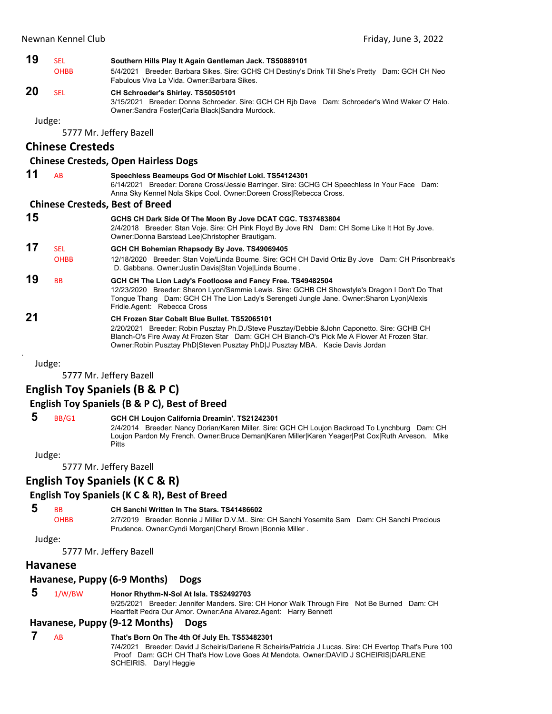| 19 | <b>SEL</b>              | Southern Hills Play It Again Gentleman Jack. TS50889101                                                                                                                                                                     |
|----|-------------------------|-----------------------------------------------------------------------------------------------------------------------------------------------------------------------------------------------------------------------------|
|    | <b>OHBB</b>             | 5/4/2021 Breeder: Barbara Sikes. Sire: GCHS CH Destiny's Drink Till She's Pretty Dam: GCH CH Neo<br>Fabulous Viva La Vida, Owner: Barbara Sikes,                                                                            |
| 20 | <b>SEL</b>              | CH Schroeder's Shirley. TS50505101<br>3/15/2021 Breeder: Donna Schroeder. Sire: GCH CH Rib Dave Dam: Schroeder's Wind Waker O' Halo.<br>Owner:Sandra Foster Carla Black Sandra Murdock.                                     |
|    | Judge:                  |                                                                                                                                                                                                                             |
|    |                         | 5777 Mr. Jeffery Bazell                                                                                                                                                                                                     |
|    | <b>Chinese Cresteds</b> |                                                                                                                                                                                                                             |
|    |                         | <b>Chinese Cresteds, Open Hairless Dogs</b>                                                                                                                                                                                 |
| 11 | AB                      | Speechless Beameups God Of Mischief Loki. TS54124301<br>6/14/2021 Breeder: Dorene Cross/Jessie Barringer. Sire: GCHG CH Speechless In Your Face Dam:<br>Anna Sky Kennel Nola Skips Cool. Owner: Doreen Cross Rebecca Cross. |
|    |                         | <b>Chinese Cresteds, Best of Breed</b>                                                                                                                                                                                      |
| 15 |                         | GCHS CH Dark Side Of The Moon By Jove DCAT CGC. TS37483804<br>2/4/2018 Breeder: Stan Voje. Sire: CH Pink Floyd By Jove RN Dam: CH Some Like It Hot By Jove.<br>Owner:Donna Barstead Lee Christopher Brautigam.              |
| 17 | <b>SEL</b>              | GCH CH Bohemian Rhapsody By Jove. TS49069405                                                                                                                                                                                |
|    | <b>OHBB</b>             | 12/18/2020 Breeder: Stan Voje/Linda Bourne. Sire: GCH CH David Ortiz By Jove Dam: CH Prisonbreak's<br>D. Gabbana. Owner: Justin Davis Stan Voje Linda Bourne.                                                               |
| 19 | <b>BB</b>               | GCH CH The Lion Lady's Footloose and Fancy Free. TS49482504<br>40/00/0000 Desadam Chanan Luan/Canonia Laude, Chas COUD OLL Chauchdale Desara LDault De That                                                                 |

12/23/2020 Breeder: Sharon Lyon/Sammie Lewis. Sire: GCHB CH Showstyle's Dragon I Don't Do That Tongue Thang Dam: GCH CH The Lion Lady's Serengeti Jungle Jane. Owner:Sharon Lyon|Alexis Fridie.Agent: Rebecca Cross

**21 CH Frozen Star Cobalt Blue Bullet. TS52065101** 2/20/2021 Breeder: Robin Pusztay Ph.D./Steve Pusztay/Debbie &John Caponetto. Sire: GCHB CH Blanch-O's Fire Away At Frozen Star Dam: GCH CH Blanch-O's Pick Me A Flower At Frozen Star. Owner:Robin Pusztay PhD|Steven Pusztay PhD|J Pusztay MBA. Kacie Davis Jordan

Judge:

.

5777 Mr. Jeffery Bazell

# **English Toy Spaniels (B & P C)**

# **English Toy Spaniels (B & P C), Best of Breed**

### **5** BB/G1 **GCH CH Loujon California Dreamin'. TS21242301**

2/4/2014 Breeder: Nancy Dorian/Karen Miller. Sire: GCH CH Loujon Backroad To Lynchburg Dam: CH Loujon Pardon My French. Owner:Bruce Deman|Karen Miller|Karen Yeager|Pat Cox|Ruth Arveson. Mike **Pitts** 

Judge:

5777 Mr. Jeffery Bazell

# **English Toy Spaniels (K C & R)**

# **English Toy Spaniels (K C & R), Best of Breed**

# **5** BB **CH Sanchi Written In The Stars. TS41486602**

OHBB 2/7/2019 Breeder: Bonnie J Miller D.V.M.. Sire: CH Sanchi Yosemite Sam Dam: CH Sanchi Precious Prudence. Owner:Cyndi Morgan|Cheryl Brown |Bonnie Miller .

Judge:

5777 Mr. Jeffery Bazell

# **Havanese**

# **Havanese, Puppy (6‐9 Months) Dogs**

# **5** 1/W/BW **Honor Rhythm-N-Sol At Isla. TS52492703**

9/25/2021 Breeder: Jennifer Manders. Sire: CH Honor Walk Through Fire Not Be Burned Dam: CH Heartfelt Pedra Our Amor. Owner:Ana Alvarez.Agent: Harry Bennett

# **Havanese, Puppy (9‐12 Months) Dogs**

# **7** AB **That's Born On The 4th Of July Eh. TS53482301**

7/4/2021 Breeder: David J Scheiris/Darlene R Scheiris/Patricia J Lucas. Sire: CH Evertop That's Pure 100 Proof Dam: GCH CH That's How Love Goes At Mendota. Owner:DAVID J SCHEIRIS|DARLENE SCHEIRIS. Daryl Heggie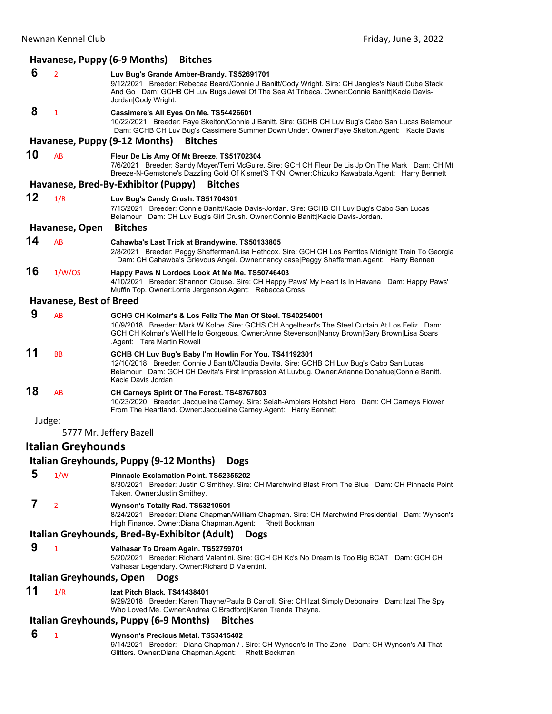|    |                                                          | Havanese, Puppy (6-9 Months)<br><b>Bitches</b>                                                                                                                                                                                                                                            |  |  |
|----|----------------------------------------------------------|-------------------------------------------------------------------------------------------------------------------------------------------------------------------------------------------------------------------------------------------------------------------------------------------|--|--|
| 6  | $\overline{2}$                                           | Luv Bug's Grande Amber-Brandy. TS52691701<br>9/12/2021 Breeder: Rebecaa Beard/Connie J Banitt/Cody Wright. Sire: CH Jangles's Nauti Cube Stack<br>And Go Dam: GCHB CH Luv Bugs Jewel Of The Sea At Tribeca. Owner:Connie Banitt Kacie Davis-                                              |  |  |
| 8  |                                                          | Jordan Cody Wright.                                                                                                                                                                                                                                                                       |  |  |
|    | $\mathbf{1}$                                             | Cassimere's All Eyes On Me. TS54426601<br>10/22/2021 Breeder: Faye Skelton/Connie J Banitt. Sire: GCHB CH Luv Bug's Cabo San Lucas Belamour<br>Dam: GCHB CH Luv Bug's Cassimere Summer Down Under. Owner: Faye Skelton. Agent: Kacie Davis                                                |  |  |
|    |                                                          | Havanese, Puppy (9-12 Months)<br><b>Bitches</b>                                                                                                                                                                                                                                           |  |  |
| 10 | AB                                                       | Fleur De Lis Amy Of Mt Breeze. TS51702304<br>7/6/2021 Breeder: Sandy Moyer/Terri McGuire. Sire: GCH CH Fleur De Lis Jp On The Mark Dam: CH Mt<br>Breeze-N-Gemstone's Dazzling Gold Of Kismet'S TKN. Owner:Chizuko Kawabata.Agent: Harry Bennett                                           |  |  |
|    |                                                          | Havanese, Bred-By-Exhibitor (Puppy)<br><b>Bitches</b>                                                                                                                                                                                                                                     |  |  |
| 12 | 1/R                                                      | Luv Bug's Candy Crush. TS51704301<br>7/15/2021 Breeder: Connie Banitt/Kacie Davis-Jordan. Sire: GCHB CH Luv Bug's Cabo San Lucas<br>Belamour Dam: CH Luv Bug's Girl Crush. Owner: Connie Banitt Kacie Davis-Jordan.                                                                       |  |  |
|    | Havanese, Open                                           | <b>Bitches</b>                                                                                                                                                                                                                                                                            |  |  |
| 14 | AB                                                       | Cahawba's Last Trick at Brandywine. TS50133805<br>2/8/2021 Breeder: Peggy Shafferman/Lisa Hethcox. Sire: GCH CH Los Perritos Midnight Train To Georgia<br>Dam: CH Cahawba's Grievous Angel. Owner:nancy case Peggy Shafferman.Agent: Harry Bennett                                        |  |  |
| 16 | 1/W/OS                                                   | Happy Paws N Lordocs Look At Me Me. TS50746403<br>4/10/2021 Breeder: Shannon Clouse. Sire: CH Happy Paws' My Heart Is In Havana Dam: Happy Paws'<br>Muffin Top. Owner:Lorrie Jergenson.Agent: Rebecca Cross                                                                               |  |  |
|    | <b>Havanese, Best of Breed</b>                           |                                                                                                                                                                                                                                                                                           |  |  |
| 9  | AB                                                       | GCHG CH Kolmar's & Los Feliz The Man Of Steel. TS40254001<br>10/9/2018 Breeder: Mark W Kolbe. Sire: GCHS CH Angelheart's The Steel Curtain At Los Feliz Dam:<br>GCH CH Kolmar's Well Hello Gorgeous. Owner:Anne Stevenson Nancy Brown Gary Brown Lisa Soars<br>Agent: Tara Martin Rowell. |  |  |
| 11 | <b>BB</b>                                                | GCHB CH Luv Bug's Baby I'm Howlin For You. TS41192301<br>12/10/2018 Breeder: Connie J Banitt/Claudia Devita. Sire: GCHB CH Luv Bug's Cabo San Lucas<br>Belamour Dam: GCH CH Devita's First Impression At Luvbug. Owner: Arianne Donahue Connie Banitt.<br>Kacie Davis Jordan              |  |  |
| 18 | AB                                                       | CH Carneys Spirit Of The Forest. TS48767803<br>10/23/2020 Breeder: Jacqueline Carney. Sire: Selah-Amblers Hotshot Hero Dam: CH Carneys Flower<br>From The Heartland. Owner: Jacqueline Carney. Agent: Harry Bennett                                                                       |  |  |
|    | Judge:                                                   |                                                                                                                                                                                                                                                                                           |  |  |
|    |                                                          | 5777 Mr. Jeffery Bazell                                                                                                                                                                                                                                                                   |  |  |
|    | <b>Italian Greyhounds</b>                                |                                                                                                                                                                                                                                                                                           |  |  |
|    |                                                          | Italian Greyhounds, Puppy (9-12 Months)<br><b>Dogs</b>                                                                                                                                                                                                                                    |  |  |
| 5  | 1/W                                                      | <b>Pinnacle Exclamation Point. TS52355202</b><br>8/30/2021 Breeder: Justin C Smithey. Sire: CH Marchwind Blast From The Blue Dam: CH Pinnacle Point<br>Taken. Owner: Justin Smithey.                                                                                                      |  |  |
| 7  | $\overline{2}$                                           | Wynson's Totally Rad. TS53210601<br>8/24/2021 Breeder: Diana Chapman/William Chapman. Sire: CH Marchwind Presidential Dam: Wynson's<br>High Finance. Owner: Diana Chapman. Agent: Rhett Bockman                                                                                           |  |  |
|    |                                                          | Italian Greyhounds, Bred-By-Exhibitor (Adult)<br><b>Dogs</b>                                                                                                                                                                                                                              |  |  |
| 9  | 1                                                        | Valhasar To Dream Again. TS52759701<br>5/20/2021 Breeder: Richard Valentini. Sire: GCH CH Kc's No Dream Is Too Big BCAT Dam: GCH CH<br>Valhasar Legendary. Owner: Richard D Valentini.                                                                                                    |  |  |
|    | Italian Greyhounds, Open                                 | <b>Dogs</b>                                                                                                                                                                                                                                                                               |  |  |
| 11 | 1/R                                                      | Izat Pitch Black. TS41438401<br>9/29/2018 Breeder: Karen Thayne/Paula B Carroll. Sire: CH Izat Simply Debonaire Dam: Izat The Spy<br>Who Loved Me. Owner:Andrea C Bradford Karen Trenda Thayne.                                                                                           |  |  |
|    | Italian Greyhounds, Puppy (6-9 Months)<br><b>Bitches</b> |                                                                                                                                                                                                                                                                                           |  |  |
| 6  | $\mathbf{1}$                                             | Wynson's Precious Metal. TS53415402<br>9/14/2021 Breeder: Diana Chapman / . Sire: CH Wynson's In The Zone Dam: CH Wynson's All That                                                                                                                                                       |  |  |

Glitters. Owner:Diana Chapman.Agent: Rhett Bockman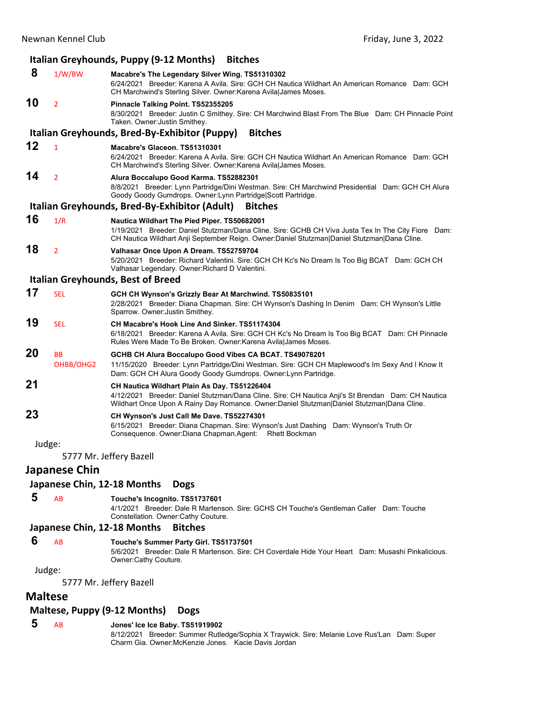### Newnan Kennel Club Friday, June 3, 2022 **Italian Greyhounds, Puppy (9‐12 Months) Bitches 8** 1/W/BW **Macabre's The Legendary Silver Wing. TS51310302** 6/24/2021 Breeder: Karena A Avila. Sire: GCH CH Nautica Wildhart An American Romance Dam: GCH CH Marchwind's Sterling Silver. Owner:Karena Avila|James Moses. **10** <sup>2</sup> **Pinnacle Talking Point. TS52355205** 8/30/2021 Breeder: Justin C Smithey. Sire: CH Marchwind Blast From The Blue Dam: CH Pinnacle Point Taken. Owner:Justin Smithey. **Italian Greyhounds, Bred‐By‐Exhibitor (Puppy) Bitches 12** <sup>1</sup> **Macabre's Glaceon. TS51310301** 6/24/2021 Breeder: Karena A Avila. Sire: GCH CH Nautica Wildhart An American Romance Dam: GCH CH Marchwind's Sterling Silver. Owner:Karena Avila|James Moses. **14** <sup>2</sup> **Alura Boccalupo Good Karma. TS52882301** 8/8/2021 Breeder: Lynn Partridge/Dini Westman. Sire: CH Marchwind Presidential Dam: GCH CH Alura Goody Goody Gumdrops. Owner:Lynn Partridge|Scott Partridge. **Italian Greyhounds, Bred‐By‐Exhibitor (Adult) Bitches 16** 1/R **Nautica Wildhart The Pied Piper. TS50682001** 1/19/2021 Breeder: Daniel Stutzman/Dana Cline. Sire: GCHB CH Viva Justa Tex In The City Fiore Dam: CH Nautica Wildhart Anji September Reign. Owner:Daniel Stutzman|Daniel Stutzman|Dana Cline. **18** <sup>2</sup> **Valhasar Once Upon A Dream. TS52759704** 5/20/2021 Breeder: Richard Valentini. Sire: GCH CH Kc's No Dream Is Too Big BCAT Dam: GCH CH Valhasar Legendary. Owner:Richard D Valentini. **Italian Greyhounds, Best of Breed 17** SEL **GCH CH Wynson's Grizzly Bear At Marchwind. TS50835101** 2/28/2021 Breeder: Diana Chapman. Sire: CH Wynson's Dashing In Denim Dam: CH Wynson's Little Sparrow. Owner:Justin Smithey. **19** SEL **CH Macabre's Hook Line And Sinker. TS51174304** 6/18/2021 Breeder: Karena A Avila. Sire: GCH CH Kc's No Dream Is Too Big BCAT Dam: CH Pinnacle Rules Were Made To Be Broken. Owner:Karena Avila|James Moses. **20** BB **GCHB CH Alura Boccalupo Good Vibes CA BCAT. TS49078201** OHBB/OHG2 11/15/2020 Breeder: Lynn Partridge/Dini Westman. Sire: GCH CH Maplewood's Im Sexy And I Know It Dam: GCH CH Alura Goody Goody Gumdrops. Owner:Lynn Partridge. **21 CH Nautica Wildhart Plain As Day. TS51226404** 4/12/2021 Breeder: Daniel Stutzman/Dana Cline. Sire: CH Nautica Anji's St Brendan Dam: CH Nautica Wildhart Once Upon A Rainy Day Romance. Owner:Daniel Stutzman|Daniel Stutzman|Dana Cline. **23 CH Wynson's Just Call Me Dave. TS52274301** 6/15/2021 Breeder: Diana Chapman. Sire: Wynson's Just Dashing Dam: Wynson's Truth Or Consequence. Owner:Diana Chapman.Agent: Rhett Bockman Judge: 5777 Mr. Jeffery Bazell **Japanese Chin**

# **Japanese Chin, 12‐18 Months Dogs**

### **5** AB **Touche's Incognito. TS51737601**

4/1/2021 Breeder: Dale R Martenson. Sire: GCHS CH Touche's Gentleman Caller Dam: Touche Constellation. Owner:Cathy Couture.

### **Japanese Chin, 12‐18 Months Bitches**

### **6** AB **Touche's Summer Party Girl. TS51737501**

5/6/2021 Breeder: Dale R Martenson. Sire: CH Coverdale Hide Your Heart Dam: Musashi Pinkalicious. Owner:Cathy Couture.

### Judge:

5777 Mr. Jeffery Bazell

# **Maltese**

# **Maltese, Puppy (9‐12 Months) Dogs**

## **5** AB **Jones' Ice Ice Baby. TS51919902**

8/12/2021 Breeder: Summer Rutledge/Sophia X Traywick. Sire: Melanie Love Rus'Lan Dam: Super Charm Gia. Owner:McKenzie Jones. Kacie Davis Jordan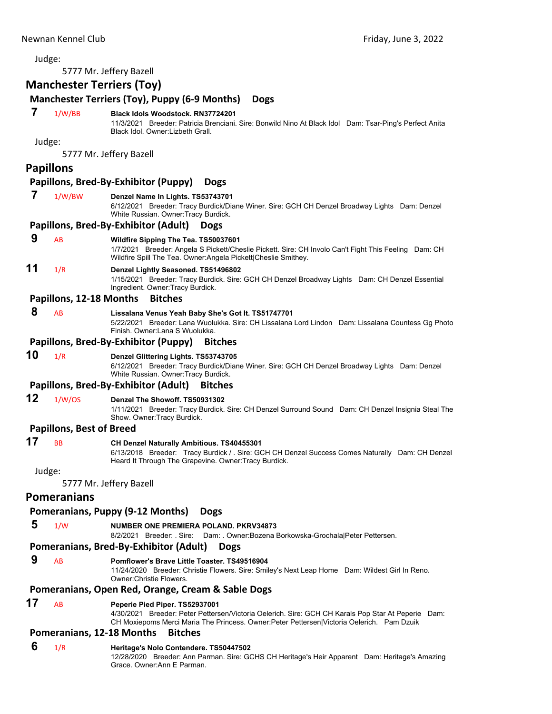5777 Mr. Jeffery Bazell

# **Manchester Terriers (Toy)**

# **Manchester Terriers (Toy), Puppy (6‐9 Months) Dogs**

 **7** 1/W/BB **Black Idols Woodstock. RN37724201**

11/3/2021 Breeder: Patricia Brenciani. Sire: Bonwild Nino At Black Idol Dam: Tsar-Ping's Perfect Anita Black Idol. Owner:Lizbeth Grall.

Judge:

5777 Mr. Jeffery Bazell

### **Papillons**

### **Papillons, Bred‐By‐Exhibitor (Puppy) Dogs**

- **7** 1/W/BW **Denzel Name In Lights. TS53743701**
	- 6/12/2021 Breeder: Tracy Burdick/Diane Winer. Sire: GCH CH Denzel Broadway Lights Dam: Denzel White Russian. Owner:Tracy Burdick.

### **Papillons, Bred‐By‐Exhibitor (Adult) Dogs**

### **9** AB **Wildfire Sipping The Tea. TS50037601**

1/7/2021 Breeder: Angela S Pickett/Cheslie Pickett. Sire: CH Involo Can't Fight This Feeling Dam: CH Wildfire Spill The Tea. Owner:Angela Pickett|Cheslie Smithey.

# **11** 1/R **Denzel Lightly Seasoned. TS51496802**

1/15/2021 Breeder: Tracy Burdick. Sire: GCH CH Denzel Broadway Lights Dam: CH Denzel Essential Ingredient. Owner:Tracy Burdick.

### **Papillons, 12‐18 Months Bitches**

### **8** AB **Lissalana Venus Yeah Baby She's Got It. TS51747701**

5/22/2021 Breeder: Lana Wuolukka. Sire: CH Lissalana Lord Lindon Dam: Lissalana Countess Gg Photo Finish. Owner:Lana S Wuolukka.

### **Papillons, Bred‐By‐Exhibitor (Puppy) Bitches**

### **10** 1/R **Denzel Glittering Lights. TS53743705**

6/12/2021 Breeder: Tracy Burdick/Diane Winer. Sire: GCH CH Denzel Broadway Lights Dam: Denzel White Russian. Owner:Tracy Burdick.

### **Papillons, Bred‐By‐Exhibitor (Adult) Bitches**

# **12** 1/W/OS **Denzel The Showoff. TS50931302**

1/11/2021 Breeder: Tracy Burdick. Sire: CH Denzel Surround Sound Dam: CH Denzel Insignia Steal The Show. Owner:Tracy Burdick.

### **Papillons, Best of Breed**

# **17** BB **CH Denzel Naturally Ambitious. TS40455301**

6/13/2018 Breeder: Tracy Burdick / . Sire: GCH CH Denzel Success Comes Naturally Dam: CH Denzel Heard It Through The Grapevine. Owner:Tracy Burdick.

Judge:

5777 Mr. Jeffery Bazell

## **Pomeranians**

### **Pomeranians, Puppy (9‐12 Months) Dogs**

 **5** 1/W **NUMBER ONE PREMIERA POLAND. PKRV34873**

8/2/2021 Breeder: . Sire: Dam: . Owner:Bozena Borkowska-Grochala|Peter Pettersen.

### **Pomeranians, Bred‐By‐Exhibitor (Adult) Dogs**

# **9** AB **Pomflower's Brave Little Toaster. TS49516904**

11/24/2020 Breeder: Christie Flowers. Sire: Smiley's Next Leap Home Dam: Wildest Girl In Reno. Owner:Christie Flowers.

### **Pomeranians, Open Red, Orange, Cream & Sable Dogs**

### **17** AB **Peperie Pied Piper. TS52937001**

4/30/2021 Breeder: Peter Pettersen/Victoria Oelerich. Sire: GCH CH Karals Pop Star At Peperie Dam: CH Moxiepoms Merci Maria The Princess. Owner:Peter Pettersen|Victoria Oelerich. Pam Dzuik

### **Pomeranians, 12‐18 Months Bitches**

# **6** 1/R **Heritage's Nolo Contendere. TS50447502**

12/28/2020 Breeder: Ann Parman. Sire: GCHS CH Heritage's Heir Apparent Dam: Heritage's Amazing Grace. Owner:Ann E Parman.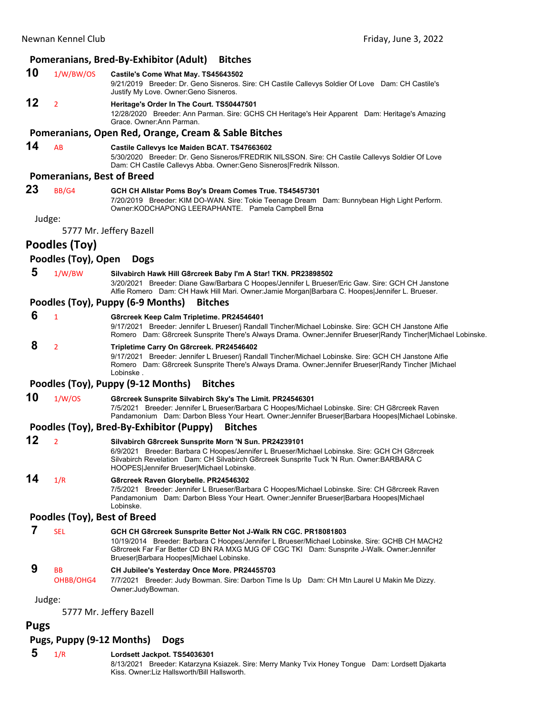### **Pomeranians, Bred‐By‐Exhibitor (Adult) Bitches**

### **10** 1/W/BW/OS **Castile's Come What May. TS45643502**

9/21/2019 Breeder: Dr. Geno Sisneros. Sire: CH Castile Callevys Soldier Of Love Dam: CH Castile's Justify My Love. Owner:Geno Sisneros.

### **12** <sup>2</sup> **Heritage's Order In The Court. TS50447501**

12/28/2020 Breeder: Ann Parman. Sire: GCHS CH Heritage's Heir Apparent Dam: Heritage's Amazing Grace. Owner:Ann Parman.

### **Pomeranians, Open Red, Orange, Cream & Sable Bitches**

# **14** AB **Castile Callevys Ice Maiden BCAT. TS47663602**

5/30/2020 Breeder: Dr. Geno Sisneros/FREDRIK NILSSON. Sire: CH Castile Callevys Soldier Of Love Dam: CH Castile Callevys Abba. Owner:Geno Sisneros|Fredrik Nilsson.

### **Pomeranians, Best of Breed**

# **23** BB/G4 **GCH CH Allstar Poms Boy's Dream Comes True. TS45457301**

7/20/2019 Breeder: KIM DO-WAN. Sire: Tokie Teenage Dream Dam: Bunnybean High Light Perform. Owner:KODCHAPONG LEERAPHANTE. Pamela Campbell Brna

### Judge:

5777 Mr. Jeffery Bazell

# **Poodles (Toy)**

### **Poodles (Toy), Open Dogs**

### **5** 1/W/BW **Silvabirch Hawk Hill G8rcreek Baby I'm A Star! TKN. PR23898502**

3/20/2021 Breeder: Diane Gaw/Barbara C Hoopes/Jennifer L Brueser/Eric Gaw. Sire: GCH CH Janstone Alfie Romero Dam: CH Hawk Hill Mari. Owner:Jamie Morgan|Barbara C. Hoopes|Jennifer L. Brueser.

### **Poodles (Toy), Puppy (6‐9 Months) Bitches**

 **6** <sup>1</sup> **G8rcreek Keep Calm Tripletime. PR24546401**

9/17/2021 Breeder: Jennifer L Brueser/j Randall Tincher/Michael Lobinske. Sire: GCH CH Janstone Alfie Romero Dam: G8rcreek Sunsprite There's Always Drama. Owner:Jennifer Brueser|Randy Tincher|Michael Lobinske.

### **8** <sup>2</sup> **Tripletime Carry On G8rcreek. PR24546402**

9/17/2021 Breeder: Jennifer L Brueser/j Randall Tincher/Michael Lobinske. Sire: GCH CH Janstone Alfie Romero Dam: G8rcreek Sunsprite There's Always Drama. Owner:Jennifer Brueser|Randy Tincher |Michael Lobinske .

## **Poodles (Toy), Puppy (9‐12 Months) Bitches**

### **10** 1/W/OS **G8rcreek Sunsprite Silvabirch Sky's The Limit. PR24546301**

7/5/2021 Breeder: Jennifer L Brueser/Barbara C Hoopes/Michael Lobinske. Sire: CH G8rcreek Raven Pandamonium Dam: Darbon Bless Your Heart. Owner:Jennifer Brueser|Barbara Hoopes|Michael Lobinske.

### **Poodles (Toy), Bred‐By‐Exhibitor (Puppy) Bitches**

| 12  | Silvabirch G8rcreek Sunsprite Morn 'N Sun. PR24239101                                         |
|-----|-----------------------------------------------------------------------------------------------|
|     | 6/9/2021 Breeder: Barbara C Hoopes/Jennifer L Brueser/Michael Lobinske, Sire: GCH CH G8rcreek |
|     | Silvabirch Revelation Dam: CH Silvabirch G8rcreek Sunsprite Tuck 'N Run. Owner: BARBARA C     |
|     | HOOPES Jennifer Brueser Michael Lobinske.                                                     |
| . . |                                                                                               |

### **14** 1/R **G8rcreek Raven Glorybelle. PR24546302**

7/5/2021 Breeder: Jennifer L Brueser/Barbara C Hoopes/Michael Lobinske. Sire: CH G8rcreek Raven Pandamonium Dam: Darbon Bless Your Heart. Owner:Jennifer Brueser|Barbara Hoopes|Michael Lobinske.

### **Poodles (Toy), Best of Breed**

 **7** SEL **GCH CH G8rcreek Sunsprite Better Not J-Walk RN CGC. PR18081803**

10/19/2014 Breeder: Barbara C Hoopes/Jennifer L Brueser/Michael Lobinske. Sire: GCHB CH MACH2 G8rcreek Far Far Better CD BN RA MXG MJG OF CGC TKI Dam: Sunsprite J-Walk. Owner:Jennifer Brueser|Barbara Hoopes|Michael Lobinske.

# **9** BB **CH Jubilee's Yesterday Once More. PR24455703**

OHBB/OHG4 7/7/2021 Breeder: Judy Bowman. Sire: Darbon Time Is Up Dam: CH Mtn Laurel U Makin Me Dizzy. Owner:JudyBowman.

Judge:

5777 Mr. Jeffery Bazell

### **Pugs**

## **Pugs, Puppy (9‐12 Months) Dogs**

 **5** 1/R **Lordsett Jackpot. TS54036301**

8/13/2021 Breeder: Katarzyna Ksiazek. Sire: Merry Manky Tvix Honey Tongue Dam: Lordsett Djakarta Kiss. Owner:Liz Hallsworth/Bill Hallsworth.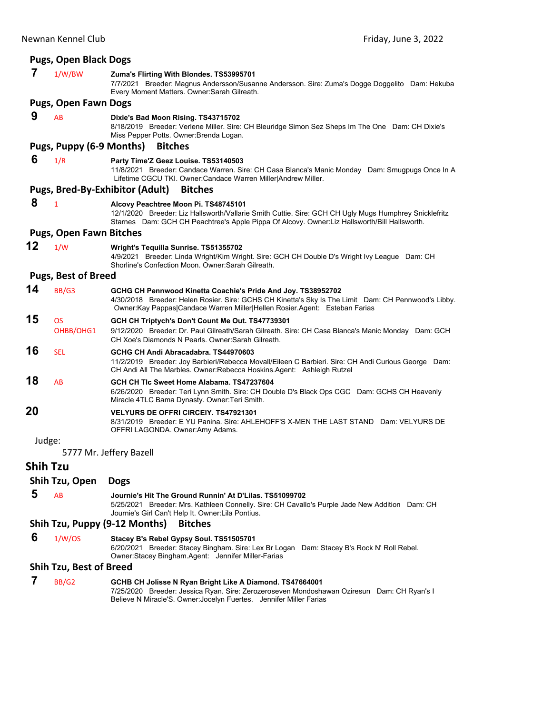|                 | <b>Pugs, Open Black Dogs</b>   |                                                                                                                                                                                                                                                     |
|-----------------|--------------------------------|-----------------------------------------------------------------------------------------------------------------------------------------------------------------------------------------------------------------------------------------------------|
| 7               | 1/W/BW                         | Zuma's Flirting With Blondes. TS53995701<br>7/7/2021 Breeder: Magnus Andersson/Susanne Andersson. Sire: Zuma's Dogge Doggelito Dam: Hekuba<br>Every Moment Matters. Owner: Sarah Gilreath.                                                          |
|                 | <b>Pugs, Open Fawn Dogs</b>    |                                                                                                                                                                                                                                                     |
| 9               | AB                             | Dixie's Bad Moon Rising. TS43715702<br>8/18/2019 Breeder: Verlene Miller. Sire: CH Bleuridge Simon Sez Sheps Im The One Dam: CH Dixie's<br>Miss Pepper Potts. Owner: Brenda Logan.                                                                  |
|                 | Pugs, Puppy (6-9 Months)       | <b>Bitches</b>                                                                                                                                                                                                                                      |
| 6               | 1/R                            | Party Time'Z Geez Louise. TS53140503<br>11/8/2021 Breeder: Candace Warren. Sire: CH Casa Blanca's Manic Monday Dam: Smugpugs Once In A<br>Lifetime CGCU TKI. Owner:Candace Warren Miller Andrew Miller.                                             |
|                 |                                | Pugs, Bred-By-Exhibitor (Adult)<br><b>Bitches</b>                                                                                                                                                                                                   |
| 8               | $\mathbf{1}$                   | Alcovy Peachtree Moon Pi. TS48745101<br>12/1/2020 Breeder: Liz Hallsworth/Vallarie Smith Cuttie. Sire: GCH CH Ugly Mugs Humphrey Snicklefritz<br>Starnes Dam: GCH CH Peachtree's Apple Pippa Of Alcovy. Owner:Liz Hallsworth/Bill Hallsworth.       |
|                 | <b>Pugs, Open Fawn Bitches</b> |                                                                                                                                                                                                                                                     |
| 12              | 1/W                            | Wright's Tequilla Sunrise. TS51355702<br>4/9/2021 Breeder: Linda Wright/Kim Wright. Sire: GCH CH Double D's Wright Ivy League Dam: CH<br>Shorline's Confection Moon. Owner: Sarah Gilreath.                                                         |
|                 | <b>Pugs, Best of Breed</b>     |                                                                                                                                                                                                                                                     |
| 14              | BB/G3                          | GCHG CH Pennwood Kinetta Coachie's Pride And Joy. TS38952702<br>4/30/2018 Breeder: Helen Rosier. Sire: GCHS CH Kinetta's Sky Is The Limit Dam: CH Pennwood's Libby.<br>Owner: Kay Pappas Candace Warren Miller Hellen Rosier. Agent: Esteban Farias |
| 15              | <b>OS</b>                      | GCH CH Triptych's Don't Count Me Out. TS47739301                                                                                                                                                                                                    |
|                 | OHBB/OHG1                      | 9/12/2020 Breeder: Dr. Paul Gilreath/Sarah Gilreath. Sire: CH Casa Blanca's Manic Monday Dam: GCH<br>CH Xoe's Diamonds N Pearls, Owner: Sarah Gilreath.                                                                                             |
| 16              | <b>SEL</b>                     | GCHG CH Andi Abracadabra. TS44970603<br>11/2/2019 Breeder: Joy Barbieri/Rebecca Movall/Eileen C Barbieri. Sire: CH Andi Curious George Dam:<br>CH Andi All The Marbles. Owner: Rebecca Hoskins. Agent: Ashleigh Rutzel                              |
| 18              | AB                             | GCH CH TIc Sweet Home Alabama, TS47237604<br>6/26/2020 Breeder: Teri Lynn Smith. Sire: CH Double D's Black Ops CGC Dam: GCHS CH Heavenly<br>Miracle 4TLC Bama Dynasty. Owner: Teri Smith.                                                           |
| 20              |                                | <b>VELYURS DE OFFRI CIRCEIY. TS47921301</b><br>8/31/2019 Breeder: E YU Panina. Sire: AHLEHOFF'S X-MEN THE LAST STAND Dam: VELYURS DE<br>OFFRI LAGONDA. Owner:Amy Adams.                                                                             |
| Judge:          |                                |                                                                                                                                                                                                                                                     |
|                 |                                | 5777 Mr. Jeffery Bazell                                                                                                                                                                                                                             |
| <b>Shih Tzu</b> |                                |                                                                                                                                                                                                                                                     |
|                 | Shih Tzu, Open                 | <b>Dogs</b>                                                                                                                                                                                                                                         |
| 5               | AB                             | Journie's Hit The Ground Runnin' At D'Lilas. TS51099702<br>5/25/2021 Breeder: Mrs. Kathleen Connelly. Sire: CH Cavallo's Purple Jade New Addition Dam: CH<br>Journie's Girl Can't Help It. Owner: Lila Pontius.                                     |
|                 |                                | Shih Tzu, Puppy (9-12 Months)<br><b>Bitches</b>                                                                                                                                                                                                     |
| 6               | 1/W/OS                         | Stacey B's Rebel Gypsy Soul. TS51505701<br>6/20/2021 Breeder: Stacey Bingham. Sire: Lex Br Logan Dam: Stacey B's Rock N' Roll Rebel.<br>Owner:Stacey Bingham.Agent: Jennifer Miller-Farias                                                          |
|                 | <b>Shih Tzu, Best of Breed</b> |                                                                                                                                                                                                                                                     |
| 7               | <b>BB/G2</b>                   | GCHB CH Jolisse N Ryan Bright Like A Diamond. TS47664001                                                                                                                                                                                            |

7/25/2020 Breeder: Jessica Ryan. Sire: Zerozeroseven Mondoshawan Oziresun Dam: CH Ryan's I

Believe N Miracle'S. Owner:Jocelyn Fuertes. Jennifer Miller Farias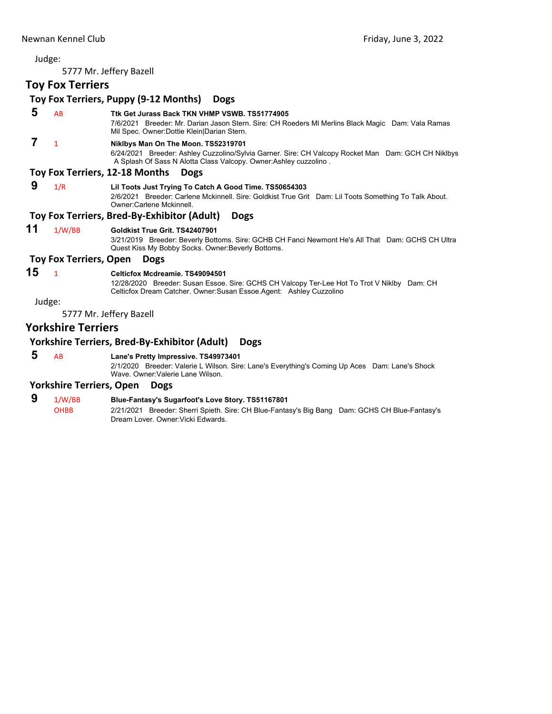5777 Mr. Jeffery Bazell

# **Toy Fox Terriers**

|    | <b>IUY FUA ICIIICIS</b>       |                                                                                                                                                                                                               |
|----|-------------------------------|---------------------------------------------------------------------------------------------------------------------------------------------------------------------------------------------------------------|
|    |                               | Toy Fox Terriers, Puppy (9-12 Months)<br><b>Dogs</b>                                                                                                                                                          |
| 5  | AB                            | Ttk Get Jurass Back TKN VHMP VSWB, TS51774905<br>7/6/2021 Breeder: Mr. Darian Jason Stern. Sire: CH Roeders MI Merlins Black Magic Dam: Vala Ramas<br>Mil Spec. Owner: Dottie Klein   Darian Stern.           |
| 7  | $\mathbf{1}$                  | Niklbys Man On The Moon. TS52319701<br>6/24/2021 Breeder: Ashley Cuzzolino/Sylvia Garner. Sire: CH Valcopy Rocket Man Dam: GCH CH Niklbys<br>A Splash Of Sass N Alotta Class Valcopy. Owner:Ashley cuzzolino. |
|    |                               | Toy Fox Terriers, 12-18 Months<br><b>Dogs</b>                                                                                                                                                                 |
| 9  | 1/R                           | Lil Toots Just Trying To Catch A Good Time. TS50654303<br>2/6/2021 Breeder: Carlene Mckinnell. Sire: Goldkist True Grit Dam: Lil Toots Something To Talk About.<br>Owner:Carlene Mckinnell.                   |
|    |                               | Toy Fox Terriers, Bred-By-Exhibitor (Adult)<br><b>Dogs</b>                                                                                                                                                    |
| 11 | 1/W/BB                        | Goldkist True Grit. TS42407901<br>3/21/2019 Breeder: Beverly Bottoms. Sire: GCHB CH Fanci Newmont He's All That Dam: GCHS CH Ultra<br>Quest Kiss My Bobby Socks. Owner: Beverly Bottoms.                      |
|    | <b>Toy Fox Terriers, Open</b> | <b>Dogs</b>                                                                                                                                                                                                   |
| 15 | $\mathbf{1}$                  | Celticfox Mcdreamie. TS49094501<br>12/28/2020 Breeder: Susan Essoe. Sire: GCHS CH Valcopy Ter-Lee Hot To Trot V Niklby Dam: CH<br>Celticfox Dream Catcher. Owner: Susan Essoe. Agent: Ashley Cuzzolino        |
|    | Judge:                        |                                                                                                                                                                                                               |
|    |                               | 5777 Mr. Jeffery Bazell                                                                                                                                                                                       |
|    | <b>Yorkshire Terriers</b>     |                                                                                                                                                                                                               |
|    |                               | Yorkshire Terriers, Bred-By-Exhibitor (Adult)<br><b>Dogs</b>                                                                                                                                                  |
| 5  | <b>AB</b>                     | Lane's Pretty Impressive. TS49973401<br>2/1/2020 Breeder: Valerie L Wilson. Sire: Lane's Everything's Coming Up Aces Dam: Lane's Shock<br>Wave, Owner: Valerie Lane Wilson.                                   |

# **Yorkshire Terriers, Open Dogs**

# **9** 1/W/BB **Blue-Fantasy's Sugarfoot's Love Story. TS51167801**

2/21/2021 Breeder: Sherri Spieth. Sire: CH Blue-Fantasy's Big Bang Dam: GCHS CH Blue-Fantasy's Dream Lover. Owner:Vicki Edwards.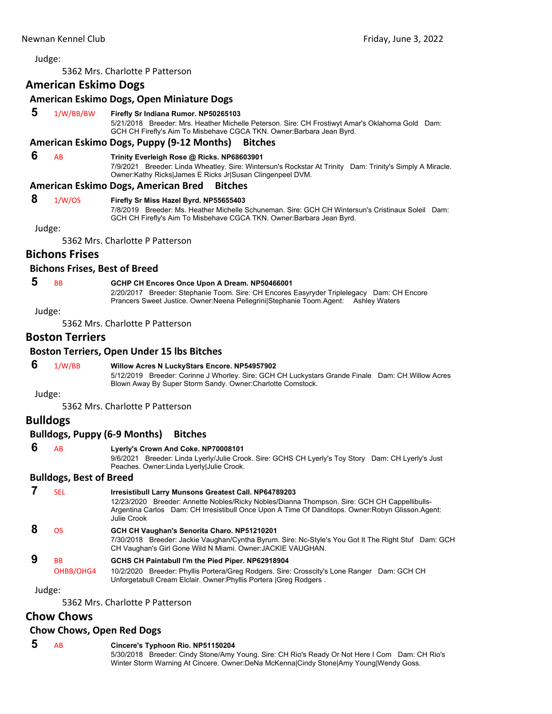<span id="page-47-0"></span>5362 Mrs. Charlotte P Patterson

# **American Eskimo Dogs**

### **American Eskimo Dogs, Open Miniature Dogs**

### **5** 1/W/BB/BW **Firefly Sr Indiana Rumor. NP50265103**

5/21/2018 Breeder: Mrs. Heather Michelle Peterson. Sire: CH Frostiwyt Amar's Oklahoma Gold Dam: GCH CH Firefly's Aim To Misbehave CGCA TKN. Owner:Barbara Jean Byrd.

### **American Eskimo Dogs, Puppy (9‐12 Months) Bitches**

### **6** AB **Trinity Everleigh Rose @ Ricks. NP68603901**

7/9/2021 Breeder: Linda Wheatley. Sire: Wintersun's Rockstar At Trinity Dam: Trinity's Simply A Miracle. Owner:Kathy Ricks|James E Ricks Jr|Susan Clingenpeel DVM.

### **American Eskimo Dogs, American Bred Bitches**

### **8** 1/W/OS **Firefly Sr Miss Hazel Byrd. NP55655403**

7/8/2019 Breeder: Ms. Heather Michelle Schuneman. Sire: GCH CH Wintersun's Cristinaux Soleil Dam: GCH CH Firefly's Aim To Misbehave CGCA TKN. Owner:Barbara Jean Byrd.

Judge:

5362 Mrs. Charlotte P Patterson

# **Bichons Frises**

### **Bichons Frises, Best of Breed**

# **5** BB **GCHP CH Encores Once Upon A Dream. NP50466001**

2/20/2017 Breeder: Stephanie Toom. Sire: CH Encores Easyryder Triplelegacy Dam: CH Encore Prancers Sweet Justice. Owner:Neena Pellegrini|Stephanie Toom.Agent: Ashley Waters

Judge:

5362 Mrs. Charlotte P Patterson

# **Boston Terriers**

### **Boston Terriers, Open Under 15 lbs Bitches**

### **6** 1/W/BB **Willow Acres N LuckyStars Encore. NP54957902**

5/12/2019 Breeder: Corinne J Whorley. Sire: GCH CH Luckystars Grande Finale Dam: CH Willow Acres Blown Away By Super Storm Sandy. Owner:Charlotte Comstock.

Judge:

5362 Mrs. Charlotte P Patterson

# **Bulldogs**

### **Bulldogs, Puppy (6‐9 Months) Bitches**

| 6 |                                     |  |
|---|-------------------------------------|--|
|   | Lyerly's Crown And Coke. NP70008101 |  |

9/6/2021 Breeder: Linda Lyerly/Julie Crook. Sire: GCHS CH Lyerly's Toy Story Dam: CH Lyerly's Just Peaches. Owner:Linda Lyerly|Julie Crook.

### **Bulldogs, Best of Breed**

| SEL                    | Irresistibull Larry Munsons Greatest Call. NP64789203<br>12/23/2020 Breeder: Annette Nobles/Ricky Nobles/Dianna Thompson. Sire: GCH CH Cappellibulls-<br>Argentina Carlos Dam: CH Irresistibull Once Upon A Time Of Danditops. Owner: Robyn Glisson. Agent:<br>Julie Crook |
|------------------------|----------------------------------------------------------------------------------------------------------------------------------------------------------------------------------------------------------------------------------------------------------------------------|
| ΩS                     | GCH CH Vaughan's Senorita Charo. NP51210201<br>7/30/2018 Breeder: Jackie Vaughan/Cyntha Byrum. Sire: Nc-Style's You Got It The Right Stuf Dam: GCH<br>CH Vaughan's Girl Gone Wild N Miami. Owner: JACKIE VAUGHAN.                                                          |
| <b>BB</b><br>OHBB/OHG4 | GCHS CH Paintabull I'm the Pied Piper. NP62918904<br>10/2/2020 Breeder: Phyllis Portera/Greg Rodgers. Sire: Crosscity's Lone Ranger Dam: GCH CH<br>Unforgetabull Cream Elclair. Owner: Phyllis Portera   Greg Rodgers.                                                     |

Judge:

5362 Mrs. Charlotte P Patterson

# **Chow Chows**

### **Chow Chows, Open Red Dogs**

 **5** AB **Cincere's Typhoon Rio. NP51150204** 5/30/2018 Breeder: Cindy Stone/Amy Young. Sire: CH Rio's Ready Or Not Here I Com Dam: CH Rio's Winter Storm Warning At Cincere. Owner:DeNa McKenna|Cindy Stone|Amy Young|Wendy Goss.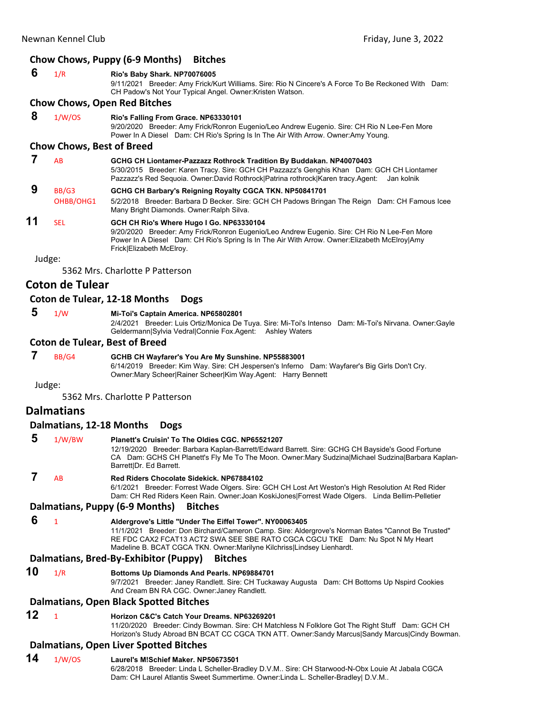### **Chow Chows, Puppy (6‐9 Months) Bitches**

| - 6 | 1/R | Rio's Baby Shark. NP70076005                                                                                                                                    |  |
|-----|-----|-----------------------------------------------------------------------------------------------------------------------------------------------------------------|--|
|     |     | 9/11/2021 Breeder: Amy Frick/Kurt Williams. Sire: Rio N Cincere's A Force To Be Reckoned With Dam:<br>CH Padow's Not Your Typical Angel. Owner: Kristen Watson. |  |
|     |     | Chaw Chaws, Onan Bad Bitches                                                                                                                                    |  |

### **Chow Chows, Open Red Bitches**

 **8** 1/W/OS **Rio's Falling From Grace. NP63330101**

9/20/2020 Breeder: Amy Frick/Ronron Eugenio/Leo Andrew Eugenio. Sire: CH Rio N Lee-Fen More Power In A Diesel Dam: CH Rio's Spring Is In The Air With Arrow. Owner:Amy Young.

### **Chow Chows, Best of Breed**

### **7** AB **GCHG CH Liontamer-Pazzazz Rothrock Tradition By Buddakan. NP40070403**

5/30/2015 Breeder: Karen Tracy. Sire: GCH CH Pazzazz's Genghis Khan Dam: GCH CH Liontamer Pazzazz's Red Sequoia. Owner:David Rothrock|Patrina rothrock|Karen tracy.Agent: Jan kolnik

# **9** BB/G3 **GCHG CH Barbary's Reigning Royalty CGCA TKN. NP50841701**

OHBB/OHG1 5/2/2018 Breeder: Barbara D Becker. Sire: GCH CH Padows Bringan The Reign Dam: CH Famous Icee Many Bright Diamonds. Owner:Ralph Silva.

# **11** SEL **GCH CH Rio's Where Hugo I Go. NP63330104**

9/20/2020 Breeder: Amy Frick/Ronron Eugenio/Leo Andrew Eugenio. Sire: CH Rio N Lee-Fen More Power In A Diesel Dam: CH Rio's Spring Is In The Air With Arrow. Owner:Elizabeth McElroy|Amy Frick|Elizabeth McElroy.

Judge:

5362 Mrs. Charlotte P Patterson

# **Coton de Tulear**

### **Coton de Tulear, 12‐18 Months Dogs**

# **5** 1/W **Mi-Toi's Captain America. NP65802801**

2/4/2021 Breeder: Luis Ortiz/Monica De Tuya. Sire: Mi-Toi's Intenso Dam: Mi-Toi's Nirvana. Owner:Gayle Geldermann|Sylvia Vedral|Connie Fox.Agent: Ashley Waters

### **Coton de Tulear, Best of Breed**

 **7** BB/G4 **GCHB CH Wayfarer's You Are My Sunshine. NP55883001**

6/14/2019 Breeder: Kim Way. Sire: CH Jespersen's Inferno Dam: Wayfarer's Big Girls Don't Cry. Owner:Mary Scheer|Rainer Scheer|Kim Way.Agent: Harry Bennett

Judge:

5362 Mrs. Charlotte P Patterson

# **Dalmatians**

### **Dalmatians, 12‐18 Months Dogs**

| 5                                      | 1/W/BW    | Planett's Cruisin' To The Oldies CGC, NP65521207<br>12/19/2020 Breeder: Barbara Kaplan-Barrett/Edward Barrett. Sire: GCHG CH Bayside's Good Fortune<br>CA Dam: GCHS CH Planett's Fly Me To The Moon. Owner: Mary Sudzina Michael Sudzina Barbara Kaplan-<br>Barrett Dr. Ed Barrett. |
|----------------------------------------|-----------|-------------------------------------------------------------------------------------------------------------------------------------------------------------------------------------------------------------------------------------------------------------------------------------|
|                                        | <b>AB</b> | Red Riders Chocolate Sidekick, NP67884102<br>6/1/2021 Breeder: Forrest Wade Olgers. Sire: GCH CH Lost Art Weston's High Resolution At Red Rider<br>Dam: CH Red Riders Keen Rain. Owner: Joan Koski Jones   Forrest Wade Olgers. Linda Bellim-Pelletier                              |
| Dalmatians, Puppy (6-9 Months) Bitches |           |                                                                                                                                                                                                                                                                                     |

 **6** <sup>1</sup> **Aldergrove's Little "Under The Eiffel Tower". NY00063405** 11/1/2021 Breeder: Don Birchard/Cameron Camp. Sire: Aldergrove's Norman Bates "Cannot Be Trusted" RE FDC CAX2 FCAT13 ACT2 SWA SEE SBE RATO CGCA CGCU TKE Dam: Nu Spot N My Heart

Madeline B. BCAT CGCA TKN. Owner:Marilyne Kilchriss|Lindsey Lienhardt.

### **Dalmatians, Bred‐By‐Exhibitor (Puppy) Bitches**

**10** 1/R **Bottoms Up Diamonds And Pearls. NP69884701** 9/7/2021 Breeder: Janey Randlett. Sire: CH Tuckaway Augusta Dam: CH Bottoms Up Nspird Cookies And Cream BN RA CGC. Owner:Janey Randlett.

### **Dalmatians, Open Black Spotted Bitches**

# **12** <sup>1</sup> **Horizon C&C's Catch Your Dreams. NP63269201**

11/20/2020 Breeder: Cindy Bowman. Sire: CH Matchless N Folklore Got The Right Stuff Dam: GCH CH Horizon's Study Abroad BN BCAT CC CGCA TKN ATT. Owner:Sandy Marcus|Sandy Marcus|Cindy Bowman.

# **Dalmatians, Open Liver Spotted Bitches**

# **14** 1/W/OS **Laurel's M!Schief Maker. NP50673501**

6/28/2018 Breeder: Linda L Scheller-Bradley D.V.M.. Sire: CH Starwood-N-Obx Louie At Jabala CGCA Dam: CH Laurel Atlantis Sweet Summertime. Owner:Linda L. Scheller-Bradley| D.V.M..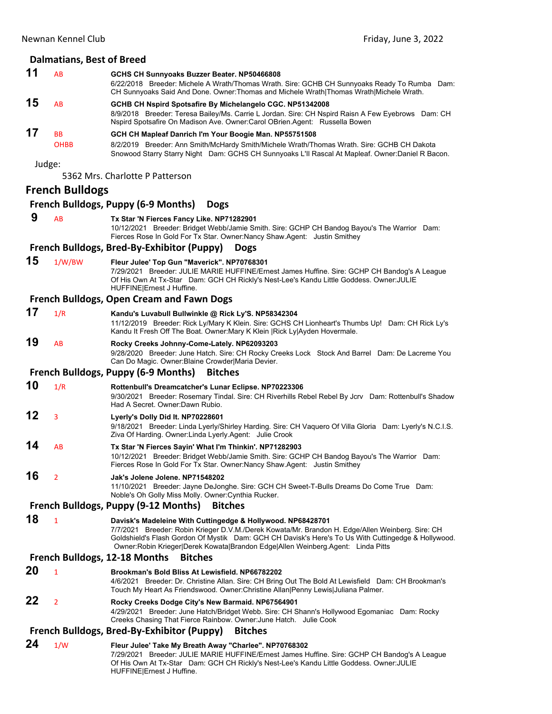# **Dalmatians, Best of Breed**

|    | Dalmatians, best of Breed |                                                                                                                                                                                                                                                                                                                                                            |
|----|---------------------------|------------------------------------------------------------------------------------------------------------------------------------------------------------------------------------------------------------------------------------------------------------------------------------------------------------------------------------------------------------|
| 11 | AB                        | GCHS CH Sunnyoaks Buzzer Beater. NP50466808<br>6/22/2018 Breeder: Michele A Wrath/Thomas Wrath. Sire: GCHB CH Sunnyoaks Ready To Rumba Dam:<br>CH Sunnyoaks Said And Done. Owner: Thomas and Michele Wrath Thomas Wrath Michele Wrath.                                                                                                                     |
| 15 | AB                        | GCHB CH Nspird Spotsafire By Michelangelo CGC. NP51342008<br>8/9/2018 Breeder: Teresa Bailey/Ms. Carrie L Jordan. Sire: CH Nspird Raisn A Few Eyebrows Dam: CH<br>Nspird Spotsafire On Madison Ave. Owner: Carol OBrien. Agent: Russella Bowen                                                                                                             |
| 17 | BB<br><b>OHBB</b>         | GCH CH Mapleaf Danrich I'm Your Boogie Man. NP55751508<br>8/2/2019 Breeder: Ann Smith/McHardy Smith/Michele Wrath/Thomas Wrath. Sire: GCHB CH Dakota<br>Snowood Starry Starry Night Dam: GCHS CH Sunnyoaks L'II Rascal At Mapleaf. Owner:Daniel R Bacon.                                                                                                   |
|    | Judge:                    | 5362 Mrs. Charlotte P Patterson                                                                                                                                                                                                                                                                                                                            |
|    | <b>French Bulldogs</b>    |                                                                                                                                                                                                                                                                                                                                                            |
|    |                           | French Bulldogs, Puppy (6-9 Months)<br><b>Dogs</b>                                                                                                                                                                                                                                                                                                         |
| 9  | AB                        | Tx Star 'N Fierces Fancy Like. NP71282901<br>10/12/2021 Breeder: Bridget Webb/Jamie Smith. Sire: GCHP CH Bandog Bayou's The Warrior Dam:<br>Fierces Rose In Gold For Tx Star. Owner: Nancy Shaw. Agent: Justin Smithey                                                                                                                                     |
|    |                           | French Bulldogs, Bred-By-Exhibitor (Puppy)<br><b>Dogs</b>                                                                                                                                                                                                                                                                                                  |
| 15 | 1/W/BW                    | Fleur Julee' Top Gun "Maverick". NP70768301<br>7/29/2021 Breeder: JULIE MARIE HUFFINE/Ernest James Huffine. Sire: GCHP CH Bandog's A League<br>Of His Own At Tx-Star Dam: GCH CH Rickly's Nest-Lee's Kandu Little Goddess. Owner: JULIE<br>HUFFINE Ernest J Huffine.                                                                                       |
|    |                           | <b>French Bulldogs, Open Cream and Fawn Dogs</b>                                                                                                                                                                                                                                                                                                           |
| 17 | 1/R                       | Kandu's Luvabull Bullwinkle @ Rick Ly'S. NP58342304<br>11/12/2019 Breeder: Rick Ly/Mary K Klein. Sire: GCHS CH Lionheart's Thumbs Up! Dam: CH Rick Ly's<br>Kandu It Fresh Off The Boat. Owner: Mary K Klein   Rick Ly  Ayden Hovermale.                                                                                                                    |
| 19 | AB                        | Rocky Creeks Johnny-Come-Lately. NP62093203<br>9/28/2020 Breeder: June Hatch. Sire: CH Rocky Creeks Lock Stock And Barrel Dam: De Lacreme You<br>Can Do Magic. Owner: Blaine Crowder Maria Devier.                                                                                                                                                         |
|    |                           | <b>French Bulldogs, Puppy (6-9 Months)</b><br><b>Bitches</b>                                                                                                                                                                                                                                                                                               |
| 10 | 1/R                       | Rottenbull's Dreamcatcher's Lunar Eclipse. NP70223306<br>9/30/2021 Breeder: Rosemary Tindal. Sire: CH Riverhills Rebel Rebel By Jcrv Dam: Rottenbull's Shadow<br>Had A Secret. Owner: Dawn Rubio.                                                                                                                                                          |
| 12 | 3                         | Lyerly's Dolly Did It. NP70228601<br>9/18/2021 Breeder: Linda Lyerly/Shirley Harding. Sire: CH Vaquero Of Villa Gloria Dam: Lyerly's N.C.I.S.<br>Ziva Of Harding. Owner: Linda Lyerly. Agent: Julie Crook                                                                                                                                                  |
| 14 | AB                        | Tx Star 'N Fierces Sayin' What I'm Thinkin'. NP71282903<br>10/12/2021 Breeder: Bridget Webb/Jamie Smith. Sire: GCHP CH Bandog Bayou's The Warrior Dam:<br>Fierces Rose In Gold For Tx Star. Owner: Nancy Shaw. Agent: Justin Smithey                                                                                                                       |
| 16 | 2                         | Jak's Jolene Jolene, NP71548202<br>11/10/2021 Breeder: Jayne DeJonghe. Sire: GCH CH Sweet-T-Bulls Dreams Do Come True Dam:<br>Noble's Oh Golly Miss Molly. Owner: Cynthia Rucker.                                                                                                                                                                          |
|    |                           | French Bulldogs, Puppy (9-12 Months)<br><b>Bitches</b>                                                                                                                                                                                                                                                                                                     |
| 18 | $\mathbf{1}$              | Davisk's Madeleine With Cuttingedge & Hollywood. NP68428701<br>7/7/2021 Breeder: Robin Krieger D.V.M./Derek Kowata/Mr. Brandon H. Edge/Allen Weinberg. Sire: CH<br>Goldshield's Flash Gordon Of Mystik Dam: GCH CH Davisk's Here's To Us With Cuttingedge & Hollywood.<br>Owner: Robin Krieger Derek Kowata Brandon Edge Allen Weinberg Agent: Linda Pitts |
|    |                           | French Bulldogs, 12-18 Months<br><b>Bitches</b>                                                                                                                                                                                                                                                                                                            |
| 20 | $\mathbf{1}$              | Brookman's Bold Bliss At Lewisfield, NP66782202<br>4/6/2021 Breeder: Dr. Christine Allan. Sire: CH Bring Out The Bold At Lewisfield Dam: CH Brookman's<br>Touch My Heart As Friendswood. Owner: Christine Allan   Penny Lewis   Juliana Palmer.                                                                                                            |
| 22 | $\overline{2}$            | Rocky Creeks Dodge City's New Barmaid. NP67564901<br>4/29/2021 Breeder: June Hatch/Bridget Webb. Sire: CH Shann's Hollywood Egomaniac Dam: Rocky<br>Creeks Chasing That Fierce Rainbow. Owner: June Hatch. Julie Cook                                                                                                                                      |
|    |                           | French Bulldogs, Bred-By-Exhibitor (Puppy)<br><b>Bitches</b>                                                                                                                                                                                                                                                                                               |
| 24 | 1/W                       | Fleur Julee' Take My Breath Away "Charlee". NP70768302<br>7/20/2021 Prooder: ILILIE MADIE HUEEINE/Erneet Jomes Huffins, Sire: CCHD CH Pendegia A Leogue                                                                                                                                                                                                    |

7/29/2021 Breeder: JULIE MARIE HUFFINE/Ernest James Huffine. Sire: GCHP CH Bandog's A League Of His Own At Tx-Star Dam: GCH CH Rickly's Nest-Lee's Kandu Little Goddess. Owner:JULIE HUFFINE|Ernest J Huffine.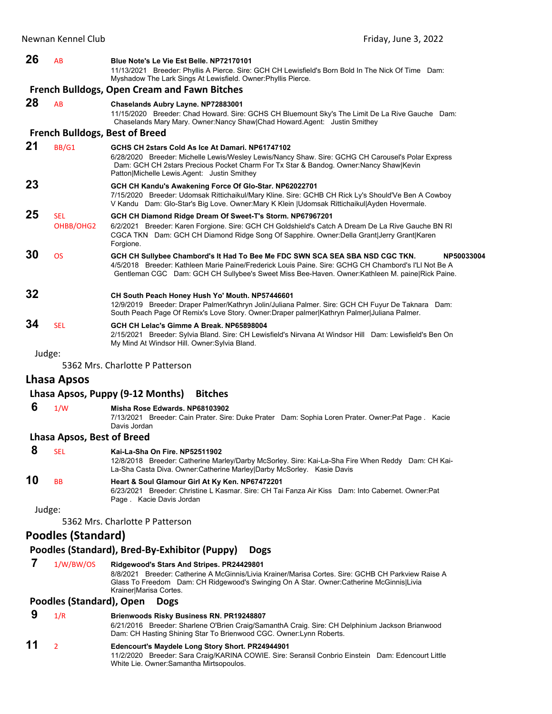### **26** AB **Blue Note's Le Vie Est Belle. NP72170101**

11/13/2021 Breeder: Phyllis A Pierce. Sire: GCH CH Lewisfield's Born Bold In The Nick Of Time Dam: Myshadow The Lark Sings At Lewisfield. Owner:Phyllis Pierce.

### **French Bulldogs, Open Cream and Fawn Bitches**

**28** AB **Chaselands Aubry Layne. NP72883001** 11/15/2020 Breeder: Chad Howard. Sire: GCHS CH Bluemount Sky's The Limit De La Rive Gauche Dam: Chaselands Mary Mary. Owner:Nancy Shaw|Chad Howard.Agent: Justin Smithey

### **French Bulldogs, Best of Breed**

| 21 | BB/G1                   | GCHS CH 2stars Cold As Ice At Damari, NP61747102<br>6/28/2020 Breeder: Michelle Lewis/Wesley Lewis/Nancy Shaw. Sire: GCHG CH Carousel's Polar Express<br>Dam: GCH CH 2stars Precious Pocket Charm For Tx Star & Bandog. Owner: Nancy Shaw Kevin<br>Patton Michelle Lewis Agent: Justin Smithey        |
|----|-------------------------|-------------------------------------------------------------------------------------------------------------------------------------------------------------------------------------------------------------------------------------------------------------------------------------------------------|
| 23 |                         | GCH CH Kandu's Awakening Force Of Glo-Star. NP62022701<br>7/15/2020 Breeder: Udomsak Rittichaikul/Mary Kline. Sire: GCHB CH Rick Ly's Should'Ve Ben A Cowboy<br>V Kandu Dam: Glo-Star's Big Love. Owner: Mary K Klein   Udomsak Rittichaikul  Ayden Hovermale.                                        |
| 25 | <b>SEL</b><br>OHBB/OHG2 | GCH CH Diamond Ridge Dream Of Sweet-T's Storm. NP67967201<br>6/2/2021 Breeder: Karen Forgione. Sire: GCH CH Goldshield's Catch A Dream De La Rive Gauche BN RI<br>CGCA TKN Dam: GCH CH Diamond Ridge Song Of Sapphire. Owner: Della Grant Jerry Grant Karen<br>Forgione.                              |
| 30 | <b>OS</b>               | GCH CH Sullybee Chambord's It Had To Bee Me FDC SWN SCA SEA SBA NSD CGC TKN.<br>NP50033004<br>4/5/2018 Breeder: Kathleen Marie Paine/Frederick Louis Paine. Sire: GCHG CH Chambord's I'LI Not Be A<br>Gentleman CGC Dam: GCH CH Sullybee's Sweet Miss Bee-Haven. Owner: Kathleen M. paine Rick Paine. |
| 32 |                         | CH South Peach Honey Hush Yo' Mouth. NP57446601<br>12/9/2019 Breeder: Draper Palmer/Kathryn Jolin/Juliana Palmer. Sire: GCH CH Fuyur De Taknara Dam:<br>South Peach Page Of Remix's Love Story. Owner: Draper palmer Kathryn Palmer Juliana Palmer.                                                   |
| 34 | <b>SEL</b>              | GCH CH Lelac's Gimme A Break, NP65898004<br>2/15/2021 Breeder: Sylvia Bland. Sire: CH Lewisfield's Nirvana At Windsor Hill Dam: Lewisfield's Ben On<br>My Mind At Windsor Hill. Owner: Sylvia Bland.                                                                                                  |
|    | Judge:                  |                                                                                                                                                                                                                                                                                                       |

5362 Mrs. Charlotte P Patterson

## **Lhasa Apsos**

### **Lhasa Apsos, Puppy (9‐12 Months) Bitches**

 **6** 1/W **Misha Rose Edwards. NP68103902**

7/13/2021 Breeder: Cain Prater. Sire: Duke Prater Dam: Sophia Loren Prater. Owner:Pat Page . Kacie Davis Jordan

### **Lhasa Apsos, Best of Breed**

|    | SEL       | Kai-La-Sha On Fire, NP52511902                                                                                                                                                    |
|----|-----------|-----------------------------------------------------------------------------------------------------------------------------------------------------------------------------------|
|    |           | 12/8/2018 Breeder: Catherine Marley/Darby McSorley. Sire: Kai-La-Sha Fire When Reddy Dam: CH Kai-<br>La-Sha Casta Diva. Owner: Catherine Marley Darby McSorley. Kasie Davis       |
| 10 | <b>BB</b> | Heart & Soul Glamour Girl At Ky Ken. NP67472201<br>Breeder: Christine L Kasmar, Sire: CH Tai Fanza Air Kiss Dam: Into Cabernet, Owner:Pat<br>6/23/2021<br>Page Kacie Davis Jordan |
|    | Judge:    |                                                                                                                                                                                   |
|    |           | 5362 Mrs. Charlotte P Patterson                                                                                                                                                   |

# **Poodles (Standard)**

### **Poodles (Standard), Bred‐By‐Exhibitor (Puppy) Dogs**

White Lie. Owner:Samantha Mirtsopoulos.

 **7** 1/W/BW/OS **Ridgewood's Stars And Stripes. PR24429801** 8/8/2021 Breeder: Catherine A McGinnis/Livia Krainer/Marisa Cortes. Sire: GCHB CH Parkview Raise A Glass To Freedom Dam: CH Ridgewood's Swinging On A Star. Owner:Catherine McGinnis|Livia Krainer|Marisa Cortes.

### **Poodles (Standard), Open Dogs**

 **9** 1/R **Brienwoods Risky Business RN. PR19248807** 6/21/2016 Breeder: Sharlene O'Brien Craig/SamanthA Craig. Sire: CH Delphinium Jackson Brianwood Dam: CH Hasting Shining Star To Brienwood CGC. Owner:Lynn Roberts. **11** <sup>2</sup> **Edencourt's Maydele Long Story Short. PR24944901** 11/2/2020 Breeder: Sara Craig/KARINA COWIE. Sire: Seransil Conbrio Einstein Dam: Edencourt Little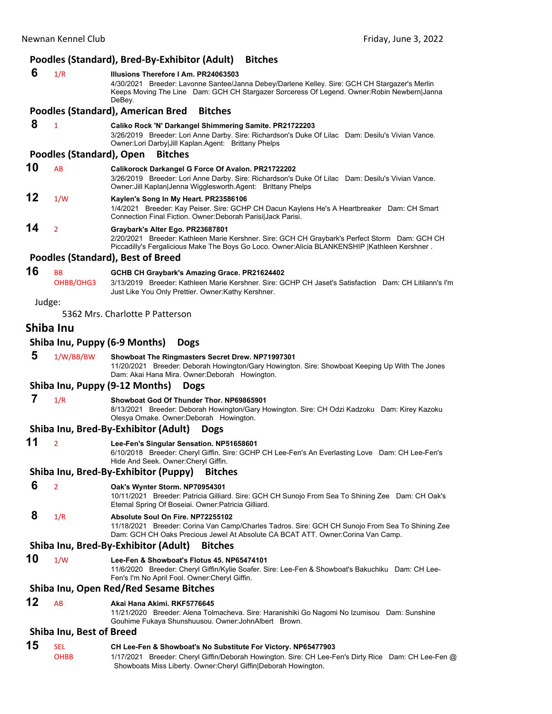# **Poodles (Standard), Bred‐By‐Exhibitor (Adult) Bitches**

|    |                                 | Pouces (Standard), Died-Dy-Exhibitor (Addit) — Ditches                                                                                                                                                                                         |
|----|---------------------------------|------------------------------------------------------------------------------------------------------------------------------------------------------------------------------------------------------------------------------------------------|
| 6  | 1/R                             | Illusions Therefore I Am. PR24063503<br>4/30/2021 Breeder: Lavonne Santee/Janna Debey/Darlene Kelley. Sire: GCH CH Stargazer's Merlin<br>Keeps Moving The Line Dam: GCH CH Stargazer Sorceress Of Legend. Owner: Robin Newbern Janna<br>DeBey. |
|    |                                 | <b>Poodles (Standard), American Bred</b><br><b>Bitches</b>                                                                                                                                                                                     |
| 8  | $\mathbf{1}$                    | Caliko Rock 'N' Darkangel Shimmering Samite. PR21722203<br>3/26/2019 Breeder: Lori Anne Darby. Sire: Richardson's Duke Of Lilac Dam: Desilu's Vivian Vance.<br>Owner:Lori Darby Jill Kaplan.Agent: Brittany Phelps                             |
|    | Poodles (Standard), Open        | <b>Bitches</b>                                                                                                                                                                                                                                 |
| 10 | <b>AB</b>                       | Calikorock Darkangel G Force Of Avalon. PR21722202<br>3/26/2019 Breeder: Lori Anne Darby. Sire: Richardson's Duke Of Lilac Dam: Desilu's Vivian Vance.<br>Owner: Jill Kaplan Jenna Wigglesworth. Agent: Brittany Phelps                        |
| 12 | 1/W                             | Kaylen's Song In My Heart. PR23586106<br>1/4/2021 Breeder: Kay Peiser. Sire: GCHP CH Dacun Kaylens He's A Heartbreaker Dam: CH Smart<br>Connection Final Fiction. Owner: Deborah Parisi Jack Parisi.                                           |
| 14 | $\overline{2}$                  | Graybark's Alter Ego. PR23687801<br>2/20/2021 Breeder: Kathleen Marie Kershner. Sire: GCH CH Graybark's Perfect Storm Dam: GCH CH<br>Piccadilly's Fergalicious Make The Boys Go Loco. Owner:Alicia BLANKENSHIP   Kathleen Kershner.            |
|    |                                 | <b>Poodles (Standard), Best of Breed</b>                                                                                                                                                                                                       |
| 16 | <b>BB</b><br>OHBB/OHG3          | GCHB CH Graybark's Amazing Grace. PR21624402<br>3/13/2019 Breeder: Kathleen Marie Kershner. Sire: GCHP CH Jaset's Satisfaction Dam: CH Litilann's I'm<br>Just Like You Only Prettier. Owner: Kathy Kershner.                                   |
|    | Judge:                          | 5362 Mrs. Charlotte P Patterson                                                                                                                                                                                                                |
|    | Shiba Inu                       |                                                                                                                                                                                                                                                |
|    |                                 | Shiba Inu, Puppy (6-9 Months)<br><b>Dogs</b>                                                                                                                                                                                                   |
| 5  | 1/W/BB/BW                       | Showboat The Ringmasters Secret Drew. NP71997301                                                                                                                                                                                               |
|    |                                 | 11/20/2021 Breeder: Deborah Howington/Gary Howington. Sire: Showboat Keeping Up With The Jones<br>Dam: Akai Hana Mira. Owner: Deborah Howington.                                                                                               |
|    |                                 | Shiba Inu, Puppy (9-12 Months)<br><b>Dogs</b>                                                                                                                                                                                                  |
| 7  | 1/R                             | Showboat God Of Thunder Thor. NP69865901<br>8/13/2021 Breeder: Deborah Howington/Gary Howington. Sire: CH Odzi Kadzoku Dam: Kirey Kazoku<br>Olesya Omake. Owner: Deborah Howington.                                                            |
|    |                                 | Shiba Inu, Bred-By-Exhibitor (Adult)<br><b>Dogs</b>                                                                                                                                                                                            |
| 11 | $\overline{2}$                  | Lee-Fen's Singular Sensation. NP51658601<br>6/10/2018 Breeder: Cheryl Giffin. Sire: GCHP CH Lee-Fen's An Everlasting Love Dam: CH Lee-Fen's<br>Hide And Seek. Owner: Cheryl Giffin.                                                            |
|    |                                 | Shiba Inu, Bred-By-Exhibitor (Puppy)<br><b>Bitches</b>                                                                                                                                                                                         |
| 6  | 2                               | Oak's Wynter Storm. NP70954301<br>10/11/2021 Breeder: Patricia Gilliard. Sire: GCH CH Sunojo From Sea To Shining Zee Dam: CH Oak's<br>Eternal Spring Of Boseiai. Owner: Patricia Gilliard.                                                     |
| 8  | 1/R                             | Absolute Soul On Fire. NP72255102<br>11/18/2021 Breeder: Corina Van Camp/Charles Tadros. Sire: GCH CH Sunojo From Sea To Shining Zee<br>Dam: GCH CH Oaks Precious Jewel At Absolute CA BCAT ATT. Owner:Corina Van Camp.                        |
|    |                                 | Shiba Inu, Bred-By-Exhibitor (Adult)<br><b>Bitches</b>                                                                                                                                                                                         |
| 10 | 1/W                             | Lee-Fen & Showboat's Flotus 45. NP65474101<br>11/6/2020 Breeder: Cheryl Giffin/Kylie Soafer. Sire: Lee-Fen & Showboat's Bakuchiku Dam: CH Lee-<br>Fen's I'm No April Fool. Owner: Cheryl Giffin.                                               |
|    |                                 | Shiba Inu, Open Red/Red Sesame Bitches                                                                                                                                                                                                         |
| 12 | AB                              | Akai Hana Akimi. RKF5776645<br>11/21/2020 Breeder: Alena Tolmacheva. Sire: Haranishiki Go Nagomi No Izumisou Dam: Sunshine<br>Gouhime Fukaya Shunshuusou. Owner: John Albert Brown.                                                            |
|    | <b>Shiba Inu, Best of Breed</b> |                                                                                                                                                                                                                                                |
| 15 | <b>SEL</b><br><b>OHBB</b>       | CH Lee-Fen & Showboat's No Substitute For Victory. NP65477903<br>1/17/2021 Breeder: Cheryl Giffin/Deborah Howington. Sire: CH Lee-Fen's Dirty Rice Dam: CH Lee-Fen @                                                                           |

Showboats Miss Liberty. Owner:Cheryl Giffin|Deborah Howington.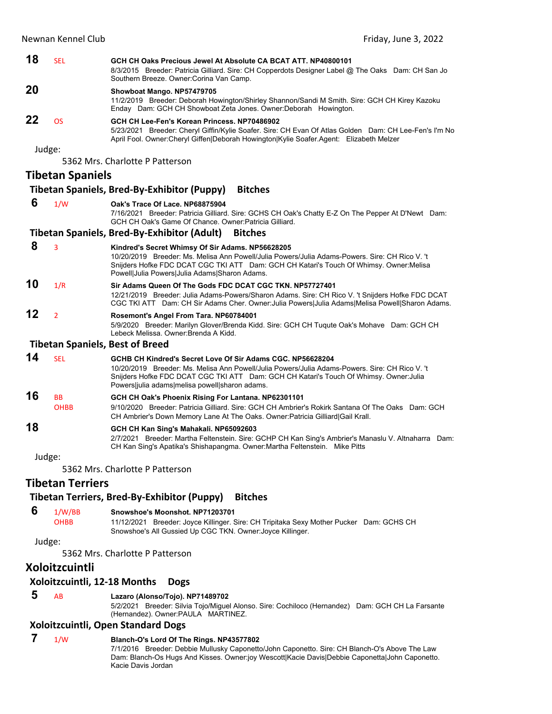| 18     | <b>SEL</b>              | GCH CH Oaks Precious Jewel At Absolute CA BCAT ATT, NP40800101<br>8/3/2015 Breeder: Patricia Gilliard. Sire: CH Copperdots Designer Label @ The Oaks Dam: CH San Jo<br>Southern Breeze. Owner: Corina Van Camp.                                                                                          |  |
|--------|-------------------------|----------------------------------------------------------------------------------------------------------------------------------------------------------------------------------------------------------------------------------------------------------------------------------------------------------|--|
| 20     |                         | Showboat Mango. NP57479705<br>11/2/2019 Breeder: Deborah Howington/Shirley Shannon/Sandi M Smith. Sire: GCH CH Kirey Kazoku<br>Enday Dam: GCH CH Showboat Zeta Jones. Owner: Deborah Howington.                                                                                                          |  |
| 22     | <b>OS</b>               | GCH CH Lee-Fen's Korean Princess, NP70486902<br>5/23/2021 Breeder: Cheryl Giffin/Kylie Soafer. Sire: CH Evan Of Atlas Golden Dam: CH Lee-Fen's I'm No<br>April Fool. Owner: Cheryl Giffen Deborah Howington Kylie Soafer. Agent: Elizabeth Melzer                                                        |  |
| Judge: |                         |                                                                                                                                                                                                                                                                                                          |  |
|        |                         | 5362 Mrs. Charlotte P Patterson                                                                                                                                                                                                                                                                          |  |
|        | <b>Tibetan Spaniels</b> |                                                                                                                                                                                                                                                                                                          |  |
|        |                         | <b>Tibetan Spaniels, Bred-By-Exhibitor (Puppy)</b><br><b>Bitches</b>                                                                                                                                                                                                                                     |  |
| 6      |                         |                                                                                                                                                                                                                                                                                                          |  |
|        | 1/W                     | Oak's Trace Of Lace, NP68875904<br>7/16/2021 Breeder: Patricia Gilliard. Sire: GCHS CH Oak's Chatty E-Z On The Pepper At D'Newt Dam:<br>GCH CH Oak's Game Of Chance. Owner: Patricia Gilliard.                                                                                                           |  |
|        |                         | <b>Tibetan Spaniels, Bred-By-Exhibitor (Adult)</b><br><b>Bitches</b>                                                                                                                                                                                                                                     |  |
| 8      | 3                       | Kindred's Secret Whimsy Of Sir Adams. NP56628205<br>10/20/2019 Breeder: Ms. Melisa Ann Powell/Julia Powers/Julia Adams-Powers. Sire: CH Rico V. 't<br>Snijders Hofke FDC DCAT CGC TKI ATT Dam: GCH CH Katari's Touch Of Whimsy. Owner: Melisa<br>Powell Julia Powers Julia Adams Sharon Adams.           |  |
| 10     | 1/R                     | Sir Adams Queen Of The Gods FDC DCAT CGC TKN, NP57727401<br>12/21/2019 Breeder: Julia Adams-Powers/Sharon Adams. Sire: CH Rico V. 't Snijders Hofke FDC DCAT<br>CGC TKI ATT Dam: CH Sir Adams Cher. Owner: Julia Powers Julia Adams Melisa Powell Sharon Adams.                                          |  |
| 12     | $\overline{2}$          | Rosemont's Angel From Tara. NP60784001<br>5/9/2020 Breeder: Marilyn Glover/Brenda Kidd. Sire: GCH CH Tuqute Oak's Mohave Dam: GCH CH<br>Lebeck Melissa, Owner: Brenda A Kidd.                                                                                                                            |  |
|        |                         | <b>Tibetan Spaniels, Best of Breed</b>                                                                                                                                                                                                                                                                   |  |
| 14     | <b>SEL</b>              | GCHB CH Kindred's Secret Love Of Sir Adams CGC, NP56628204<br>10/20/2019 Breeder: Ms. Melisa Ann Powell/Julia Powers/Julia Adams-Powers. Sire: CH Rico V. 't<br>Snijders Hofke FDC DCAT CGC TKI ATT Dam: GCH CH Katari's Touch Of Whimsy. Owner: Julia<br>Powers julia adams melisa powell sharon adams. |  |
| 16     | <b>BB</b>               | GCH CH Oak's Phoenix Rising For Lantana. NP62301101                                                                                                                                                                                                                                                      |  |
|        | <b>OHBB</b>             | 9/10/2020 Breeder: Patricia Gilliard. Sire: GCH CH Ambrier's Rokirk Santana Of The Oaks Dam: GCH<br>CH Ambrier's Down Memory Lane At The Oaks. Owner: Patricia Gilliard Gail Krall.                                                                                                                      |  |
| 18     |                         | GCH CH Kan Sing's Mahakali. NP65092603<br>2/7/2021 Breeder: Martha Feltenstein. Sire: GCHP CH Kan Sing's Ambrier's Manaslu V. Altnaharra Dam:<br>CH Kan Sing's Apatika's Shishapangma. Owner: Martha Feltenstein. Mike Pitts                                                                             |  |
| Judge: |                         |                                                                                                                                                                                                                                                                                                          |  |
|        |                         | 5362 Mrs. Charlotte P Patterson                                                                                                                                                                                                                                                                          |  |
|        | <b>Tibetan Terriers</b> |                                                                                                                                                                                                                                                                                                          |  |
|        |                         | Tibetan Terriers, Bred-By-Exhibitor (Puppy)<br><b>Bitches</b>                                                                                                                                                                                                                                            |  |

# **6** 1/W/BB **Snowshoe's Moonshot. NP71203701**<br>OHBB 11/12/2021 Breeder: Joyce Killinger. S

11/12/2021 Breeder: Joyce Killinger. Sire: CH Tripitaka Sexy Mother Pucker Dam: GCHS CH Snowshoe's All Gussied Up CGC TKN. Owner:Joyce Killinger.

### Judge:

5362 Mrs. Charlotte P Patterson

# **Xoloitzcuintli**

### **Xoloitzcuintli, 12‐18 Months Dogs**

 **5** AB **Lazaro (Alonso/Tojo). NP71489702**

5/2/2021 Breeder: Silvia Tojo/Miguel Alonso. Sire: Cochiloco (Hernandez) Dam: GCH CH La Farsante (Hernandez). Owner:PAULA MARTINEZ.

### **Xoloitzcuintli, Open Standard Dogs**

# **7** 1/W **Blanch-O's Lord Of The Rings. NP43577802**

7/1/2016 Breeder: Debbie Mullusky Caponetto/John Caponetto. Sire: CH Blanch-O's Above The Law Dam: Blanch-Os Hugs And Kisses. Owner:joy Wescott|Kacie Davis|Debbie Caponetta|John Caponetto. Kacie Davis Jordan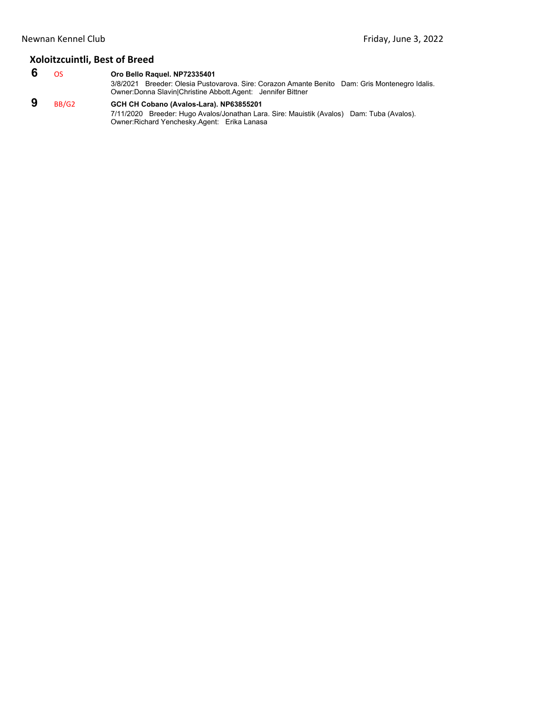# **Xoloitzcuintli, Best of Breed**

 **6** OS **Oro Bello Raquel. NP72335401** 3/8/2021 Breeder: Olesia Pustovarova. Sire: Corazon Amante Benito Dam: Gris Montenegro Idalis. Owner:Donna Slavin|Christine Abbott.Agent: Jennifer Bittner  **9** BB/G2 **GCH CH Cobano (Avalos-Lara). NP63855201**

7/11/2020 Breeder: Hugo Avalos/Jonathan Lara. Sire: Mauistik (Avalos) Dam: Tuba (Avalos). Owner:Richard Yenchesky.Agent: Erika Lanasa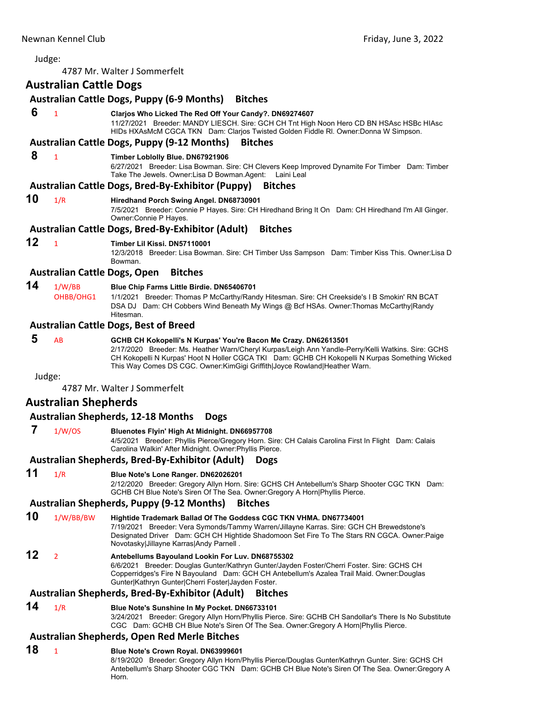<span id="page-54-0"></span>4787 Mr. Walter J Sommerfelt

# **Australian Cattle Dogs**

# **Australian Cattle Dogs, Puppy (6‐9 Months) Bitches 6** <sup>1</sup> **Clarjos Who Licked The Red Off Your Candy?. DN69274607**

11/27/2021 Breeder: MANDY LIESCH. Sire: GCH CH Tnt High Noon Hero CD BN HSAsc HSBc HIAsc HIDs HXAsMcM CGCA TKN Dam: Clarjos Twisted Golden Fiddle Rl. Owner:Donna W Simpson.

### **Australian Cattle Dogs, Puppy (9‐12 Months) Bitches**

### **8** <sup>1</sup> **Timber Loblolly Blue. DN67921906**

6/27/2021 Breeder: Lisa Bowman. Sire: CH Clevers Keep Improved Dynamite For Timber Dam: Timber Take The Jewels. Owner:Lisa D Bowman.Agent: Laini Leal

### **Australian Cattle Dogs, Bred‐By‐Exhibitor (Puppy) Bitches**

# **10** 1/R **Hiredhand Porch Swing Angel. DN68730901**

7/5/2021 Breeder: Connie P Hayes. Sire: CH Hiredhand Bring It On Dam: CH Hiredhand I'm All Ginger. Owner:Connie P Hayes.

### **Australian Cattle Dogs, Bred‐By‐Exhibitor (Adult) Bitches**

### **12** <sup>1</sup> **Timber Lil Kissi. DN57110001**

12/3/2018 Breeder: Lisa Bowman. Sire: CH Timber Uss Sampson Dam: Timber Kiss This. Owner:Lisa D Bowman.

### **Australian Cattle Dogs, Open Bitches**

**14** 1/W/BB **Blue Chip Farms Little Birdie. DN65406701**

OHBB/OHG1 1/1/2021 Breeder: Thomas P McCarthy/Randy Hitesman. Sire: CH Creekside's I B Smokin' RN BCAT DSA DJ Dam: CH Cobbers Wind Beneath My Wings @ Bcf HSAs. Owner:Thomas McCarthy|Randy Hitesman.

### **Australian Cattle Dogs, Best of Breed**

### **5** AB **GCHB CH Kokopelli's N Kurpas' You're Bacon Me Crazy. DN62613501**

2/17/2020 Breeder: Ms. Heather Warn/Cheryl Kurpas/Leigh Ann Yandle-Perry/Kelli Watkins. Sire: GCHS CH Kokopelli N Kurpas' Hoot N Holler CGCA TKI Dam: GCHB CH Kokopelli N Kurpas Something Wicked This Way Comes DS CGC. Owner:KimGigi Griffith|Joyce Rowland|Heather Warn.

Judge:

4787 Mr. Walter J Sommerfelt

## **Australian Shepherds**

### **Australian Shepherds, 12‐18 Months Dogs**

 **7** 1/W/OS **Bluenotes Flyin' High At Midnight. DN66957708**

4/5/2021 Breeder: Phyllis Pierce/Gregory Horn. Sire: CH Calais Carolina First In Flight Dam: Calais Carolina Walkin' After Midnight. Owner:Phyllis Pierce.

## **Australian Shepherds, Bred‐By‐Exhibitor (Adult) Dogs**

## **11** 1/R **Blue Note's Lone Ranger. DN62026201**

2/12/2020 Breeder: Gregory Allyn Horn. Sire: GCHS CH Antebellum's Sharp Shooter CGC TKN Dam: GCHB CH Blue Note's Siren Of The Sea. Owner:Gregory A Horn|Phyllis Pierce.

### **Australian Shepherds, Puppy (9‐12 Months) Bitches**

## **10** 1/W/BB/BW **Hightide Trademark Ballad Of The Goddess CGC TKN VHMA. DN67734001**

7/19/2021 Breeder: Vera Symonds/Tammy Warren/Jillayne Karras. Sire: GCH CH Brewedstone's Designated Driver Dam: GCH CH Hightide Shadomoon Set Fire To The Stars RN CGCA. Owner:Paige Novotasky|Jillayne Karras|Andy Parnell .

# **12** <sup>2</sup> **Antebellums Bayouland Lookin For Luv. DN68755302**

6/6/2021 Breeder: Douglas Gunter/Kathryn Gunter/Jayden Foster/Cherri Foster. Sire: GCHS CH Copperridges's Fire N Bayouland Dam: GCH CH Antebellum's Azalea Trail Maid. Owner:Douglas Gunter|Kathryn Gunter|Cherri Foster|Jayden Foster.

### **Australian Shepherds, Bred‐By‐Exhibitor (Adult) Bitches**

# **14** 1/R **Blue Note's Sunshine In My Pocket. DN66733101**

3/24/2021 Breeder: Gregory Allyn Horn/Phyllis Pierce. Sire: GCHB CH Sandollar's There Is No Substitute CGC Dam: GCHB CH Blue Note's Siren Of The Sea. Owner:Gregory A Horn|Phyllis Pierce.

# **Australian Shepherds, Open Red Merle Bitches**

# **18** <sup>1</sup> **Blue Note's Crown Royal. DN63999601**

8/19/2020 Breeder: Gregory Allyn Horn/Phyllis Pierce/Douglas Gunter/Kathryn Gunter. Sire: GCHS CH Antebellum's Sharp Shooter CGC TKN Dam: GCHB CH Blue Note's Siren Of The Sea. Owner:Gregory A Horn.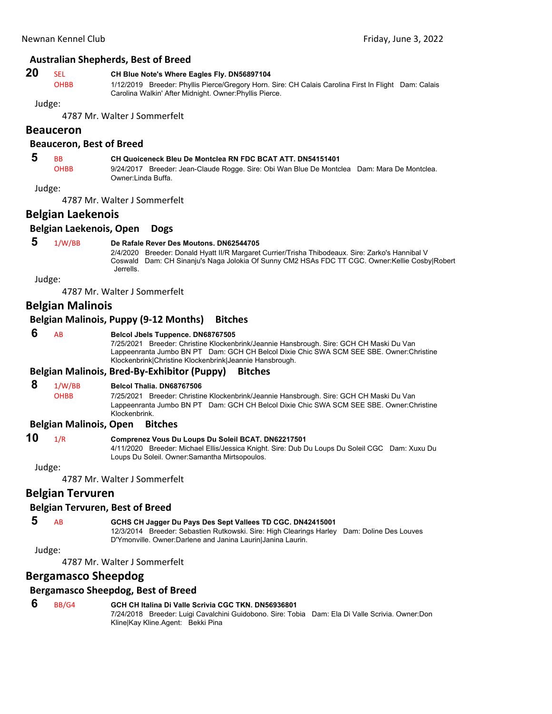### **Australian Shepherds, Best of Breed**

# **20** SEL **CH Blue Note's Where Eagles Fly. DN56897104**<br>OHBB 1/12/2019 Breeder: Phyllis Pierce/Gregory Horn

1/12/2019 Breeder: Phyllis Pierce/Gregory Horn. Sire: CH Calais Carolina First In Flight Dam: Calais Carolina Walkin' After Midnight. Owner:Phyllis Pierce.

Judge:

4787 Mr. Walter J Sommerfelt

### **Beauceron**

### **Beauceron, Best of Breed**

# **5** BB **CH Quoiceneck Bleu De Montclea RN FDC BCAT ATT. DN54151401**

OHBB 9/24/2017 Breeder: Jean-Claude Rogge. Sire: Obi Wan Blue De Montclea Dam: Mara De Montclea. Owner:Linda Buffa.

Judge:

4787 Mr. Walter J Sommerfelt

# **Belgian Laekenois**

### **Belgian Laekenois, Open Dogs**

### **5** 1/W/BB **De Rafale Rever Des Moutons. DN62544705**

2/4/2020 Breeder: Donald Hyatt II/R Margaret Currier/Trisha Thibodeaux. Sire: Zarko's Hannibal V Coswald Dam: CH Sinanju's Naga Jolokia Of Sunny CM2 HSAs FDC TT CGC. Owner:Kellie Cosby|Robert Jerrells.

Judge:

4787 Mr. Walter J Sommerfelt

# **Belgian Malinois**

### **Belgian Malinois, Puppy (9‐12 Months) Bitches**

### **6** AB **Belcol Jbels Tuppence. DN68767505**

7/25/2021 Breeder: Christine Klockenbrink/Jeannie Hansbrough. Sire: GCH CH Maski Du Van Lappeenranta Jumbo BN PT Dam: GCH CH Belcol Dixie Chic SWA SCM SEE SBE. Owner:Christine Klockenbrink|Christine Klockenbrink|Jeannie Hansbrough.

### **Belgian Malinois, Bred‐By‐Exhibitor (Puppy) Bitches**

### **8** 1/W/BB **Belcol Thalia. DN68767506**

OHBB 7/25/2021 Breeder: Christine Klockenbrink/Jeannie Hansbrough. Sire: GCH CH Maski Du Van Lappeenranta Jumbo BN PT Dam: GCH CH Belcol Dixie Chic SWA SCM SEE SBE. Owner:Christine Klockenbrink.

### **Belgian Malinois, Open Bitches**

# **10** 1/R **Comprenez Vous Du Loups Du Soleil BCAT. DN62217501**

4/11/2020 Breeder: Michael Ellis/Jessica Knight. Sire: Dub Du Loups Du Soleil CGC Dam: Xuxu Du Loups Du Soleil. Owner:Samantha Mirtsopoulos.

Judge:

4787 Mr. Walter J Sommerfelt

## **Belgian Tervuren**

### **Belgian Tervuren, Best of Breed**

 **5** AB **GCHS CH Jagger Du Pays Des Sept Vallees TD CGC. DN42415001**

Kline|Kay Kline.Agent: Bekki Pina

12/3/2014 Breeder: Sebastien Rutkowski. Sire: High Clearings Harley Dam: Doline Des Louves D'Ymonville. Owner:Darlene and Janina Laurin|Janina Laurin.

Judge:

4787 Mr. Walter J Sommerfelt

# **Bergamasco Sheepdog**

### **Bergamasco Sheepdog, Best of Breed**

 **6** BB/G4 **GCH CH Italina Di Valle Scrivia CGC TKN. DN56936801** 7/24/2018 Breeder: Luigi Cavalchini Guidobono. Sire: Tobia Dam: Ela Di Valle Scrivia. Owner:Don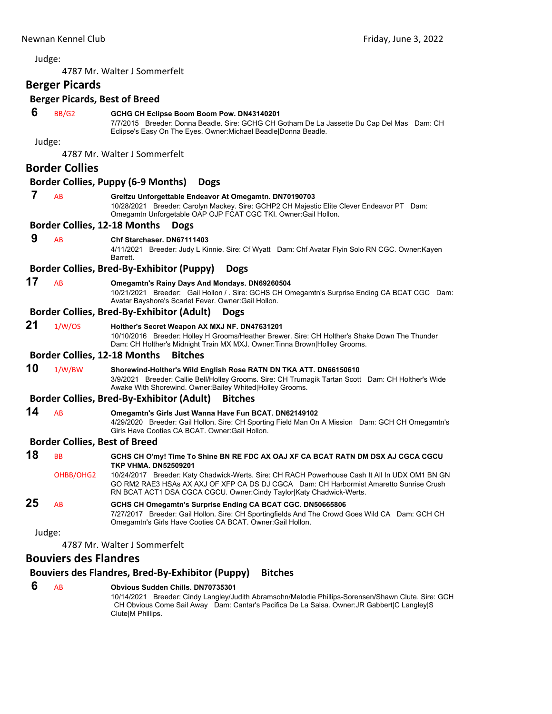4787 Mr. Walter J Sommerfelt

# **Berger Picards**

# **Berger Picards, Best of Breed**

### **6** BB/G2 **GCHG CH Eclipse Boom Boom Pow. DN43140201**

7/7/2015 Breeder: Donna Beadle. Sire: GCHG CH Gotham De La Jassette Du Cap Del Mas Dam: CH Eclipse's Easy On The Eyes. Owner:Michael Beadle|Donna Beadle.

Judge:

4787 Mr. Walter J Sommerfelt

# **Border Collies**

### **Border Collies, Puppy (6‐9 Months) Dogs**

# **7** AB **Greifzu Unforgettable Endeavor At Omegamtn. DN70190703**

10/28/2021 Breeder: Carolyn Mackey. Sire: GCHP2 CH Majestic Elite Clever Endeavor PT Dam: Omegamtn Unforgetable OAP OJP FCAT CGC TKI. Owner:Gail Hollon.

### **Border Collies, 12‐18 Months Dogs**

### **9** AB **Chf Starchaser. DN67111403**

4/11/2021 Breeder: Judy L Kinnie. Sire: Cf Wyatt Dam: Chf Avatar Flyin Solo RN CGC. Owner:Kayen Barrett.

### **Border Collies, Bred‐By‐Exhibitor (Puppy) Dogs**

### **17** AB **Omegamtn's Rainy Days And Mondays. DN69260504**

10/21/2021 Breeder: Gail Hollon / . Sire: GCHS CH Omegamtn's Surprise Ending CA BCAT CGC Dam: Avatar Bayshore's Scarlet Fever. Owner:Gail Hollon.

### **Border Collies, Bred‐By‐Exhibitor (Adult) Dogs**

# **21** 1/W/OS **Holther's Secret Weapon AX MXJ NF. DN47631201**

10/10/2016 Breeder: Holley H Grooms/Heather Brewer. Sire: CH Holther's Shake Down The Thunder Dam: CH Holther's Midnight Train MX MXJ. Owner:Tinna Brown|Holley Grooms.

### **Border Collies, 12‐18 Months Bitches**

### **10** 1/W/BW **Shorewind-Holther's Wild English Rose RATN DN TKA ATT. DN66150610**

3/9/2021 Breeder: Callie Bell/Holley Grooms. Sire: CH Trumagik Tartan Scott Dam: CH Holther's Wide Awake With Shorewind. Owner:Bailey Whited|Holley Grooms.

### **Border Collies, Bred‐By‐Exhibitor (Adult) Bitches**

**14** AB **Omegamtn's Girls Just Wanna Have Fun BCAT. DN62149102**

4/29/2020 Breeder: Gail Hollon. Sire: CH Sporting Field Man On A Mission Dam: GCH CH Omegamtn's Girls Have Cooties CA BCAT. Owner:Gail Hollon.

# **Border Collies, Best of Breed**

| 18 | BB.       | GCHS CH O'my! Time To Shine BN RE FDC AX OAJ XF CA BCAT RATN DM DSX AJ CGCA CGCU<br><b>TKP VHMA. DN52509201</b>                                                                                                                                                  |
|----|-----------|------------------------------------------------------------------------------------------------------------------------------------------------------------------------------------------------------------------------------------------------------------------|
|    | OHBB/OHG2 | 10/24/2017 Breeder: Katy Chadwick-Werts. Sire: CH RACH Powerhouse Cash It All In UDX OM1 BN GN<br>GO RM2 RAE3 HSAs AX AXJ OF XFP CA DS DJ CGCA Dam: CH Harbormist Amaretto Sunrise Crush<br>RN BCAT ACT1 DSA CGCA CGCU. Owner: Cindy Taylor Katy Chadwick-Werts. |
| 25 | AB        | GCHS CH Omegamtn's Surprise Ending CA BCAT CGC. DN50665806<br>7/27/2017 Breeder: Gail Hollon. Sire: CH Sportingfields And The Crowd Goes Wild CA Dam: GCH CH<br>Omegamtn's Girls Have Cooties CA BCAT. Owner: Gail Hollon.                                       |

Judge:

4787 Mr. Walter J Sommerfelt

# **Bouviers des Flandres**

## **Bouviers des Flandres, Bred‐By‐Exhibitor (Puppy) Bitches**

### **6** AB **Obvious Sudden Chills. DN70735301** 10/14/2021 Breeder: Cindy Langley/Judith Abramsohn/Melodie Phillips-Sorensen/Shawn Clute. Sire: GCH CH Obvious Come Sail Away Dam: Cantar's Pacifica De La Salsa. Owner:JR Gabbert|C Langley|S Clute|M Phillips.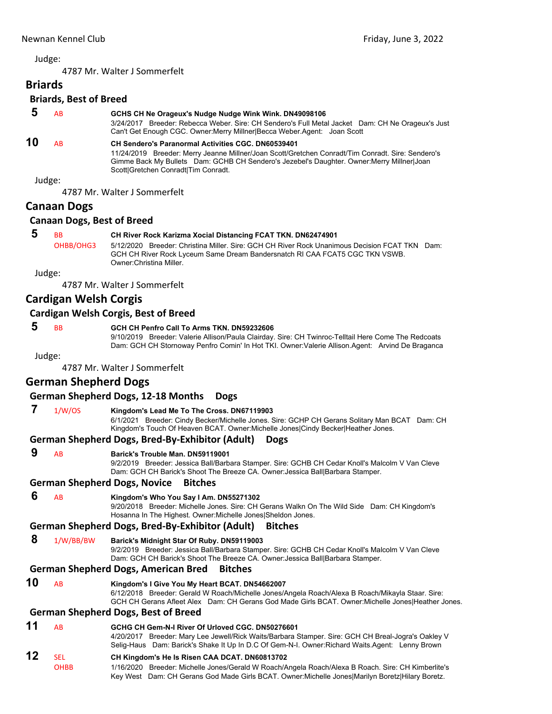**Briards**

4787 Mr. Walter J Sommerfelt

**Briards, Best of Breed 5** AB **GCHS CH Ne Orageux's Nudge Nudge Wink Wink. DN49098106**

# 3/24/2017 Breeder: Rebecca Weber. Sire: CH Sendero's Full Metal Jacket Dam: CH Ne Orageux's Just

### Can't Get Enough CGC. Owner:Merry Millner|Becca Weber.Agent: Joan Scott **10** AB **CH Sendero's Paranormal Activities CGC. DN60539401**

11/24/2019 Breeder: Merry Jeanne Millner/Joan Scott/Gretchen Conradt/Tim Conradt. Sire: Sendero's Gimme Back My Bullets Dam: GCHB CH Sendero's Jezebel's Daughter. Owner:Merry Millner|Joan Scott|Gretchen Conradt|Tim Conradt.

Judge:

4787 Mr. Walter J Sommerfelt

# **Canaan Dogs**

## **Canaan Dogs, Best of Breed**

# **5** BB **CH River Rock Karizma Xocial Distancing FCAT TKN. DN62474901**

OHBB/OHG3 5/12/2020 Breeder: Christina Miller. Sire: GCH CH River Rock Unanimous Decision FCAT TKN Dam: GCH CH River Rock Lyceum Same Dream Bandersnatch RI CAA FCAT5 CGC TKN VSWB. Owner:Christina Miller.

Judge:

4787 Mr. Walter J Sommerfelt

# **Cardigan Welsh Corgis**

# **Cardigan Welsh Corgis, Best of Breed**

# **5** BB **GCH CH Penfro Call To Arms TKN. DN59232606**

9/10/2019 Breeder: Valerie Allison/Paula Clairday. Sire: CH Twinroc-Telltail Here Come The Redcoats Dam: GCH CH Stornoway Penfro Comin' In Hot TKI. Owner:Valerie Allison.Agent: Arvind De Braganca

Judge:

4787 Mr. Walter J Sommerfelt

# **German Shepherd Dogs**

## **German Shepherd Dogs, 12‐18 Months Dogs**

# **7** 1/W/OS **Kingdom's Lead Me To The Cross. DN67119903**

6/1/2021 Breeder: Cindy Becker/Michelle Jones. Sire: GCHP CH Gerans Solitary Man BCAT Dam: CH Kingdom's Touch Of Heaven BCAT. Owner:Michelle Jones|Cindy Becker|Heather Jones.

## **German Shepherd Dogs, Bred‐By‐Exhibitor (Adult) Dogs**

 **9** AB **Barick's Trouble Man. DN59119001**

9/2/2019 Breeder: Jessica Ball/Barbara Stamper. Sire: GCHB CH Cedar Knoll's Malcolm V Van Cleve Dam: GCH CH Barick's Shoot The Breeze CA. Owner:Jessica Ball|Barbara Stamper.

## **German Shepherd Dogs, Novice Bitches**

 **6** AB **Kingdom's Who You Say I Am. DN55271302**

9/20/2018 Breeder: Michelle Jones. Sire: CH Gerans Walkn On The Wild Side Dam: CH Kingdom's Hosanna In The Highest. Owner:Michelle Jones|Sheldon Jones.

# **German Shepherd Dogs, Bred‐By‐Exhibitor (Adult) Bitches**

 **8** 1/W/BB/BW **Barick's Midnight Star Of Ruby. DN59119003**

9/2/2019 Breeder: Jessica Ball/Barbara Stamper. Sire: GCHB CH Cedar Knoll's Malcolm V Van Cleve Dam: GCH CH Barick's Shoot The Breeze CA. Owner:Jessica Ball|Barbara Stamper.

## **German Shepherd Dogs, American Bred Bitches**

**10** AB **Kingdom's I Give You My Heart BCAT. DN54662007** 6/12/2018 Breeder: Gerald W Roach/Michelle Jones/Angela Roach/Alexa B Roach/Mikayla Staar. Sire: GCH CH Gerans Afleet Alex Dam: CH Gerans God Made Girls BCAT. Owner:Michelle Jones|Heather Jones.

### **German Shepherd Dogs, Best of Breed**

# **11** AB **GCHG CH Gem-N-I River Of Urloved CGC. DN50276601**

4/20/2017 Breeder: Mary Lee Jewell/Rick Waits/Barbara Stamper. Sire: GCH CH Breal-Jogra's Oakley V Selig-Haus Dam: Barick's Shake It Up In D.C Of Gem-N-I. Owner:Richard Waits.Agent: Lenny Brown

# **12** SEL **CH Kingdom's He Is Risen CAA DCAT. DN60813702**

OHBB 1/16/2020 Breeder: Michelle Jones/Gerald W Roach/Angela Roach/Alexa B Roach. Sire: CH Kimberlite's Key West Dam: CH Gerans God Made Girls BCAT. Owner:Michelle Jones|Marilyn Boretz|Hilary Boretz.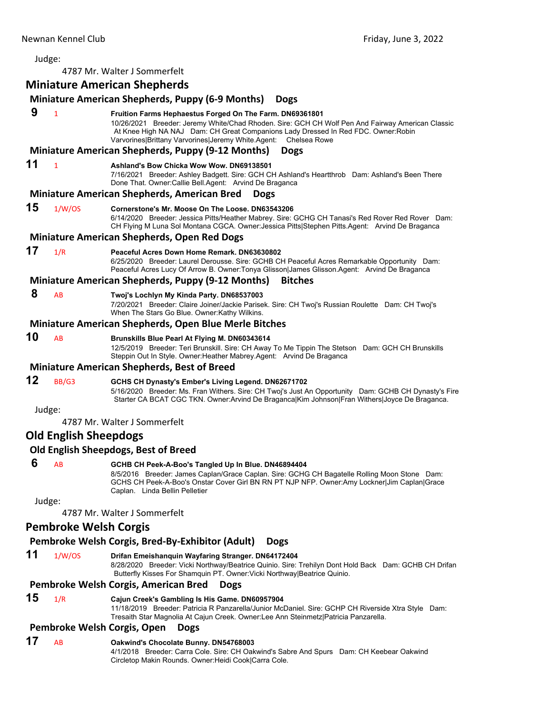# Judge: 4787 Mr. Walter J Sommerfelt **Miniature American Shepherds Miniature American Shepherds, Puppy (6‐9 Months) Dogs 9** <sup>1</sup> **Fruition Farms Hephaestus Forged On The Farm. DN69361801** 10/26/2021 Breeder: Jeremy White/Chad Rhoden. Sire: GCH CH Wolf Pen And Fairway American Classic At Knee High NA NAJ Dam: CH Great Companions Lady Dressed In Red FDC. Owner:Robin Varvorines|Brittany Varvorines|Jeremy White.Agent: Chelsea Rowe **Miniature American Shepherds, Puppy (9‐12 Months) Dogs 11** <sup>1</sup> **Ashland's Bow Chicka Wow Wow. DN69138501** 7/16/2021 Breeder: Ashley Badgett. Sire: GCH CH Ashland's Heartthrob Dam: Ashland's Been There Done That. Owner:Callie Bell.Agent: Arvind De Braganca **Miniature American Shepherds, American Bred Dogs 15** 1/W/OS **Cornerstone's Mr. Moose On The Loose. DN63543206** 6/14/2020 Breeder: Jessica Pitts/Heather Mabrey. Sire: GCHG CH Tanasi's Red Rover Red Rover Dam: CH Flying M Luna Sol Montana CGCA. Owner:Jessica Pitts|Stephen Pitts.Agent: Arvind De Braganca **Miniature American Shepherds, Open Red Dogs 17** 1/R **Peaceful Acres Down Home Remark. DN63630802** 6/25/2020 Breeder: Laurel Derousse. Sire: GCHB CH Peaceful Acres Remarkable Opportunity Dam: Peaceful Acres Lucy Of Arrow B. Owner:Tonya Glisson|James Glisson.Agent: Arvind De Braganca **Miniature American Shepherds, Puppy (9‐12 Months) Bitches 8** AB **Twoj's Lochlyn My Kinda Party. DN68537003** 7/20/2021 Breeder: Claire Joiner/Jackie Parisek. Sire: CH Twoj's Russian Roulette Dam: CH Twoj's When The Stars Go Blue. Owner:Kathy Wilkins. **Miniature American Shepherds, Open Blue Merle Bitches 10** AB **Brunskills Blue Pearl At Flying M. DN60343614** 12/5/2019 Breeder: Teri Brunskill. Sire: CH Away To Me Tippin The Stetson Dam: GCH CH Brunskills Steppin Out In Style. Owner:Heather Mabrey.Agent: Arvind De Braganca **Miniature American Shepherds, Best of Breed 12** BB/G3 **GCHS CH Dynasty's Ember's Living Legend. DN62671702** 5/16/2020 Breeder: Ms. Fran Withers. Sire: CH Twoj's Just An Opportunity Dam: GCHB CH Dynasty's Fire Starter CA BCAT CGC TKN. Owner:Arvind De Braganca|Kim Johnson|Fran Withers|Joyce De Braganca. Judge: 4787 Mr. Walter J Sommerfelt **Old English Sheepdogs Old English Sheepdogs, Best of Breed 6** AB **GCHB CH Peek-A-Boo's Tangled Up In Blue. DN46894404** 8/5/2016 Breeder: James Caplan/Grace Caplan. Sire: GCHG CH Bagatelle Rolling Moon Stone Dam: GCHS CH Peek-A-Boo's Onstar Cover Girl BN RN PT NJP NFP. Owner:Amy Lockner|Jim Caplan|Grace Caplan. Linda Bellin Pelletier Judge: 4787 Mr. Walter J Sommerfelt **Pembroke Welsh Corgis**

# **Pembroke Welsh Corgis, Bred‐By‐Exhibitor (Adult) Dogs**

# **11** 1/W/OS **Drifan Emeishanquin Wayfaring Stranger. DN64172404**

8/28/2020 Breeder: Vicki Northway/Beatrice Quinio. Sire: Trehilyn Dont Hold Back Dam: GCHB CH Drifan Butterfly Kisses For Shamquin PT. Owner:Vicki Northway|Beatrice Quinio.

# **Pembroke Welsh Corgis, American Bred Dogs**

## **15** 1/R **Cajun Creek's Gambling Is His Game. DN60957904**

11/18/2019 Breeder: Patricia R Panzarella/Junior McDaniel. Sire: GCHP CH Riverside Xtra Style Dam: Tresaith Star Magnolia At Cajun Creek. Owner:Lee Ann Steinmetz|Patricia Panzarella.

# **Pembroke Welsh Corgis, Open Dogs**

**17** AB **Oakwind's Chocolate Bunny. DN54768003**

4/1/2018 Breeder: Carra Cole. Sire: CH Oakwind's Sabre And Spurs Dam: CH Keebear Oakwind Circletop Makin Rounds. Owner:Heidi Cook|Carra Cole.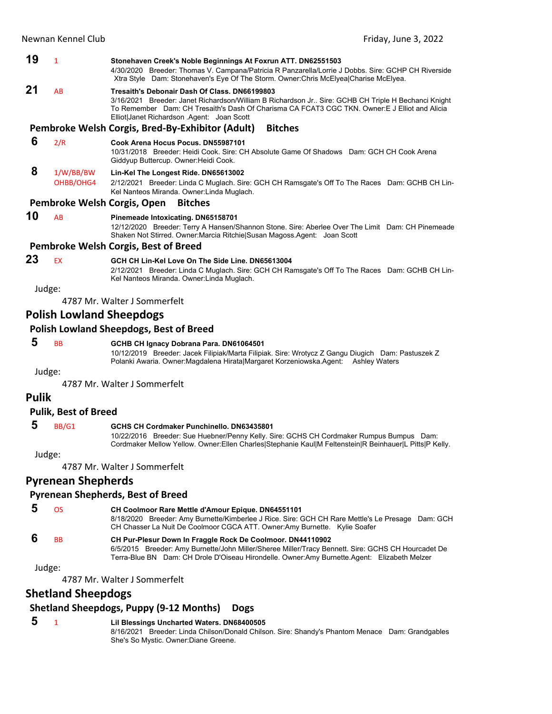### **19** <sup>1</sup> **Stonehaven Creek's Noble Beginnings At Foxrun ATT. DN62551503** 4/30/2020 Breeder: Thomas V. Campana/Patricia R Panzarella/Lorrie J Dobbs. Sire: GCHP CH Riverside Xtra Style Dam: Stonehaven's Eye Of The Storm. Owner:Chris McElyea|Charise McElyea. **21** AB **Tresaith's Debonair Dash Of Class. DN66199803** 3/16/2021 Breeder: Janet Richardson/William B Richardson Jr.. Sire: GCHB CH Triple H Bechanci Knight To Remember Dam: CH Tresaith's Dash Of Charisma CA FCAT3 CGC TKN. Owner:E J Elliot and Alicia Elliot|Janet Richardson .Agent: Joan Scott **Pembroke Welsh Corgis, Bred‐By‐Exhibitor (Adult) Bitches 6** 2/R **Cook Arena Hocus Pocus. DN55987101** 10/31/2018 Breeder: Heidi Cook. Sire: CH Absolute Game Of Shadows Dam: GCH CH Cook Arena Giddyup Buttercup. Owner:Heidi Cook.  **8** 1/W/BB/BW **Lin-Kel The Longest Ride. DN65613002** OHBB/OHG4 2/12/2021 Breeder: Linda C Muglach. Sire: GCH CH Ramsgate's Off To The Races Dam: GCHB CH Lin-Kel Nanteos Miranda. Owner:Linda Muglach. **Pembroke Welsh Corgis, Open Bitches 10** AB **Pinemeade Intoxicating. DN65158701** 12/12/2020 Breeder: Terry A Hansen/Shannon Stone. Sire: Aberlee Over The Limit Dam: CH Pinemeade Shaken Not Stirred. Owner:Marcia Ritchie|Susan Magoss.Agent: Joan Scott

# **Pembroke Welsh Corgis, Best of Breed**

### **23** EX **GCH CH Lin-Kel Love On The Side Line. DN65613004**

2/12/2021 Breeder: Linda C Muglach. Sire: GCH CH Ramsgate's Off To The Races Dam: GCHB CH Lin-Kel Nanteos Miranda. Owner:Linda Muglach.

Judge:

4787 Mr. Walter J Sommerfelt

# **Polish Lowland Sheepdogs**

### **Polish Lowland Sheepdogs, Best of Breed**

# **5** BB **GCHB CH Ignacy Dobrana Para. DN61064501**

10/12/2019 Breeder: Jacek Filipiak/Marta Filipiak. Sire: Wrotycz Z Gangu Diugich Dam: Pastuszek Z Polanki Awaria. Owner:Magdalena Hirata|Margaret Korzeniowska.Agent: Ashley Waters

Judge:

4787 Mr. Walter J Sommerfelt

## **Pulik**

### **Pulik, Best of Breed**

### **5** BB/G1 **GCHS CH Cordmaker Punchinello. DN63435801**

10/22/2016 Breeder: Sue Huebner/Penny Kelly. Sire: GCHS CH Cordmaker Rumpus Bumpus Dam: Cordmaker Mellow Yellow. Owner:Ellen Charles|Stephanie Kaul|M Feltenstein|R Beinhauer|L Pitts|P Kelly.

Judge:

4787 Mr. Walter J Sommerfelt

# **Pyrenean Shepherds**

### **Pyrenean Shepherds, Best of Breed**

 **5** OS **CH Coolmoor Rare Mettle d'Amour Epique. DN64551101** 8/18/2020 Breeder: Amy Burnette/Kimberlee J Rice. Sire: GCH CH Rare Mettle's Le Presage Dam: GCH CH Chasser La Nuit De Coolmoor CGCA ATT. Owner:Amy Burnette. Kylie Soafer  **6** BB **CH Pur-Plesur Down In Fraggle Rock De Coolmoor. DN44110902** 6/5/2015 Breeder: Amy Burnette/John Miller/Sheree Miller/Tracy Bennett. Sire: GCHS CH Hourcadet De Terra-Blue BN Dam: CH Drole D'Oiseau Hirondelle. Owner:Amy Burnette.Agent: Elizabeth Melzer

Judge:

4787 Mr. Walter J Sommerfelt

## **Shetland Sheepdogs**

## **Shetland Sheepdogs, Puppy (9‐12 Months) Dogs**

 **5** <sup>1</sup> **Lil Blessings Uncharted Waters. DN68400505** 8/16/2021 Breeder: Linda Chilson/Donald Chilson. Sire: Shandy's Phantom Menace Dam: Grandgables She's So Mystic. Owner:Diane Greene.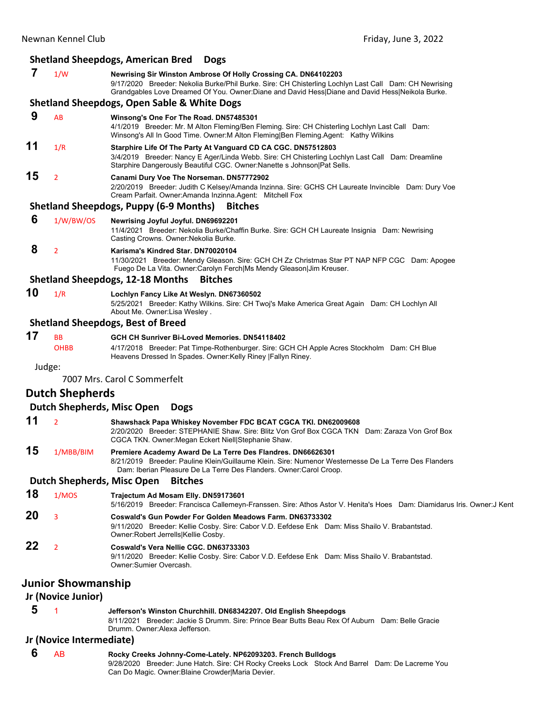|    | Newnan Kennel Club     | Friday, June 3, 2022                                                                                                                                                                                                                                                       |
|----|------------------------|----------------------------------------------------------------------------------------------------------------------------------------------------------------------------------------------------------------------------------------------------------------------------|
|    |                        | <b>Shetland Sheepdogs, American Bred</b><br><b>Dogs</b>                                                                                                                                                                                                                    |
| 7  | 1/W                    | Newrising Sir Winston Ambrose Of Holly Crossing CA. DN64102203<br>9/17/2020 Breeder: Nekolia Burke/Phil Burke. Sire: CH Chisterling Lochlyn Last Call Dam: CH Newrising<br>Grandgables Love Dreamed Of You. Owner:Diane and David Hess Diane and David Hess Neikola Burke. |
|    |                        | <b>Shetland Sheepdogs, Open Sable &amp; White Dogs</b>                                                                                                                                                                                                                     |
| 9  | AB                     | Winsong's One For The Road. DN57485301<br>4/1/2019 Breeder: Mr. M Alton Fleming/Ben Fleming. Sire: CH Chisterling Lochlyn Last Call Dam:<br>Winsong's All In Good Time. Owner: M Alton Fleming Ben Fleming. Agent: Kathy Wilkins                                           |
| 11 | 1/R                    | Starphire Life Of The Party At Vanguard CD CA CGC. DN57512803<br>3/4/2019 Breeder: Nancy E Ager/Linda Webb. Sire: CH Chisterling Lochlyn Last Call Dam: Dreamline<br>Starphire Dangerously Beautiful CGC. Owner: Nanette s Johnson   Pat Sells.                            |
| 15 | $\overline{2}$         | Canami Dury Voe The Norseman. DN57772902<br>2/20/2019 Breeder: Judith C Kelsey/Amanda Inzinna. Sire: GCHS CH Laureate Invincible Dam: Dury Voe<br>Cream Parfait. Owner: Amanda Inzinna. Agent: Mitchell Fox                                                                |
|    |                        | <b>Shetland Sheepdogs, Puppy (6-9 Months)</b><br><b>Bitches</b>                                                                                                                                                                                                            |
| 6  | 1/W/BW/OS              | Newrising Joyful Joyful. DN69692201<br>11/4/2021 Breeder: Nekolia Burke/Chaffin Burke. Sire: GCH CH Laureate Insignia Dam: Newrising<br>Casting Crowns. Owner: Nekolia Burke.                                                                                              |
| 8  | $\overline{2}$         | Karisma's Kindred Star. DN70020104<br>11/30/2021 Breeder: Mendy Gleason. Sire: GCH CH Zz Christmas Star PT NAP NFP CGC Dam: Apogee<br>Fuego De La Vita. Owner: Carolyn Ferch Ms Mendy Gleason Jim Kreuser.                                                                 |
|    |                        | <b>Shetland Sheepdogs, 12-18 Months</b><br><b>Bitches</b>                                                                                                                                                                                                                  |
| 10 | 1/R                    | Lochlyn Fancy Like At Weslyn. DN67360502<br>5/25/2021 Breeder: Kathy Wilkins. Sire: CH Twoj's Make America Great Again Dam: CH Lochlyn All<br>About Me. Owner:Lisa Wesley.                                                                                                 |
|    |                        | <b>Shetland Sheepdogs, Best of Breed</b>                                                                                                                                                                                                                                   |
| 17 | <b>BB</b>              | GCH CH Sunriver Bi-Loved Memories. DN54118402                                                                                                                                                                                                                              |
|    | <b>OHBB</b>            | 4/17/2018 Breeder: Pat Timpe-Rothenburger. Sire: GCH CH Apple Acres Stockholm Dam: CH Blue<br>Heavens Dressed In Spades. Owner: Kelly Riney   Fallyn Riney.                                                                                                                |
|    | Judge:                 | 7007 Mrs. Carol C Sommerfelt                                                                                                                                                                                                                                               |
|    |                        |                                                                                                                                                                                                                                                                            |
|    | <b>Dutch Shepherds</b> |                                                                                                                                                                                                                                                                            |
|    |                        | <b>Dutch Shepherds, Misc Open</b><br><b>Dogs</b>                                                                                                                                                                                                                           |
| 11 | $\overline{2}$         | Shawshack Papa Whiskey November FDC BCAT CGCA TKI. DN62009608<br>2/20/2020 Breeder: STEPHANIE Shaw. Sire: Blitz Von Grof Box CGCA TKN Dam: Zaraza Von Grof Box<br>CGCA TKN. Owner: Megan Eckert Niell Stephanie Shaw.                                                      |
| 15 | 1/MBB/BIM              | Premiere Academy Award De La Terre Des Flandres. DN66626301<br>8/21/2019 Breeder: Pauline Klein/Guillaume Klein. Sire: Numenor Westernesse De La Terre Des Flanders<br>Dam: Iberian Pleasure De La Terre Des Flanders. Owner: Carol Croop.                                 |
|    |                        | Dutch Shepherds, Misc Open<br><b>Bitches</b>                                                                                                                                                                                                                               |
| 18 | 1/MOS                  | Trajectum Ad Mosam Elly. DN59173601                                                                                                                                                                                                                                        |

5/16/2019 Breeder: Francisca Callemeyn-Franssen. Sire: Athos Astor V. Henita's Hoes Dam: Diamidarus Iris. Owner:J Kent **20** <sup>3</sup> **Coswald's Gun Powder For Golden Meadows Farm. DN63733302** 9/11/2020 Breeder: Kellie Cosby. Sire: Cabor V.D. Eefdese Enk Dam: Miss Shailo V. Brabantstad.

Owner:Robert Jerrells|Kellie Cosby. **22** <sup>2</sup> **Coswald's Vera Nellie CGC. DN63733303** 9/11/2020 Breeder: Kellie Cosby. Sire: Cabor V.D. Eefdese Enk Dam: Miss Shailo V. Brabantstad. Owner:Sumier Overcash.

## **Junior Showmanship**

**Jr (Novice Junior)**

# **5** <sup>1</sup> **Jefferson's Winston Churchhill. DN68342207. Old English Sheepdogs**

8/11/2021 Breeder: Jackie S Drumm. Sire: Prince Bear Butts Beau Rex Of Auburn Dam: Belle Gracie Drumm. Owner:Alexa Jefferson.

## **Jr (Novice Intermediate)**

 **6** AB **Rocky Creeks Johnny-Come-Lately. NP62093203. French Bulldogs** 9/28/2020 Breeder: June Hatch. Sire: CH Rocky Creeks Lock Stock And Barrel Dam: De Lacreme You Can Do Magic. Owner:Blaine Crowder|Maria Devier.